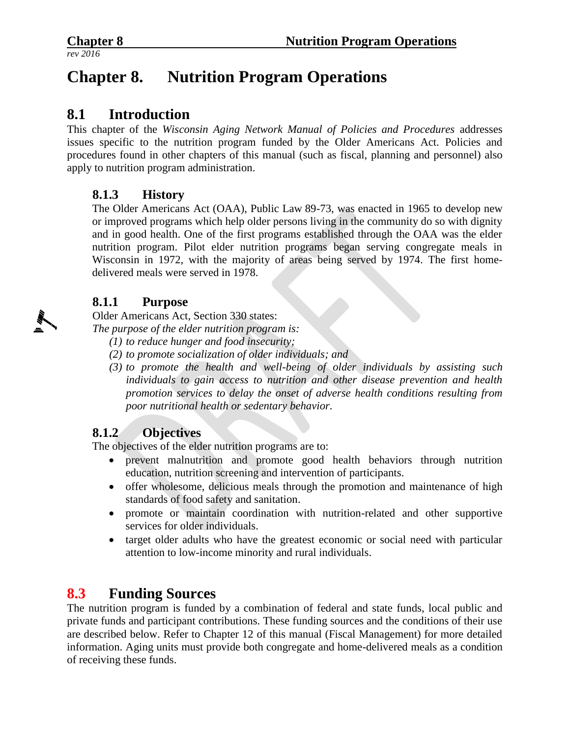# **Chapter 8. Nutrition Program Operations**

# **8.1 Introduction**

This chapter of the *Wisconsin Aging Network Manual of Policies and Procedures* addresses issues specific to the nutrition program funded by the Older Americans Act. Policies and procedures found in other chapters of this manual (such as fiscal, planning and personnel) also apply to nutrition program administration.

#### **8.1.3 History**

The Older Americans Act (OAA), Public Law 89-73, was enacted in 1965 to develop new or improved programs which help older persons living in the community do so with dignity and in good health. One of the first programs established through the OAA was the elder nutrition program. Pilot elder nutrition programs began serving congregate meals in Wisconsin in 1972, with the majority of areas being served by 1974. The first homedelivered meals were served in 1978.

#### **8.1.1 Purpose**

Older Americans Act, Section 330 states:

*The purpose of the elder nutrition program is:*

- *(1) to reduce hunger and food insecurity;*
- *(2) to promote socialization of older individuals; and*
- *(3) to promote the health and well-being of older individuals by assisting such individuals to gain access to nutrition and other disease prevention and health promotion services to delay the onset of adverse health conditions resulting from poor nutritional health or sedentary behavior.*

#### **8.1.2 Objectives**

The objectives of the elder nutrition programs are to:

- prevent malnutrition and promote good health behaviors through nutrition education, nutrition screening and intervention of participants.
- offer wholesome, delicious meals through the promotion and maintenance of high standards of food safety and sanitation.
- promote or maintain coordination with nutrition-related and other supportive services for older individuals.
- target older adults who have the greatest economic or social need with particular attention to low-income minority and rural individuals.

# **8.3 Funding Sources**

The nutrition program is funded by a combination of federal and state funds, local public and private funds and participant contributions. These funding sources and the conditions of their use are described below. Refer to Chapter 12 of this manual (Fiscal Management) for more detailed information. Aging units must provide both congregate and home-delivered meals as a condition of receiving these funds.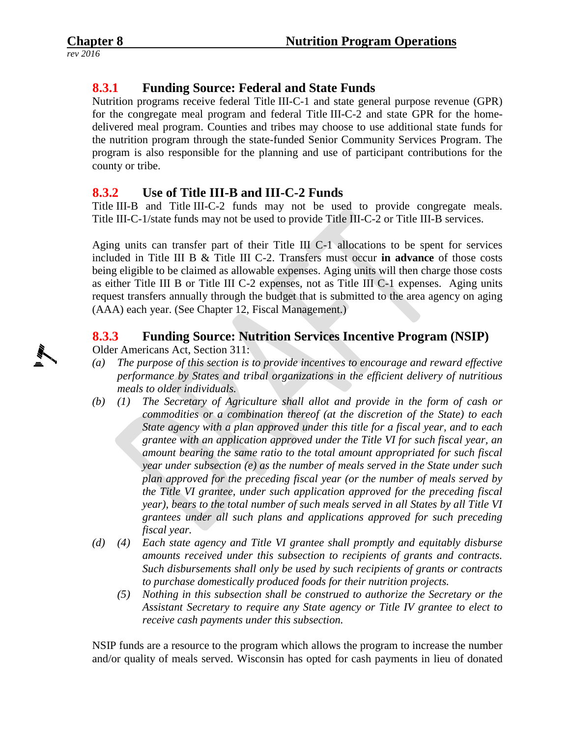# **8.3.1 Funding Source: Federal and State Funds**

Nutrition programs receive federal Title III-C-1 and state general purpose revenue (GPR) for the congregate meal program and federal Title III-C-2 and state GPR for the homedelivered meal program. Counties and tribes may choose to use additional state funds for the nutrition program through the state-funded Senior Community Services Program. The program is also responsible for the planning and use of participant contributions for the county or tribe.

# **8.3.2 Use of Title III-B and III-C-2 Funds**

Title III-B and Title III-C-2 funds may not be used to provide congregate meals. Title III-C-1/state funds may not be used to provide Title III-C-2 or Title III-B services.

Aging units can transfer part of their Title III C-1 allocations to be spent for services included in Title III B & Title III C-2. Transfers must occur **in advance** of those costs being eligible to be claimed as allowable expenses. Aging units will then charge those costs as either Title III B or Title III C-2 expenses, not as Title III C-1 expenses. Aging units request transfers annually through the budget that is submitted to the area agency on aging (AAA) each year. (See Chapter 12, Fiscal Management.)

# **8.3.3 Funding Source: Nutrition Services Incentive Program (NSIP)**

Older Americans Act, Section 311:

- *(a) The purpose of this section is to provide incentives to encourage and reward effective performance by States and tribal organizations in the efficient delivery of nutritious meals to older individuals.*
- *(b) (1) The Secretary of Agriculture shall allot and provide in the form of cash or commodities or a combination thereof (at the discretion of the State) to each State agency with a plan approved under this title for a fiscal year, and to each grantee with an application approved under the Title VI for such fiscal year, an amount bearing the same ratio to the total amount appropriated for such fiscal year under subsection (e) as the number of meals served in the State under such plan approved for the preceding fiscal year (or the number of meals served by the Title VI grantee, under such application approved for the preceding fiscal year), bears to the total number of such meals served in all States by all Title VI grantees under all such plans and applications approved for such preceding fiscal year.*
- *(d) (4) Each state agency and Title VI grantee shall promptly and equitably disburse amounts received under this subsection to recipients of grants and contracts. Such disbursements shall only be used by such recipients of grants or contracts to purchase domestically produced foods for their nutrition projects.*
	- *(5) Nothing in this subsection shall be construed to authorize the Secretary or the Assistant Secretary to require any State agency or Title IV grantee to elect to receive cash payments under this subsection.*

NSIP funds are a resource to the program which allows the program to increase the number and/or quality of meals served. Wisconsin has opted for cash payments in lieu of donated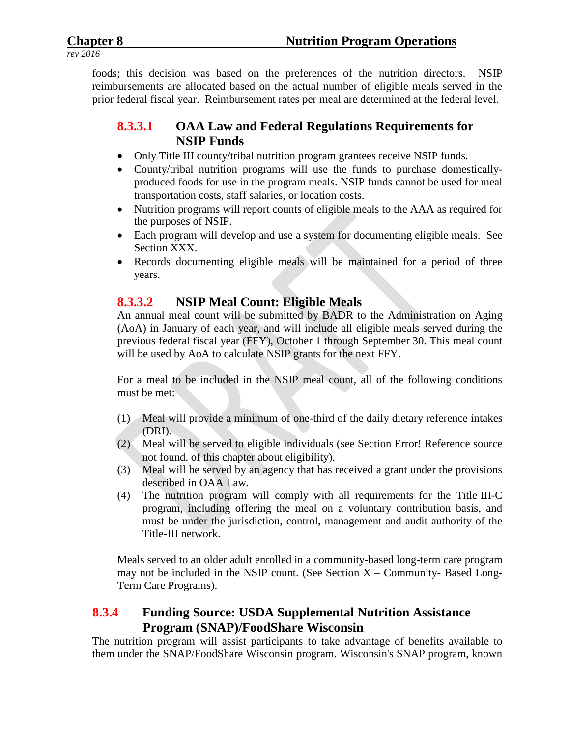foods; this decision was based on the preferences of the nutrition directors. NSIP reimbursements are allocated based on the actual number of eligible meals served in the prior federal fiscal year. Reimbursement rates per meal are determined at the federal level.

# **8.3.3.1 OAA Law and Federal Regulations Requirements for NSIP Funds**

- Only Title III county/tribal nutrition program grantees receive NSIP funds.
- County/tribal nutrition programs will use the funds to purchase domesticallyproduced foods for use in the program meals. NSIP funds cannot be used for meal transportation costs, staff salaries, or location costs.
- Nutrition programs will report counts of eligible meals to the AAA as required for the purposes of NSIP.
- Each program will develop and use a system for documenting eligible meals. See Section XXX.
- Records documenting eligible meals will be maintained for a period of three years.

# **8.3.3.2 NSIP Meal Count: Eligible Meals**

An annual meal count will be submitted by BADR to the Administration on Aging (AoA) in January of each year, and will include all eligible meals served during the previous federal fiscal year (FFY), October 1 through September 30. This meal count will be used by AoA to calculate NSIP grants for the next FFY.

For a meal to be included in the NSIP meal count, all of the following conditions must be met:

- (1) Meal will provide a minimum of one-third of the daily dietary reference intakes (DRI).
- (2) Meal will be served to eligible individuals (see Section Error! Reference source not found. of this chapter about eligibility).
- (3) Meal will be served by an agency that has received a grant under the provisions described in OAA Law.
- (4) The nutrition program will comply with all requirements for the Title III-C program, including offering the meal on a voluntary contribution basis, and must be under the jurisdiction, control, management and audit authority of the Title-III network.

Meals served to an older adult enrolled in a community-based long-term care program may not be included in the NSIP count. (See Section  $X -$ Community-Based Long-Term Care Programs).

#### **8.3.4 Funding Source: USDA Supplemental Nutrition Assistance Program (SNAP)/FoodShare Wisconsin**

The nutrition program will assist participants to take advantage of benefits available to them under the SNAP/FoodShare Wisconsin program. Wisconsin's SNAP program, known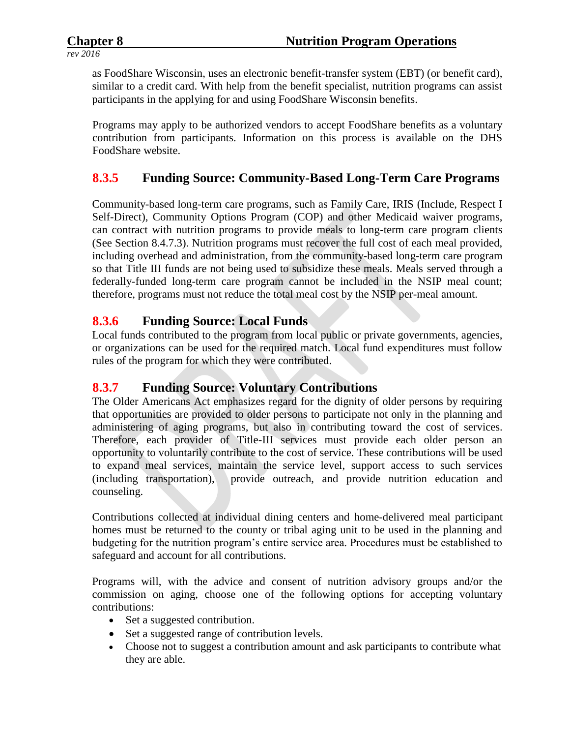as FoodShare Wisconsin, uses an electronic benefit-transfer system (EBT) (or benefit card), similar to a credit card. With help from the benefit specialist, nutrition programs can assist participants in the applying for and using FoodShare Wisconsin benefits.

Programs may apply to be authorized vendors to accept FoodShare benefits as a voluntary contribution from participants. Information on this process is available on the DHS FoodShare website.

# **8.3.5 Funding Source: Community-Based Long-Term Care Programs**

Community-based long-term care programs, such as Family Care, IRIS (Include, Respect I Self-Direct), Community Options Program (COP) and other Medicaid waiver programs, can contract with nutrition programs to provide meals to long-term care program clients (See Section 8.4.7.3). Nutrition programs must recover the full cost of each meal provided, including overhead and administration, from the community-based long-term care program so that Title III funds are not being used to subsidize these meals. Meals served through a federally-funded long-term care program cannot be included in the NSIP meal count; therefore, programs must not reduce the total meal cost by the NSIP per-meal amount.

#### **8.3.6 Funding Source: Local Funds**

Local funds contributed to the program from local public or private governments, agencies, or organizations can be used for the required match. Local fund expenditures must follow rules of the program for which they were contributed.

#### **8.3.7 Funding Source: Voluntary Contributions**

The Older Americans Act emphasizes regard for the dignity of older persons by requiring that opportunities are provided to older persons to participate not only in the planning and administering of aging programs, but also in contributing toward the cost of services. Therefore, each provider of Title-III services must provide each older person an opportunity to voluntarily contribute to the cost of service. These contributions will be used to expand meal services, maintain the service level, support access to such services (including transportation), provide outreach, and provide nutrition education and counseling.

Contributions collected at individual dining centers and home-delivered meal participant homes must be returned to the county or tribal aging unit to be used in the planning and budgeting for the nutrition program's entire service area. Procedures must be established to safeguard and account for all contributions.

Programs will, with the advice and consent of nutrition advisory groups and/or the commission on aging, choose one of the following options for accepting voluntary contributions:

- Set a suggested contribution.
- Set a suggested range of contribution levels.
- Choose not to suggest a contribution amount and ask participants to contribute what they are able.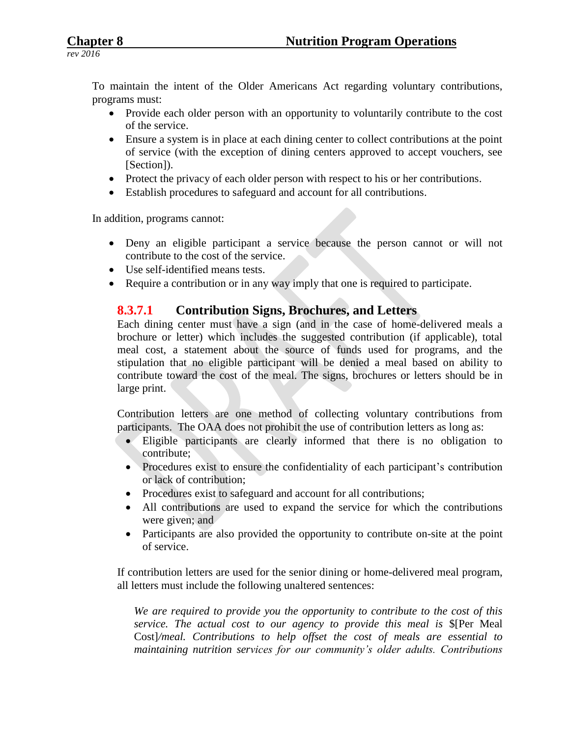To maintain the intent of the Older Americans Act regarding voluntary contributions, programs must:

- Provide each older person with an opportunity to voluntarily contribute to the cost of the service.
- Ensure a system is in place at each dining center to collect contributions at the point of service (with the exception of dining centers approved to accept vouchers, see [Section]).
- Protect the privacy of each older person with respect to his or her contributions.
- Establish procedures to safeguard and account for all contributions.

In addition, programs cannot:

- Deny an eligible participant a service because the person cannot or will not contribute to the cost of the service.
- Use self-identified means tests.
- Require a contribution or in any way imply that one is required to participate.

#### **8.3.7.1 Contribution Signs, Brochures, and Letters**

Each dining center must have a sign (and in the case of home-delivered meals a brochure or letter) which includes the suggested contribution (if applicable), total meal cost, a statement about the source of funds used for programs, and the stipulation that no eligible participant will be denied a meal based on ability to contribute toward the cost of the meal. The signs, brochures or letters should be in large print.

Contribution letters are one method of collecting voluntary contributions from participants. The OAA does not prohibit the use of contribution letters as long as:

- Eligible participants are clearly informed that there is no obligation to contribute;
- Procedures exist to ensure the confidentiality of each participant's contribution or lack of contribution;
- Procedures exist to safeguard and account for all contributions;
- All contributions are used to expand the service for which the contributions were given; and
- Participants are also provided the opportunity to contribute on-site at the point of service.

If contribution letters are used for the senior dining or home-delivered meal program, all letters must include the following unaltered sentences:

*We are required to provide you the opportunity to contribute to the cost of this service. The actual cost to our agency to provide this meal is* \$[Per Meal Cost]*/meal. Contributions to help offset the cost of meals are essential to maintaining nutrition services for our community's older adults. Contributions*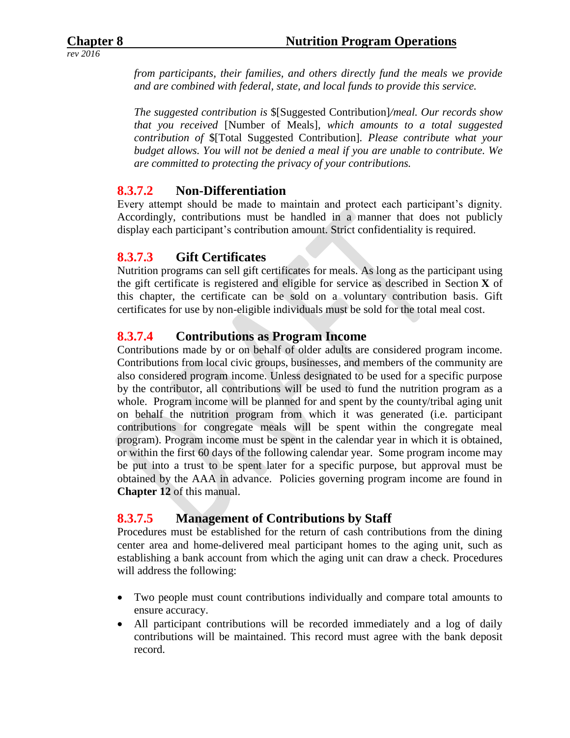*from participants, their families, and others directly fund the meals we provide and are combined with federal, state, and local funds to provide this service.* 

*The suggested contribution is* \$[Suggested Contribution]*/meal. Our records show that you received* [Number of Meals]*, which amounts to a total suggested contribution of* \$[Total Suggested Contribution]*. Please contribute what your budget allows. You will not be denied a meal if you are unable to contribute. We are committed to protecting the privacy of your contributions.* 

#### **8.3.7.2 Non-Differentiation**

Every attempt should be made to maintain and protect each participant's dignity. Accordingly, contributions must be handled in a manner that does not publicly display each participant's contribution amount. Strict confidentiality is required.

#### **8.3.7.3 Gift Certificates**

Nutrition programs can sell gift certificates for meals. As long as the participant using the gift certificate is registered and eligible for service as described in Section **X** of this chapter, the certificate can be sold on a voluntary contribution basis. Gift certificates for use by non-eligible individuals must be sold for the total meal cost.

#### **8.3.7.4 Contributions as Program Income**

Contributions made by or on behalf of older adults are considered program income. Contributions from local civic groups, businesses, and members of the community are also considered program income. Unless designated to be used for a specific purpose by the contributor, all contributions will be used to fund the nutrition program as a whole. Program income will be planned for and spent by the county/tribal aging unit on behalf the nutrition program from which it was generated (i.e. participant contributions for congregate meals will be spent within the congregate meal program). Program income must be spent in the calendar year in which it is obtained, or within the first 60 days of the following calendar year. Some program income may be put into a trust to be spent later for a specific purpose, but approval must be obtained by the AAA in advance. Policies governing program income are found in **Chapter 12** of this manual.

#### **8.3.7.5 Management of Contributions by Staff**

Procedures must be established for the return of cash contributions from the dining center area and home-delivered meal participant homes to the aging unit, such as establishing a bank account from which the aging unit can draw a check. Procedures will address the following:

- Two people must count contributions individually and compare total amounts to ensure accuracy.
- All participant contributions will be recorded immediately and a log of daily contributions will be maintained. This record must agree with the bank deposit record.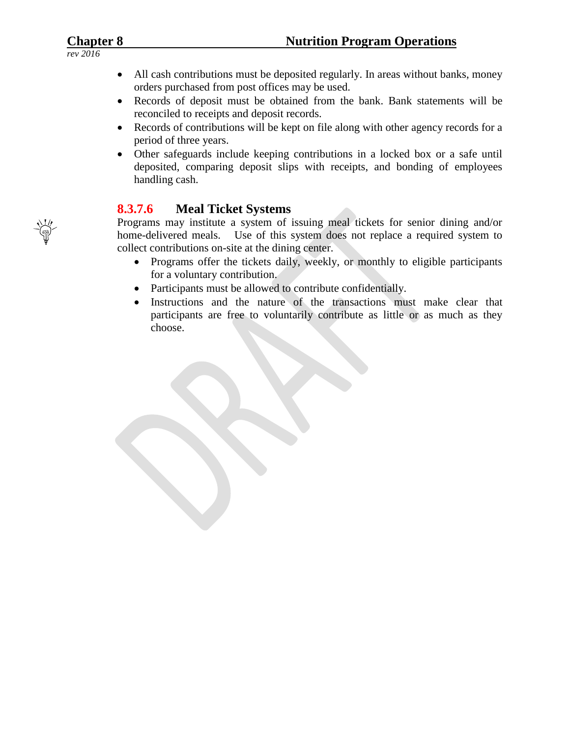- *rev 2016*
- All cash contributions must be deposited regularly. In areas without banks, money orders purchased from post offices may be used.
- Records of deposit must be obtained from the bank. Bank statements will be reconciled to receipts and deposit records.
- Records of contributions will be kept on file along with other agency records for a period of three years.
- Other safeguards include keeping contributions in a locked box or a safe until deposited, comparing deposit slips with receipts, and bonding of employees handling cash.

# **8.3.7.6 Meal Ticket Systems**

Programs may institute a system of issuing meal tickets for senior dining and/or home-delivered meals. Use of this system does not replace a required system to collect contributions on-site at the dining center.

- Programs offer the tickets daily, weekly, or monthly to eligible participants for a voluntary contribution.
- Participants must be allowed to contribute confidentially.
- Instructions and the nature of the transactions must make clear that participants are free to voluntarily contribute as little or as much as they choose.

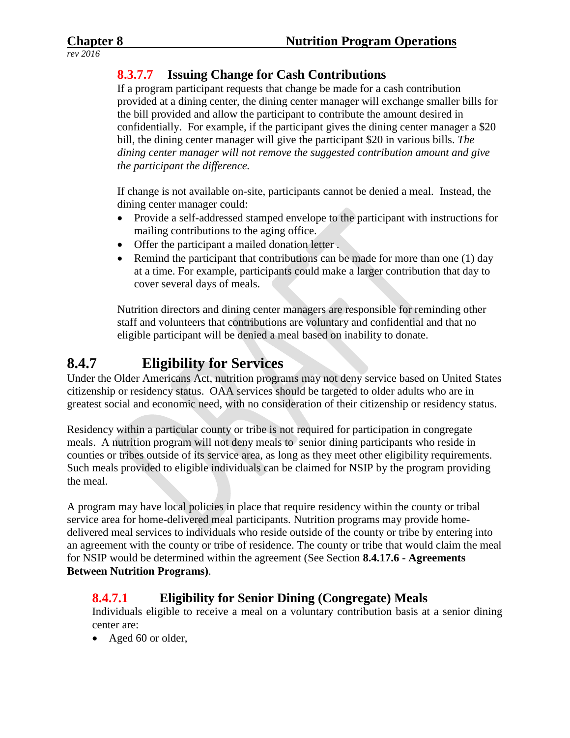# **8.3.7.7 Issuing Change for Cash Contributions**

If a program participant requests that change be made for a cash contribution provided at a dining center, the dining center manager will exchange smaller bills for the bill provided and allow the participant to contribute the amount desired in confidentially. For example, if the participant gives the dining center manager a \$20 bill, the dining center manager will give the participant \$20 in various bills. *The dining center manager will not remove the suggested contribution amount and give the participant the difference.*

If change is not available on-site, participants cannot be denied a meal. Instead, the dining center manager could:

- Provide a self-addressed stamped envelope to the participant with instructions for mailing contributions to the aging office.
- Offer the participant a mailed donation letter.
- Remind the participant that contributions can be made for more than one  $(1)$  day at a time. For example, participants could make a larger contribution that day to cover several days of meals.

Nutrition directors and dining center managers are responsible for reminding other staff and volunteers that contributions are voluntary and confidential and that no eligible participant will be denied a meal based on inability to donate.

# **8.4.7 Eligibility for Services**

Under the Older Americans Act, nutrition programs may not deny service based on United States citizenship or residency status. OAA services should be targeted to older adults who are in greatest social and economic need, with no consideration of their citizenship or residency status.

Residency within a particular county or tribe is not required for participation in congregate meals. A nutrition program will not deny meals to senior dining participants who reside in counties or tribes outside of its service area, as long as they meet other eligibility requirements. Such meals provided to eligible individuals can be claimed for NSIP by the program providing the meal.

A program may have local policies in place that require residency within the county or tribal service area for home-delivered meal participants. Nutrition programs may provide homedelivered meal services to individuals who reside outside of the county or tribe by entering into an agreement with the county or tribe of residence. The county or tribe that would claim the meal for NSIP would be determined within the agreement (See Section **8.4.17.6 - Agreements Between Nutrition Programs)**.

# **8.4.7.1 Eligibility for Senior Dining (Congregate) Meals**

Individuals eligible to receive a meal on a voluntary contribution basis at a senior dining center are:

• Aged 60 or older,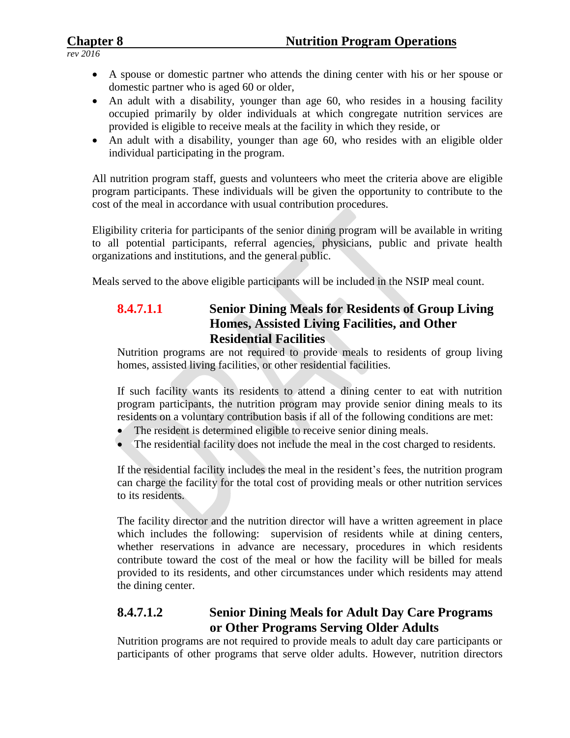- A spouse or domestic partner who attends the dining center with his or her spouse or domestic partner who is aged 60 or older,
- An adult with a disability, younger than age 60, who resides in a housing facility occupied primarily by older individuals at which congregate nutrition services are provided is eligible to receive meals at the facility in which they reside, or
- An adult with a disability, younger than age 60, who resides with an eligible older individual participating in the program.

All nutrition program staff, guests and volunteers who meet the criteria above are eligible program participants. These individuals will be given the opportunity to contribute to the cost of the meal in accordance with usual contribution procedures.

Eligibility criteria for participants of the senior dining program will be available in writing to all potential participants, referral agencies, physicians, public and private health organizations and institutions, and the general public.

Meals served to the above eligible participants will be included in the NSIP meal count.

# **8.4.7.1.1 Senior Dining Meals for Residents of Group Living Homes, Assisted Living Facilities, and Other Residential Facilities**

Nutrition programs are not required to provide meals to residents of group living homes, assisted living facilities, or other residential facilities.

If such facility wants its residents to attend a dining center to eat with nutrition program participants, the nutrition program may provide senior dining meals to its residents on a voluntary contribution basis if all of the following conditions are met:

- The resident is determined eligible to receive senior dining meals.
- The residential facility does not include the meal in the cost charged to residents.

If the residential facility includes the meal in the resident's fees, the nutrition program can charge the facility for the total cost of providing meals or other nutrition services to its residents.

The facility director and the nutrition director will have a written agreement in place which includes the following: supervision of residents while at dining centers, whether reservations in advance are necessary, procedures in which residents contribute toward the cost of the meal or how the facility will be billed for meals provided to its residents, and other circumstances under which residents may attend the dining center.

#### **8.4.7.1.2 Senior Dining Meals for Adult Day Care Programs or Other Programs Serving Older Adults**

Nutrition programs are not required to provide meals to adult day care participants or participants of other programs that serve older adults. However, nutrition directors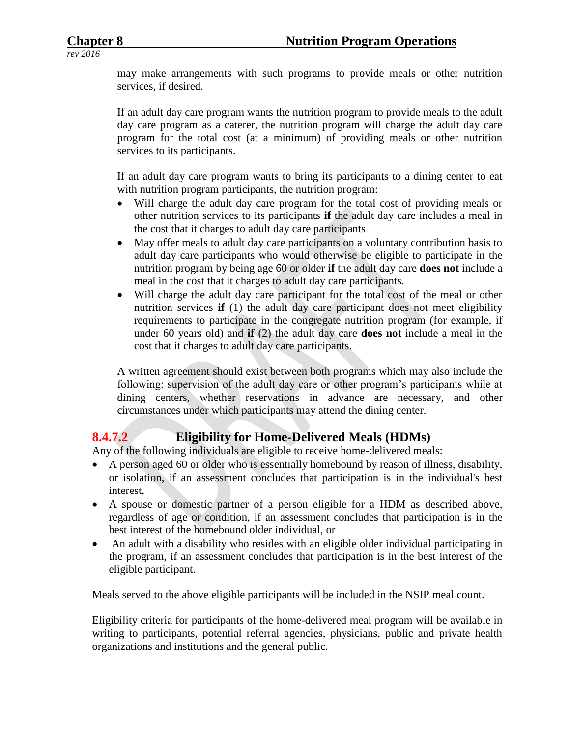may make arrangements with such programs to provide meals or other nutrition services, if desired.

If an adult day care program wants the nutrition program to provide meals to the adult day care program as a caterer, the nutrition program will charge the adult day care program for the total cost (at a minimum) of providing meals or other nutrition services to its participants.

If an adult day care program wants to bring its participants to a dining center to eat with nutrition program participants, the nutrition program:

- Will charge the adult day care program for the total cost of providing meals or other nutrition services to its participants **if** the adult day care includes a meal in the cost that it charges to adult day care participants
- May offer meals to adult day care participants on a voluntary contribution basis to adult day care participants who would otherwise be eligible to participate in the nutrition program by being age 60 or older **if** the adult day care **does not** include a meal in the cost that it charges to adult day care participants.
- Will charge the adult day care participant for the total cost of the meal or other nutrition services **if** (1) the adult day care participant does not meet eligibility requirements to participate in the congregate nutrition program (for example, if under 60 years old) and **if** (2) the adult day care **does not** include a meal in the cost that it charges to adult day care participants.

A written agreement should exist between both programs which may also include the following: supervision of the adult day care or other program's participants while at dining centers, whether reservations in advance are necessary, and other circumstances under which participants may attend the dining center.

# **8.4.7.2 Eligibility for Home-Delivered Meals (HDMs)**

Any of the following individuals are eligible to receive home-delivered meals:

- A person aged 60 or older who is essentially homebound by reason of illness, disability, or isolation, if an assessment concludes that participation is in the individual's best interest,
- A spouse or domestic partner of a person eligible for a HDM as described above, regardless of age or condition, if an assessment concludes that participation is in the best interest of the homebound older individual, or
- An adult with a disability who resides with an eligible older individual participating in the program, if an assessment concludes that participation is in the best interest of the eligible participant.

Meals served to the above eligible participants will be included in the NSIP meal count.

Eligibility criteria for participants of the home-delivered meal program will be available in writing to participants, potential referral agencies, physicians, public and private health organizations and institutions and the general public.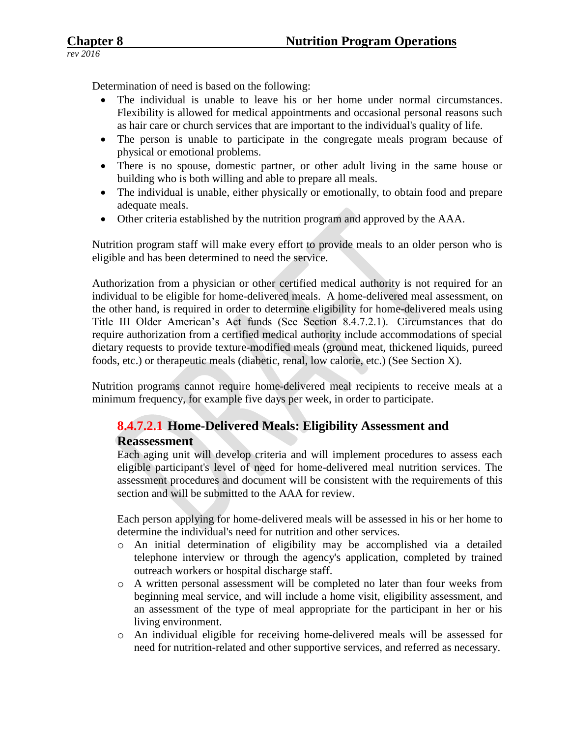Determination of need is based on the following:

- The individual is unable to leave his or her home under normal circumstances. Flexibility is allowed for medical appointments and occasional personal reasons such as hair care or church services that are important to the individual's quality of life.
- The person is unable to participate in the congregate meals program because of physical or emotional problems.
- There is no spouse, domestic partner, or other adult living in the same house or building who is both willing and able to prepare all meals.
- The individual is unable, either physically or emotionally, to obtain food and prepare adequate meals.
- Other criteria established by the nutrition program and approved by the AAA.

Nutrition program staff will make every effort to provide meals to an older person who is eligible and has been determined to need the service.

Authorization from a physician or other certified medical authority is not required for an individual to be eligible for home-delivered meals. A home-delivered meal assessment, on the other hand, is required in order to determine eligibility for home-delivered meals using Title III Older American's Act funds (See Section 8.4.7.2.1). Circumstances that do require authorization from a certified medical authority include accommodations of special dietary requests to provide texture-modified meals (ground meat, thickened liquids, pureed foods, etc.) or therapeutic meals (diabetic, renal, low calorie, etc.) (See Section X).

Nutrition programs cannot require home-delivered meal recipients to receive meals at a minimum frequency, for example five days per week, in order to participate.

#### **8.4.7.2.1 Home-Delivered Meals: Eligibility Assessment and Reassessment**

Each aging unit will develop criteria and will implement procedures to assess each eligible participant's level of need for home-delivered meal nutrition services. The assessment procedures and document will be consistent with the requirements of this section and will be submitted to the AAA for review.

Each person applying for home-delivered meals will be assessed in his or her home to determine the individual's need for nutrition and other services.

- o An initial determination of eligibility may be accomplished via a detailed telephone interview or through the agency's application, completed by trained outreach workers or hospital discharge staff.
- o A written personal assessment will be completed no later than four weeks from beginning meal service, and will include a home visit, eligibility assessment, and an assessment of the type of meal appropriate for the participant in her or his living environment.
- o An individual eligible for receiving home-delivered meals will be assessed for need for nutrition-related and other supportive services, and referred as necessary.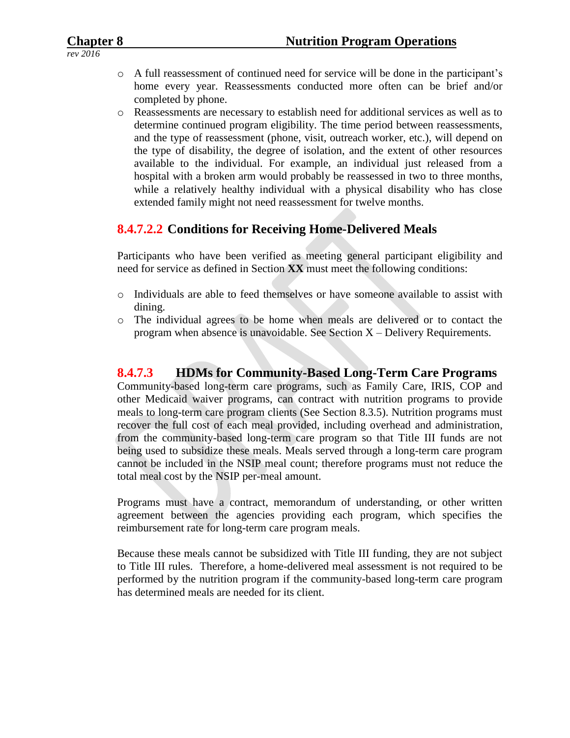- o A full reassessment of continued need for service will be done in the participant's home every year. Reassessments conducted more often can be brief and/or completed by phone.
- o Reassessments are necessary to establish need for additional services as well as to determine continued program eligibility. The time period between reassessments, and the type of reassessment (phone, visit, outreach worker, etc.), will depend on the type of disability, the degree of isolation, and the extent of other resources available to the individual. For example, an individual just released from a hospital with a broken arm would probably be reassessed in two to three months, while a relatively healthy individual with a physical disability who has close extended family might not need reassessment for twelve months.

#### **8.4.7.2.2 Conditions for Receiving Home-Delivered Meals**

Participants who have been verified as meeting general participant eligibility and need for service as defined in Section **XX** must meet the following conditions:

- o Individuals are able to feed themselves or have someone available to assist with dining.
- o The individual agrees to be home when meals are delivered or to contact the program when absence is unavoidable. See Section  $X -$ Delivery Requirements.

#### **8.4.7.3 HDMs for Community-Based Long-Term Care Programs**

Community-based long-term care programs, such as Family Care, IRIS, COP and other Medicaid waiver programs, can contract with nutrition programs to provide meals to long-term care program clients (See Section 8.3.5). Nutrition programs must recover the full cost of each meal provided, including overhead and administration, from the community-based long-term care program so that Title III funds are not being used to subsidize these meals. Meals served through a long-term care program cannot be included in the NSIP meal count; therefore programs must not reduce the total meal cost by the NSIP per-meal amount.

Programs must have a contract, memorandum of understanding, or other written agreement between the agencies providing each program, which specifies the reimbursement rate for long-term care program meals.

Because these meals cannot be subsidized with Title III funding, they are not subject to Title III rules. Therefore, a home-delivered meal assessment is not required to be performed by the nutrition program if the community-based long-term care program has determined meals are needed for its client.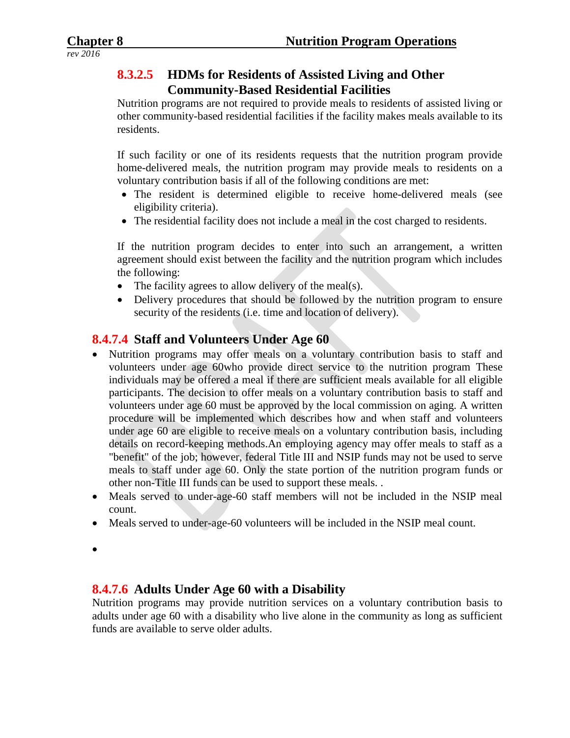### **8.3.2.5 HDMs for Residents of Assisted Living and Other Community-Based Residential Facilities**

Nutrition programs are not required to provide meals to residents of assisted living or other community-based residential facilities if the facility makes meals available to its residents.

If such facility or one of its residents requests that the nutrition program provide home-delivered meals, the nutrition program may provide meals to residents on a voluntary contribution basis if all of the following conditions are met:

- The resident is determined eligible to receive home-delivered meals (see eligibility criteria).
- The residential facility does not include a meal in the cost charged to residents.

If the nutrition program decides to enter into such an arrangement, a written agreement should exist between the facility and the nutrition program which includes the following:

- The facility agrees to allow delivery of the meal(s).
- Delivery procedures that should be followed by the nutrition program to ensure security of the residents (i.e. time and location of delivery).

# **8.4.7.4 Staff and Volunteers Under Age 60**

- Nutrition programs may offer meals on a voluntary contribution basis to staff and volunteers under age 60who provide direct service to the nutrition program These individuals may be offered a meal if there are sufficient meals available for all eligible participants. The decision to offer meals on a voluntary contribution basis to staff and volunteers under age 60 must be approved by the local commission on aging. A written procedure will be implemented which describes how and when staff and volunteers under age 60 are eligible to receive meals on a voluntary contribution basis, including details on record-keeping methods.An employing agency may offer meals to staff as a "benefit" of the job; however, federal Title III and NSIP funds may not be used to serve meals to staff under age 60. Only the state portion of the nutrition program funds or other non-Title III funds can be used to support these meals. .
- Meals served to under-age-60 staff members will not be included in the NSIP meal count.
- Meals served to under-age-60 volunteers will be included in the NSIP meal count.
- $\bullet$

#### **8.4.7.6 Adults Under Age 60 with a Disability**

Nutrition programs may provide nutrition services on a voluntary contribution basis to adults under age 60 with a disability who live alone in the community as long as sufficient funds are available to serve older adults.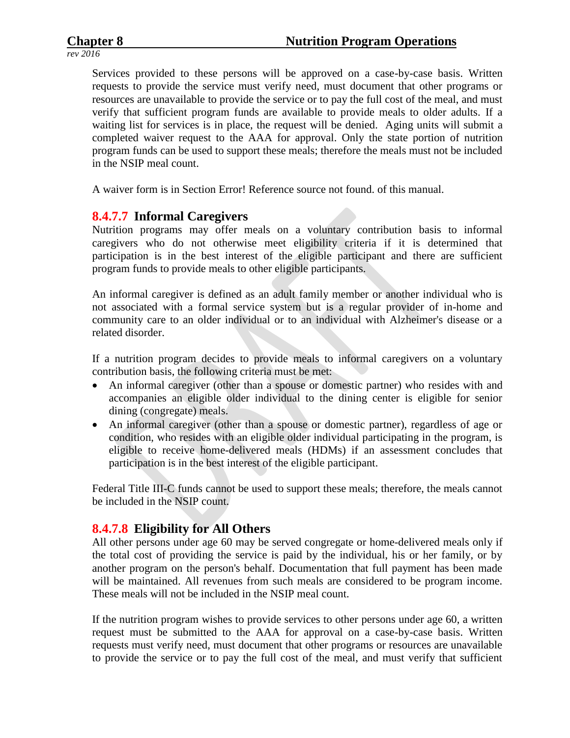Services provided to these persons will be approved on a case-by-case basis. Written requests to provide the service must verify need, must document that other programs or resources are unavailable to provide the service or to pay the full cost of the meal, and must verify that sufficient program funds are available to provide meals to older adults. If a waiting list for services is in place, the request will be denied. Aging units will submit a completed waiver request to the AAA for approval. Only the state portion of nutrition program funds can be used to support these meals; therefore the meals must not be included in the NSIP meal count.

A waiver form is in Section Error! Reference source not found. of this manual.

#### **8.4.7.7 Informal Caregivers**

Nutrition programs may offer meals on a voluntary contribution basis to informal caregivers who do not otherwise meet eligibility criteria if it is determined that participation is in the best interest of the eligible participant and there are sufficient program funds to provide meals to other eligible participants.

An informal caregiver is defined as an adult family member or another individual who is not associated with a formal service system but is a regular provider of in-home and community care to an older individual or to an individual with Alzheimer's disease or a related disorder.

If a nutrition program decides to provide meals to informal caregivers on a voluntary contribution basis, the following criteria must be met:

- An informal caregiver (other than a spouse or domestic partner) who resides with and accompanies an eligible older individual to the dining center is eligible for senior dining (congregate) meals.
- An informal caregiver (other than a spouse or domestic partner), regardless of age or condition, who resides with an eligible older individual participating in the program, is eligible to receive home-delivered meals (HDMs) if an assessment concludes that participation is in the best interest of the eligible participant.

Federal Title III-C funds cannot be used to support these meals; therefore, the meals cannot be included in the NSIP count.

#### **8.4.7.8 Eligibility for All Others**

All other persons under age 60 may be served congregate or home-delivered meals only if the total cost of providing the service is paid by the individual, his or her family, or by another program on the person's behalf. Documentation that full payment has been made will be maintained. All revenues from such meals are considered to be program income. These meals will not be included in the NSIP meal count.

If the nutrition program wishes to provide services to other persons under age 60, a written request must be submitted to the AAA for approval on a case-by-case basis. Written requests must verify need, must document that other programs or resources are unavailable to provide the service or to pay the full cost of the meal, and must verify that sufficient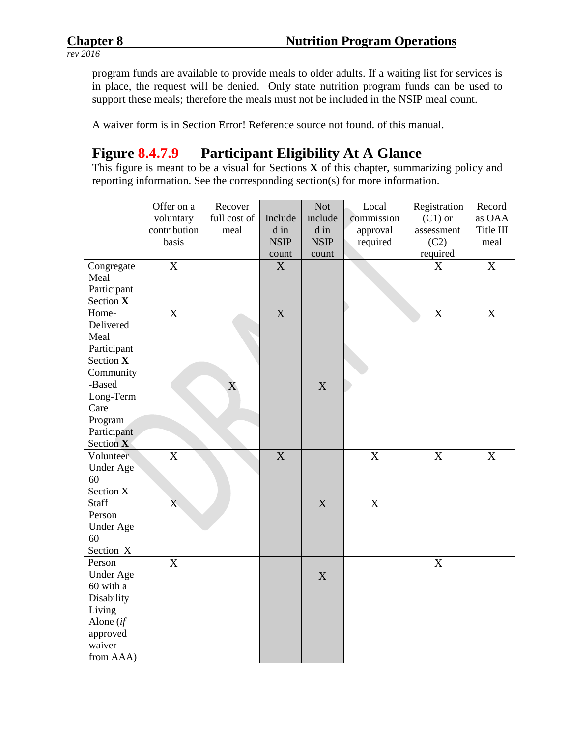program funds are available to provide meals to older adults. If a waiting list for services is in place, the request will be denied. Only state nutrition program funds can be used to support these meals; therefore the meals must not be included in the NSIP meal count.

A waiver form is in Section Error! Reference source not found. of this manual.

# **Figure 8.4.7.9 Participant Eligibility At A Glance**

This figure is meant to be a visual for Sections **X** of this chapter, summarizing policy and reporting information. See the corresponding section(s) for more information.

|                  | Offer on a                | Recover      |                           | <b>Not</b>  | Local                     | Registration          | Record      |
|------------------|---------------------------|--------------|---------------------------|-------------|---------------------------|-----------------------|-------------|
|                  | voluntary                 | full cost of | Include                   | include     | commission                | $(C1)$ or             | as OAA      |
|                  | contribution              | meal         | d in                      | d in        | approval                  | assessment            | Title III   |
|                  | basis                     |              | <b>NSIP</b>               | <b>NSIP</b> | required                  | (C2)                  | meal        |
|                  |                           |              | count                     | count       |                           | required              |             |
| Congregate       | $\overline{\text{X}}$     |              | X                         |             |                           | X                     | X           |
| Meal             |                           |              |                           |             |                           |                       |             |
| Participant      |                           |              |                           |             |                           |                       |             |
| Section X        |                           |              |                           |             |                           |                       |             |
| Home-            | $\boldsymbol{\mathrm{X}}$ |              | $\mathbf X$               |             |                           | $\mathbf X$           | $\mathbf X$ |
| Delivered        |                           |              |                           |             |                           |                       |             |
| Meal             |                           |              |                           |             |                           |                       |             |
| Participant      |                           |              |                           |             |                           |                       |             |
| Section X        |                           |              |                           |             |                           |                       |             |
| Community        |                           |              |                           |             |                           |                       |             |
| -Based           |                           | X            |                           | X           |                           |                       |             |
| Long-Term        |                           |              |                           |             |                           |                       |             |
| Care             |                           |              |                           |             |                           |                       |             |
| Program          |                           |              |                           |             |                           |                       |             |
| Participant      |                           |              |                           |             |                           |                       |             |
| Section X        |                           |              |                           |             |                           |                       |             |
| Volunteer        | $\overline{\mathbf{X}}$   |              | $\boldsymbol{\mathrm{X}}$ |             | $\boldsymbol{\mathrm{X}}$ | $\overline{\text{X}}$ | $\mathbf X$ |
| Under Age        |                           |              |                           |             |                           |                       |             |
| 60               |                           |              |                           |             |                           |                       |             |
| Section X        |                           |              |                           |             |                           |                       |             |
| <b>Staff</b>     | $\mathbf{X}$              |              |                           | X           | $\boldsymbol{\mathrm{X}}$ |                       |             |
| Person           |                           |              |                           |             |                           |                       |             |
| <b>Under Age</b> |                           |              |                           |             |                           |                       |             |
| 60               |                           |              |                           |             |                           |                       |             |
| Section X        |                           |              |                           |             |                           |                       |             |
| Person           | X                         |              |                           |             |                           | $\mathbf X$           |             |
| <b>Under Age</b> |                           |              |                           | X           |                           |                       |             |
| 60 with a        |                           |              |                           |             |                           |                       |             |
| Disability       |                           |              |                           |             |                           |                       |             |
| Living           |                           |              |                           |             |                           |                       |             |
| Alone (if        |                           |              |                           |             |                           |                       |             |
| approved         |                           |              |                           |             |                           |                       |             |
| waiver           |                           |              |                           |             |                           |                       |             |
| from AAA)        |                           |              |                           |             |                           |                       |             |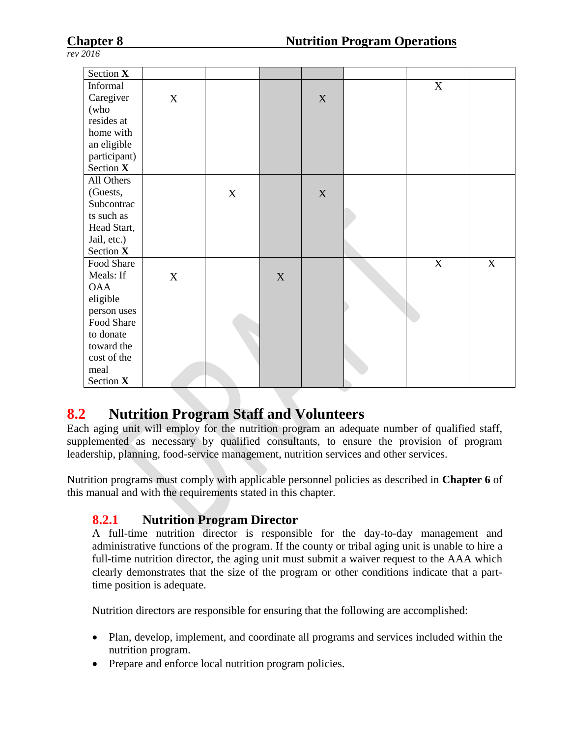| Section X    |                           |             |             |             |   |             |
|--------------|---------------------------|-------------|-------------|-------------|---|-------------|
| Informal     |                           |             |             |             | X |             |
| Caregiver    | $\boldsymbol{\mathrm{X}}$ |             |             | $\mathbf X$ |   |             |
| (who         |                           |             |             |             |   |             |
| resides at   |                           |             |             |             |   |             |
| home with    |                           |             |             |             |   |             |
| an eligible  |                           |             |             |             |   |             |
| participant) |                           |             |             |             |   |             |
| Section X    |                           |             |             |             |   |             |
| All Others   |                           |             |             |             |   |             |
| (Guests,     |                           | $\mathbf X$ |             | X           |   |             |
| Subcontrac   |                           |             |             |             |   |             |
| ts such as   |                           |             |             |             |   |             |
| Head Start,  |                           |             |             |             |   |             |
| Jail, etc.)  |                           |             |             |             |   |             |
| Section X    |                           |             |             |             |   |             |
| Food Share   |                           |             |             |             | X | $\mathbf X$ |
| Meals: If    | X                         |             | $\mathbf X$ |             |   |             |
| <b>OAA</b>   |                           |             |             |             |   |             |
| eligible     |                           |             |             |             |   |             |
| person uses  |                           |             |             |             |   |             |
| Food Share   |                           |             |             |             |   |             |
| to donate    |                           |             |             |             |   |             |
| toward the   |                           |             |             |             |   |             |
| cost of the  |                           |             |             |             |   |             |
| meal         |                           |             |             |             |   |             |
| Section X    |                           |             |             |             |   |             |

# **8.2 Nutrition Program Staff and Volunteers**

Each aging unit will employ for the nutrition program an adequate number of qualified staff, supplemented as necessary by qualified consultants, to ensure the provision of program leadership, planning, food-service management, nutrition services and other services.

Nutrition programs must comply with applicable personnel policies as described in **Chapter 6** of this manual and with the requirements stated in this chapter.

# **8.2.1 Nutrition Program Director**

A full-time nutrition director is responsible for the day-to-day management and administrative functions of the program. If the county or tribal aging unit is unable to hire a full-time nutrition director, the aging unit must submit a waiver request to the AAA which clearly demonstrates that the size of the program or other conditions indicate that a parttime position is adequate.

Nutrition directors are responsible for ensuring that the following are accomplished:

- Plan, develop, implement, and coordinate all programs and services included within the nutrition program.
- Prepare and enforce local nutrition program policies.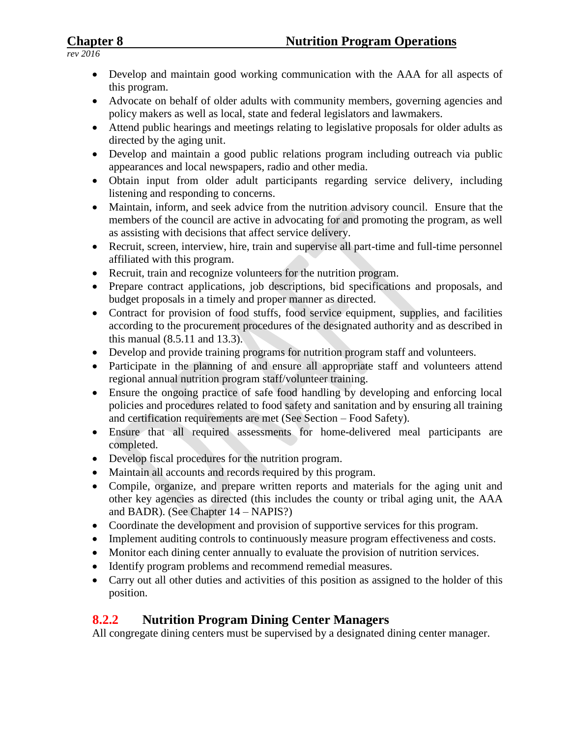### **Chapter 8 Nutrition Program Operations**

*rev 2016*

- Develop and maintain good working communication with the AAA for all aspects of this program.
- Advocate on behalf of older adults with community members, governing agencies and policy makers as well as local, state and federal legislators and lawmakers.
- Attend public hearings and meetings relating to legislative proposals for older adults as directed by the aging unit.
- Develop and maintain a good public relations program including outreach via public appearances and local newspapers, radio and other media.
- Obtain input from older adult participants regarding service delivery, including listening and responding to concerns.
- Maintain, inform, and seek advice from the nutrition advisory council. Ensure that the members of the council are active in advocating for and promoting the program, as well as assisting with decisions that affect service delivery.
- Recruit, screen, interview, hire, train and supervise all part-time and full-time personnel affiliated with this program.
- Recruit, train and recognize volunteers for the nutrition program.
- Prepare contract applications, job descriptions, bid specifications and proposals, and budget proposals in a timely and proper manner as directed.
- Contract for provision of food stuffs, food service equipment, supplies, and facilities according to the procurement procedures of the designated authority and as described in this manual (8.5.11 and 13.3).
- Develop and provide training programs for nutrition program staff and volunteers.
- Participate in the planning of and ensure all appropriate staff and volunteers attend regional annual nutrition program staff/volunteer training.
- Ensure the ongoing practice of safe food handling by developing and enforcing local policies and procedures related to food safety and sanitation and by ensuring all training and certification requirements are met (See Section – Food Safety).
- Ensure that all required assessments for home-delivered meal participants are completed.
- Develop fiscal procedures for the nutrition program.
- Maintain all accounts and records required by this program.
- Compile, organize, and prepare written reports and materials for the aging unit and other key agencies as directed (this includes the county or tribal aging unit, the AAA and BADR). (See Chapter 14 – NAPIS?)
- Coordinate the development and provision of supportive services for this program.
- Implement auditing controls to continuously measure program effectiveness and costs.
- Monitor each dining center annually to evaluate the provision of nutrition services.
- Identify program problems and recommend remedial measures.
- Carry out all other duties and activities of this position as assigned to the holder of this position.

# **8.2.2 Nutrition Program Dining Center Managers**

All congregate dining centers must be supervised by a designated dining center manager.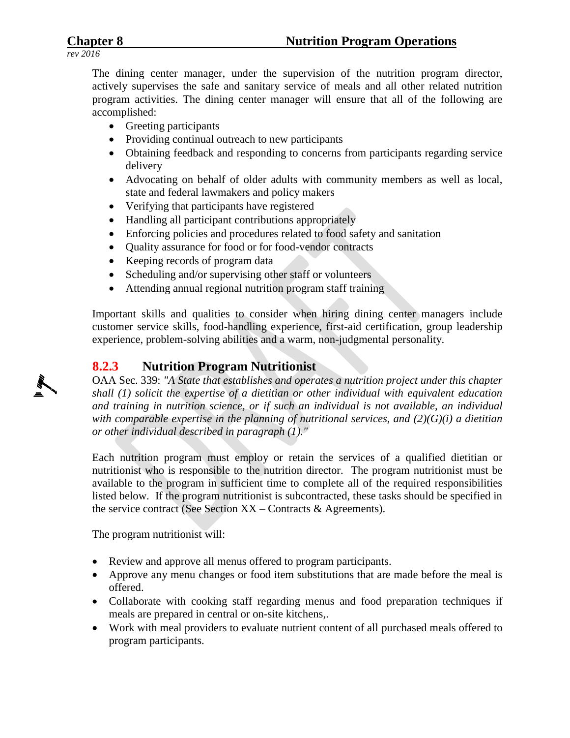The dining center manager, under the supervision of the nutrition program director, actively supervises the safe and sanitary service of meals and all other related nutrition program activities. The dining center manager will ensure that all of the following are accomplished:

- Greeting participants
- Providing continual outreach to new participants
- Obtaining feedback and responding to concerns from participants regarding service delivery
- Advocating on behalf of older adults with community members as well as local, state and federal lawmakers and policy makers
- Verifying that participants have registered
- Handling all participant contributions appropriately
- Enforcing policies and procedures related to food safety and sanitation
- Quality assurance for food or for food-vendor contracts
- Keeping records of program data
- Scheduling and/or supervising other staff or volunteers
- Attending annual regional nutrition program staff training

Important skills and qualities to consider when hiring dining center managers include customer service skills, food-handling experience, first-aid certification, group leadership experience, problem-solving abilities and a warm, non-judgmental personality.

#### **8.2.3 Nutrition Program Nutritionist**

OAA Sec. 339: *"A State that establishes and operates a nutrition project under this chapter shall (1) solicit the expertise of a dietitian or other individual with equivalent education and training in nutrition science, or if such an individual is not available, an individual with comparable expertise in the planning of nutritional services, and (2)(G)(i) a dietitian or other individual described in paragraph (1)."*

Each nutrition program must employ or retain the services of a qualified dietitian or nutritionist who is responsible to the nutrition director. The program nutritionist must be available to the program in sufficient time to complete all of the required responsibilities listed below. If the program nutritionist is subcontracted, these tasks should be specified in the service contract (See Section XX – Contracts & Agreements).

The program nutritionist will:

- Review and approve all menus offered to program participants.
- Approve any menu changes or food item substitutions that are made before the meal is offered.
- Collaborate with cooking staff regarding menus and food preparation techniques if meals are prepared in central or on-site kitchens,.
- Work with meal providers to evaluate nutrient content of all purchased meals offered to program participants.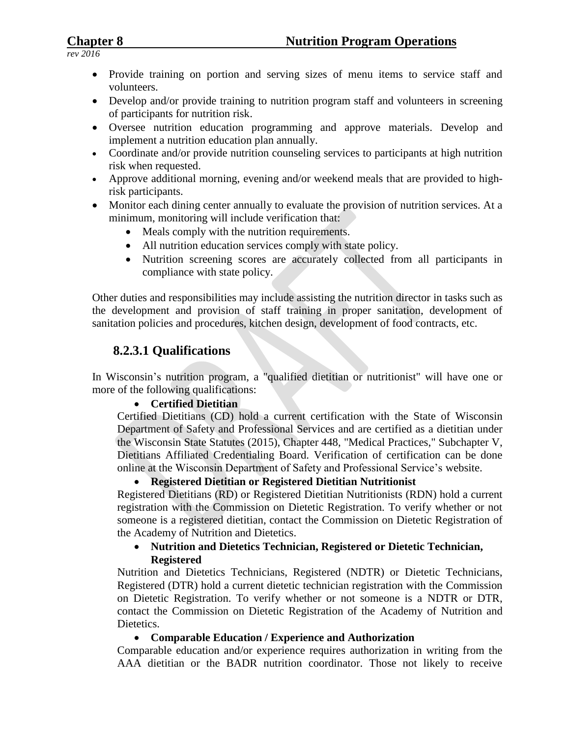- Provide training on portion and serving sizes of menu items to service staff and volunteers.
- Develop and/or provide training to nutrition program staff and volunteers in screening of participants for nutrition risk.
- Oversee nutrition education programming and approve materials. Develop and implement a nutrition education plan annually.
- Coordinate and/or provide nutrition counseling services to participants at high nutrition risk when requested.
- Approve additional morning, evening and/or weekend meals that are provided to highrisk participants.
- Monitor each dining center annually to evaluate the provision of nutrition services. At a minimum, monitoring will include verification that:
	- Meals comply with the nutrition requirements.
	- All nutrition education services comply with state policy.
	- Nutrition screening scores are accurately collected from all participants in compliance with state policy.

Other duties and responsibilities may include assisting the nutrition director in tasks such as the development and provision of staff training in proper sanitation, development of sanitation policies and procedures, kitchen design, development of food contracts, etc.

#### **8.2.3.1 Qualifications**

In Wisconsin's nutrition program, a "qualified dietitian or nutritionist" will have one or more of the following qualifications:

#### **Certified Dietitian**

Certified Dietitians (CD) hold a current certification with the State of Wisconsin Department of Safety and Professional Services and are certified as a dietitian under the Wisconsin State Statutes (2015), Chapter 448, "Medical Practices," Subchapter V, Dietitians Affiliated Credentialing Board. Verification of certification can be done online at the Wisconsin Department of Safety and Professional Service's website.

#### **Registered Dietitian or Registered Dietitian Nutritionist**

Registered Dietitians (RD) or Registered Dietitian Nutritionists (RDN) hold a current registration with the Commission on Dietetic Registration. To verify whether or not someone is a registered dietitian, contact the Commission on Dietetic Registration of the Academy of Nutrition and Dietetics.

#### **Nutrition and Dietetics Technician, Registered or Dietetic Technician, Registered**

Nutrition and Dietetics Technicians, Registered (NDTR) or Dietetic Technicians, Registered (DTR) hold a current dietetic technician registration with the Commission on Dietetic Registration. To verify whether or not someone is a NDTR or DTR, contact the Commission on Dietetic Registration of the Academy of Nutrition and Dietetics.

#### **Comparable Education / Experience and Authorization**

Comparable education and/or experience requires authorization in writing from the AAA dietitian or the BADR nutrition coordinator. Those not likely to receive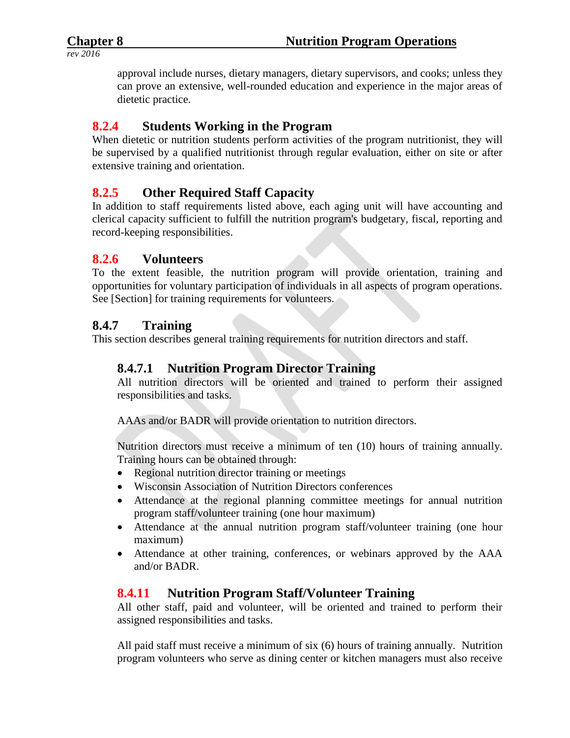approval include nurses, dietary managers, dietary supervisors, and cooks; unless they can prove an extensive, well-rounded education and experience in the major areas of dietetic practice.

# **8.2.4 Students Working in the Program**

When dietetic or nutrition students perform activities of the program nutritionist, they will be supervised by a qualified nutritionist through regular evaluation, either on site or after extensive training and orientation.

# **8.2.5 Other Required Staff Capacity**

In addition to staff requirements listed above, each aging unit will have accounting and clerical capacity sufficient to fulfill the nutrition program's budgetary, fiscal, reporting and record-keeping responsibilities.

#### **8.2.6 Volunteers**

To the extent feasible, the nutrition program will provide orientation, training and opportunities for voluntary participation of individuals in all aspects of program operations. See [Section] for training requirements for volunteers.

#### **8.4.7 Training**

This section describes general training requirements for nutrition directors and staff.

#### **8.4.7.1 Nutrition Program Director Training**

All nutrition directors will be oriented and trained to perform their assigned responsibilities and tasks.

AAAs and/or BADR will provide orientation to nutrition directors.

Nutrition directors must receive a minimum of ten (10) hours of training annually. Training hours can be obtained through:

- Regional nutrition director training or meetings
- Wisconsin Association of Nutrition Directors conferences
- Attendance at the regional planning committee meetings for annual nutrition program staff/volunteer training (one hour maximum)
- Attendance at the annual nutrition program staff/volunteer training (one hour maximum)
- Attendance at other training, conferences, or webinars approved by the AAA and/or BADR.

# **8.4.11 Nutrition Program Staff/Volunteer Training**

All other staff, paid and volunteer, will be oriented and trained to perform their assigned responsibilities and tasks.

All paid staff must receive a minimum of six (6) hours of training annually. Nutrition program volunteers who serve as dining center or kitchen managers must also receive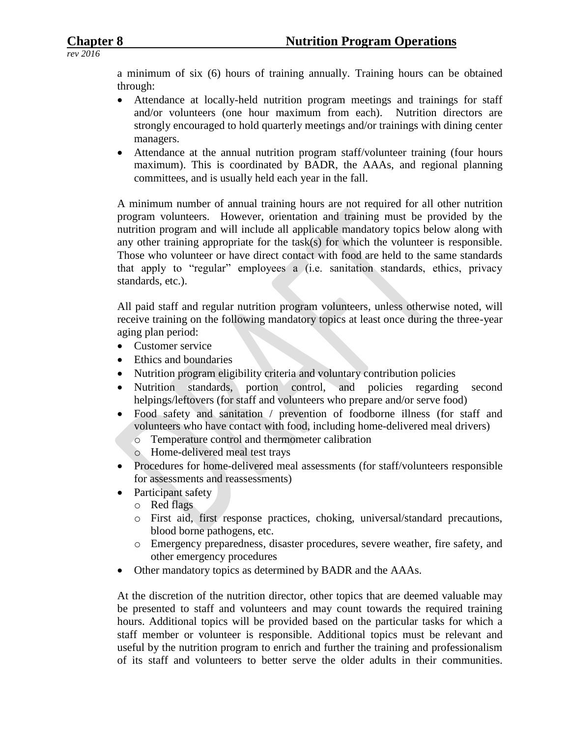a minimum of six (6) hours of training annually. Training hours can be obtained through:

- Attendance at locally-held nutrition program meetings and trainings for staff and/or volunteers (one hour maximum from each). Nutrition directors are strongly encouraged to hold quarterly meetings and/or trainings with dining center managers.
- Attendance at the annual nutrition program staff/volunteer training (four hours maximum). This is coordinated by BADR, the AAAs, and regional planning committees, and is usually held each year in the fall.

A minimum number of annual training hours are not required for all other nutrition program volunteers. However, orientation and training must be provided by the nutrition program and will include all applicable mandatory topics below along with any other training appropriate for the task(s) for which the volunteer is responsible. Those who volunteer or have direct contact with food are held to the same standards that apply to "regular" employees a (i.e. sanitation standards, ethics, privacy standards, etc.).

All paid staff and regular nutrition program volunteers, unless otherwise noted, will receive training on the following mandatory topics at least once during the three-year aging plan period:

- Customer service
- Ethics and boundaries
- Nutrition program eligibility criteria and voluntary contribution policies
- Nutrition standards, portion control, and policies regarding second helpings/leftovers (for staff and volunteers who prepare and/or serve food)
- Food safety and sanitation / prevention of foodborne illness (for staff and volunteers who have contact with food, including home-delivered meal drivers)
	- o Temperature control and thermometer calibration
	- o Home-delivered meal test trays
- Procedures for home-delivered meal assessments (for staff/volunteers responsible for assessments and reassessments)
- Participant safety
	- o Red flags
	- o First aid, first response practices, choking, universal/standard precautions, blood borne pathogens, etc.
	- o Emergency preparedness, disaster procedures, severe weather, fire safety, and other emergency procedures
- Other mandatory topics as determined by BADR and the AAAs.

At the discretion of the nutrition director, other topics that are deemed valuable may be presented to staff and volunteers and may count towards the required training hours. Additional topics will be provided based on the particular tasks for which a staff member or volunteer is responsible. Additional topics must be relevant and useful by the nutrition program to enrich and further the training and professionalism of its staff and volunteers to better serve the older adults in their communities.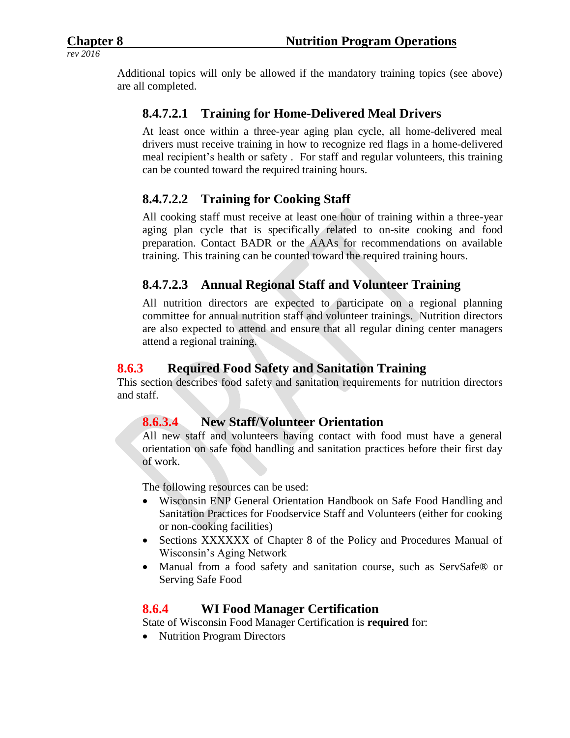Additional topics will only be allowed if the mandatory training topics (see above) are all completed.

# **8.4.7.2.1 Training for Home-Delivered Meal Drivers**

At least once within a three-year aging plan cycle, all home-delivered meal drivers must receive training in how to recognize red flags in a home-delivered meal recipient's health or safety . For staff and regular volunteers, this training can be counted toward the required training hours.

# **8.4.7.2.2 Training for Cooking Staff**

All cooking staff must receive at least one hour of training within a three-year aging plan cycle that is specifically related to on-site cooking and food preparation. Contact BADR or the AAAs for recommendations on available training. This training can be counted toward the required training hours.

# **8.4.7.2.3 Annual Regional Staff and Volunteer Training**

All nutrition directors are expected to participate on a regional planning committee for annual nutrition staff and volunteer trainings. Nutrition directors are also expected to attend and ensure that all regular dining center managers attend a regional training.

#### **8.6.3 Required Food Safety and Sanitation Training**

This section describes food safety and sanitation requirements for nutrition directors and staff.

#### **8.6.3.4 New Staff/Volunteer Orientation**

All new staff and volunteers having contact with food must have a general orientation on safe food handling and sanitation practices before their first day of work.

The following resources can be used:

- Wisconsin ENP General Orientation Handbook on Safe Food Handling and Sanitation Practices for Foodservice Staff and Volunteers (either for cooking or non-cooking facilities)
- Sections XXXXXX of Chapter 8 of the Policy and Procedures Manual of Wisconsin's Aging Network
- Manual from a food safety and sanitation course, such as ServSafe® or Serving Safe Food

#### **8.6.4 WI Food Manager Certification**

State of Wisconsin Food Manager Certification is **required** for:

• Nutrition Program Directors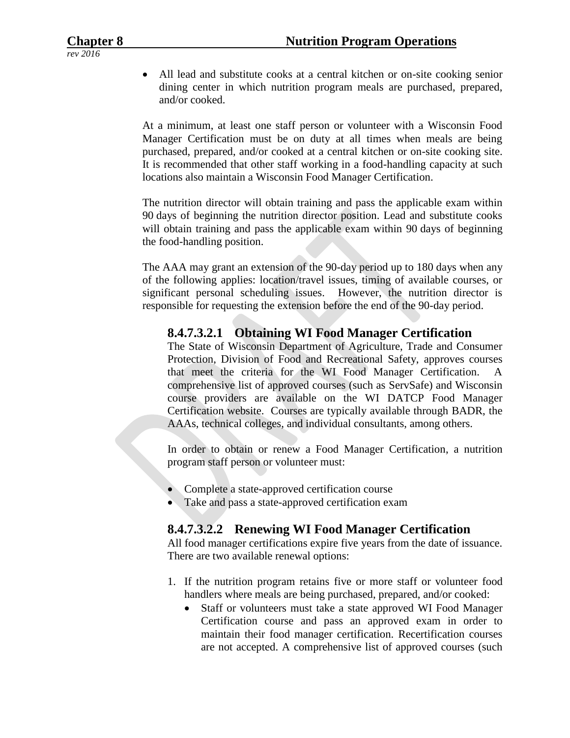All lead and substitute cooks at a central kitchen or on-site cooking senior dining center in which nutrition program meals are purchased, prepared, and/or cooked.

At a minimum, at least one staff person or volunteer with a Wisconsin Food Manager Certification must be on duty at all times when meals are being purchased, prepared, and/or cooked at a central kitchen or on-site cooking site. It is recommended that other staff working in a food-handling capacity at such locations also maintain a Wisconsin Food Manager Certification.

The nutrition director will obtain training and pass the applicable exam within 90 days of beginning the nutrition director position. Lead and substitute cooks will obtain training and pass the applicable exam within 90 days of beginning the food-handling position.

The AAA may grant an extension of the 90-day period up to 180 days when any of the following applies: location/travel issues, timing of available courses, or significant personal scheduling issues. However, the nutrition director is responsible for requesting the extension before the end of the 90-day period.

#### **8.4.7.3.2.1 Obtaining WI Food Manager Certification**

The State of Wisconsin Department of Agriculture, Trade and Consumer Protection, Division of Food and Recreational Safety, approves courses that meet the criteria for the WI Food Manager Certification. A comprehensive list of approved courses (such as ServSafe) and Wisconsin course providers are available on the WI DATCP Food Manager Certification website. Courses are typically available through BADR, the AAAs, technical colleges, and individual consultants, among others.

In order to obtain or renew a Food Manager Certification, a nutrition program staff person or volunteer must:

- Complete a state-approved certification course
- Take and pass a state-approved certification exam

#### **8.4.7.3.2.2 Renewing WI Food Manager Certification**

All food manager certifications expire five years from the date of issuance. There are two available renewal options:

- 1. If the nutrition program retains five or more staff or volunteer food handlers where meals are being purchased, prepared, and/or cooked:
	- Staff or volunteers must take a state approved WI Food Manager Certification course and pass an approved exam in order to maintain their food manager certification. Recertification courses are not accepted. A comprehensive list of approved courses (such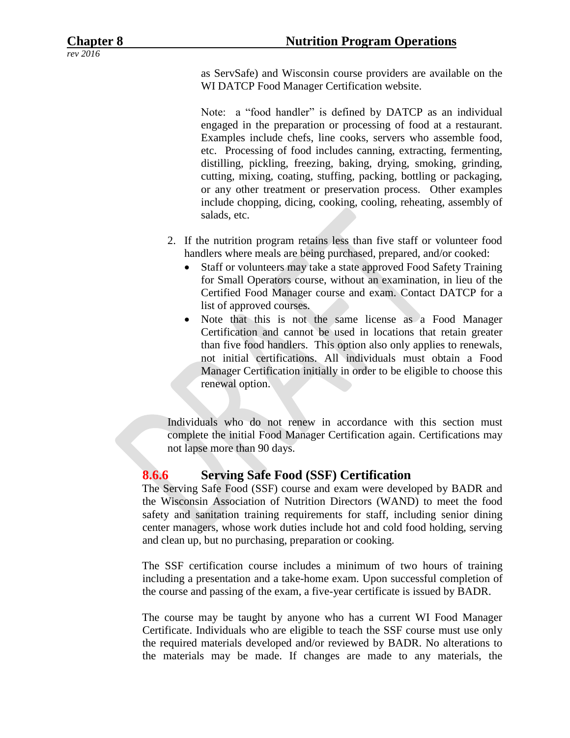as ServSafe) and Wisconsin course providers are available on the WI DATCP Food Manager Certification website.

Note: a "food handler" is defined by DATCP as an individual engaged in the preparation or processing of food at a restaurant. Examples include chefs, line cooks, servers who assemble food, etc. Processing of food includes canning, extracting, fermenting, distilling, pickling, freezing, baking, drying, smoking, grinding, cutting, mixing, coating, stuffing, packing, bottling or packaging, or any other treatment or preservation process. Other examples include chopping, dicing, cooking, cooling, reheating, assembly of salads, etc.

- 2. If the nutrition program retains less than five staff or volunteer food handlers where meals are being purchased, prepared, and/or cooked:
	- Staff or volunteers may take a state approved Food Safety Training for Small Operators course, without an examination, in lieu of the Certified Food Manager course and exam. Contact DATCP for a list of approved courses.
	- Note that this is not the same license as a Food Manager Certification and cannot be used in locations that retain greater than five food handlers. This option also only applies to renewals, not initial certifications. All individuals must obtain a Food Manager Certification initially in order to be eligible to choose this renewal option.

Individuals who do not renew in accordance with this section must complete the initial Food Manager Certification again. Certifications may not lapse more than 90 days.

#### **8.6.6 Serving Safe Food (SSF) Certification**

The Serving Safe Food (SSF) course and exam were developed by BADR and the Wisconsin Association of Nutrition Directors (WAND) to meet the food safety and sanitation training requirements for staff, including senior dining center managers, whose work duties include hot and cold food holding, serving and clean up, but no purchasing, preparation or cooking.

The SSF certification course includes a minimum of two hours of training including a presentation and a take-home exam. Upon successful completion of the course and passing of the exam, a five-year certificate is issued by BADR.

The course may be taught by anyone who has a current WI Food Manager Certificate. Individuals who are eligible to teach the SSF course must use only the required materials developed and/or reviewed by BADR. No alterations to the materials may be made. If changes are made to any materials, the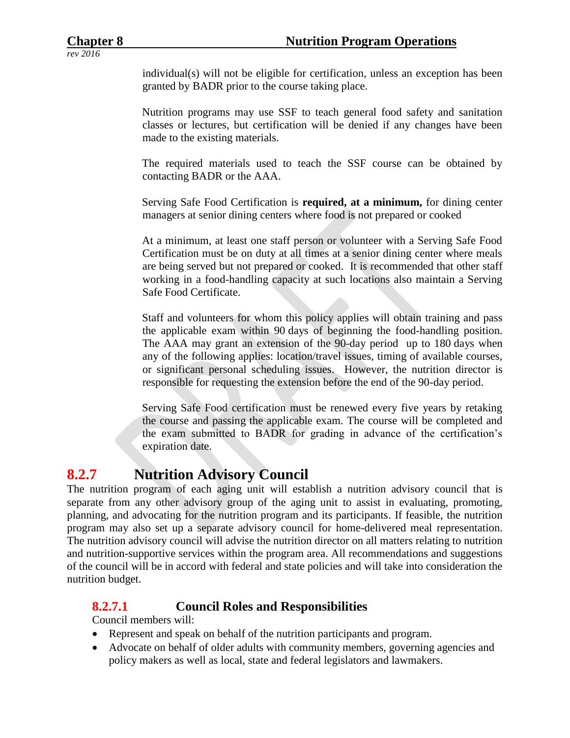individual(s) will not be eligible for certification, unless an exception has been granted by BADR prior to the course taking place.

Nutrition programs may use SSF to teach general food safety and sanitation classes or lectures, but certification will be denied if any changes have been made to the existing materials.

The required materials used to teach the SSF course can be obtained by contacting BADR or the AAA.

Serving Safe Food Certification is **required, at a minimum,** for dining center managers at senior dining centers where food is not prepared or cooked

At a minimum, at least one staff person or volunteer with a Serving Safe Food Certification must be on duty at all times at a senior dining center where meals are being served but not prepared or cooked. It is recommended that other staff working in a food-handling capacity at such locations also maintain a Serving Safe Food Certificate.

Staff and volunteers for whom this policy applies will obtain training and pass the applicable exam within 90 days of beginning the food-handling position. The AAA may grant an extension of the 90-day period up to 180 days when any of the following applies: location/travel issues, timing of available courses, or significant personal scheduling issues. However, the nutrition director is responsible for requesting the extension before the end of the 90-day period.

Serving Safe Food certification must be renewed every five years by retaking the course and passing the applicable exam. The course will be completed and the exam submitted to BADR for grading in advance of the certification's expiration date.

# **8.2.7 Nutrition Advisory Council**

The nutrition program of each aging unit will establish a nutrition advisory council that is separate from any other advisory group of the aging unit to assist in evaluating, promoting, planning, and advocating for the nutrition program and its participants. If feasible, the nutrition program may also set up a separate advisory council for home-delivered meal representation. The nutrition advisory council will advise the nutrition director on all matters relating to nutrition and nutrition-supportive services within the program area. All recommendations and suggestions of the council will be in accord with federal and state policies and will take into consideration the nutrition budget.

# **8.2.7.1 Council Roles and Responsibilities**

Council members will:

- Represent and speak on behalf of the nutrition participants and program.
- Advocate on behalf of older adults with community members, governing agencies and policy makers as well as local, state and federal legislators and lawmakers.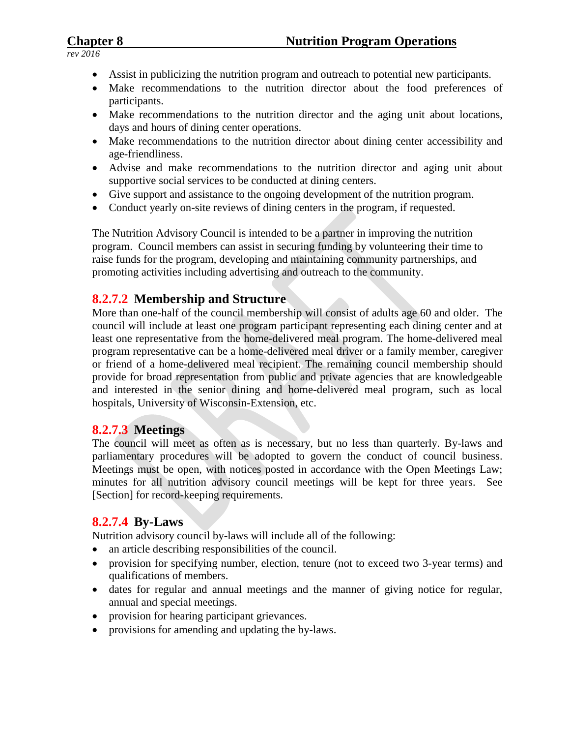### **Chapter 8 Nutrition Program Operations**

*rev 2016*

- Assist in publicizing the nutrition program and outreach to potential new participants.
- Make recommendations to the nutrition director about the food preferences of participants.
- Make recommendations to the nutrition director and the aging unit about locations, days and hours of dining center operations.
- Make recommendations to the nutrition director about dining center accessibility and age-friendliness.
- Advise and make recommendations to the nutrition director and aging unit about supportive social services to be conducted at dining centers.
- Give support and assistance to the ongoing development of the nutrition program.
- Conduct yearly on-site reviews of dining centers in the program, if requested.

The Nutrition Advisory Council is intended to be a partner in improving the nutrition program. Council members can assist in securing funding by volunteering their time to raise funds for the program, developing and maintaining community partnerships, and promoting activities including advertising and outreach to the community.

#### **8.2.7.2 Membership and Structure**

More than one-half of the council membership will consist of adults age 60 and older. The council will include at least one program participant representing each dining center and at least one representative from the home-delivered meal program. The home-delivered meal program representative can be a home-delivered meal driver or a family member, caregiver or friend of a home-delivered meal recipient. The remaining council membership should provide for broad representation from public and private agencies that are knowledgeable and interested in the senior dining and home-delivered meal program, such as local hospitals, University of Wisconsin-Extension, etc.

#### **8.2.7.3 Meetings**

The council will meet as often as is necessary, but no less than quarterly. By-laws and parliamentary procedures will be adopted to govern the conduct of council business. Meetings must be open, with notices posted in accordance with the Open Meetings Law; minutes for all nutrition advisory council meetings will be kept for three years. See [Section] for record-keeping requirements.

#### **8.2.7.4 By-Laws**

Nutrition advisory council by-laws will include all of the following:

- an article describing responsibilities of the council.
- provision for specifying number, election, tenure (not to exceed two 3-year terms) and qualifications of members.
- dates for regular and annual meetings and the manner of giving notice for regular, annual and special meetings.
- provision for hearing participant grievances.
- provisions for amending and updating the by-laws.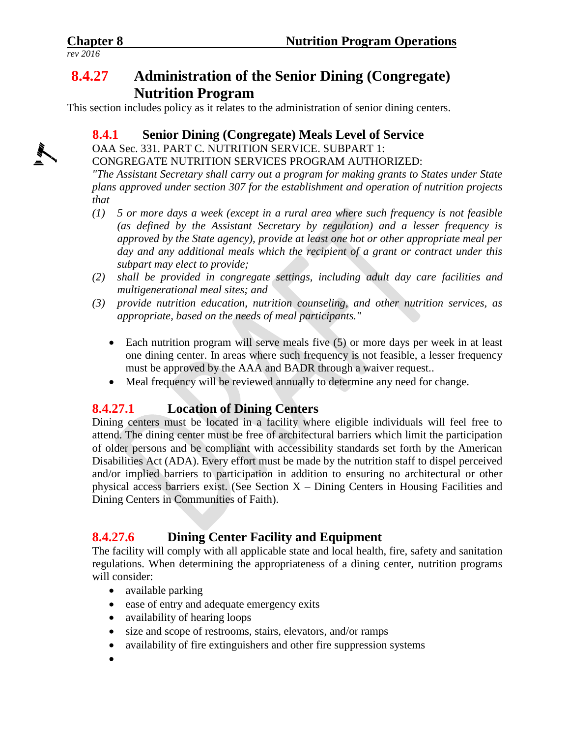# **8.4.27 Administration of the Senior Dining (Congregate) Nutrition Program**

This section includes policy as it relates to the administration of senior dining centers.

# **8.4.1 Senior Dining (Congregate) Meals Level of Service**

OAA Sec. 331. PART C. NUTRITION SERVICE. SUBPART 1:

CONGREGATE NUTRITION SERVICES PROGRAM AUTHORIZED:

*"The Assistant Secretary shall carry out a program for making grants to States under State plans approved under section 307 for the establishment and operation of nutrition projects that*

- *(1) 5 or more days a week (except in a rural area where such frequency is not feasible (as defined by the Assistant Secretary by regulation) and a lesser frequency is approved by the State agency), provide at least one hot or other appropriate meal per day and any additional meals which the recipient of a grant or contract under this subpart may elect to provide;*
- *(2) shall be provided in congregate settings, including adult day care facilities and multigenerational meal sites; and*
- *(3) provide nutrition education, nutrition counseling, and other nutrition services, as appropriate, based on the needs of meal participants."*
	- Each nutrition program will serve meals five (5) or more days per week in at least one dining center. In areas where such frequency is not feasible, a lesser frequency must be approved by the AAA and BADR through a waiver request..
	- Meal frequency will be reviewed annually to determine any need for change.

# **8.4.27.1 Location of Dining Centers**

Dining centers must be located in a facility where eligible individuals will feel free to attend. The dining center must be free of architectural barriers which limit the participation of older persons and be compliant with accessibility standards set forth by the American Disabilities Act (ADA). Every effort must be made by the nutrition staff to dispel perceived and/or implied barriers to participation in addition to ensuring no architectural or other physical access barriers exist. (See Section X – Dining Centers in Housing Facilities and Dining Centers in Communities of Faith).

# **8.4.27.6 Dining Center Facility and Equipment**

The facility will comply with all applicable state and local health, fire, safety and sanitation regulations. When determining the appropriateness of a dining center, nutrition programs will consider:

- available parking
- ease of entry and adequate emergency exits
- availability of hearing loops
- size and scope of restrooms, stairs, elevators, and/or ramps
- availability of fire extinguishers and other fire suppression systems
- $\bullet$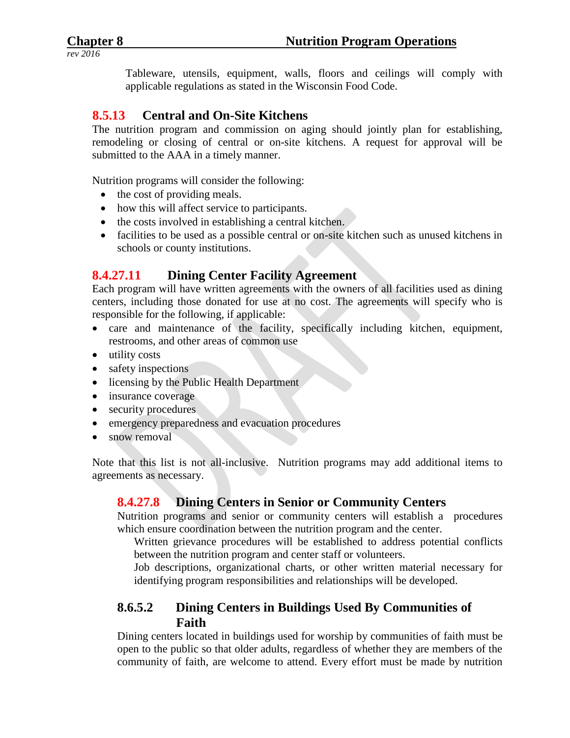Tableware, utensils, equipment, walls, floors and ceilings will comply with applicable regulations as stated in the Wisconsin Food Code.

### **8.5.13 Central and On-Site Kitchens**

The nutrition program and commission on aging should jointly plan for establishing, remodeling or closing of central or on-site kitchens. A request for approval will be submitted to the AAA in a timely manner.

Nutrition programs will consider the following:

- the cost of providing meals.
- how this will affect service to participants.
- the costs involved in establishing a central kitchen.
- facilities to be used as a possible central or on-site kitchen such as unused kitchens in schools or county institutions.

#### **8.4.27.11 Dining Center Facility Agreement**

Each program will have written agreements with the owners of all facilities used as dining centers, including those donated for use at no cost. The agreements will specify who is responsible for the following, if applicable:

- care and maintenance of the facility, specifically including kitchen, equipment, restrooms, and other areas of common use
- utility costs
- safety inspections
- licensing by the Public Health Department
- insurance coverage
- security procedures
- emergency preparedness and evacuation procedures
- snow removal

Note that this list is not all-inclusive. Nutrition programs may add additional items to agreements as necessary.

#### **8.4.27.8 Dining Centers in Senior or Community Centers**

Nutrition programs and senior or community centers will establish a procedures which ensure coordination between the nutrition program and the center.

Written grievance procedures will be established to address potential conflicts between the nutrition program and center staff or volunteers.

Job descriptions, organizational charts, or other written material necessary for identifying program responsibilities and relationships will be developed.

# **8.6.5.2 Dining Centers in Buildings Used By Communities of Faith**

Dining centers located in buildings used for worship by communities of faith must be open to the public so that older adults, regardless of whether they are members of the community of faith, are welcome to attend. Every effort must be made by nutrition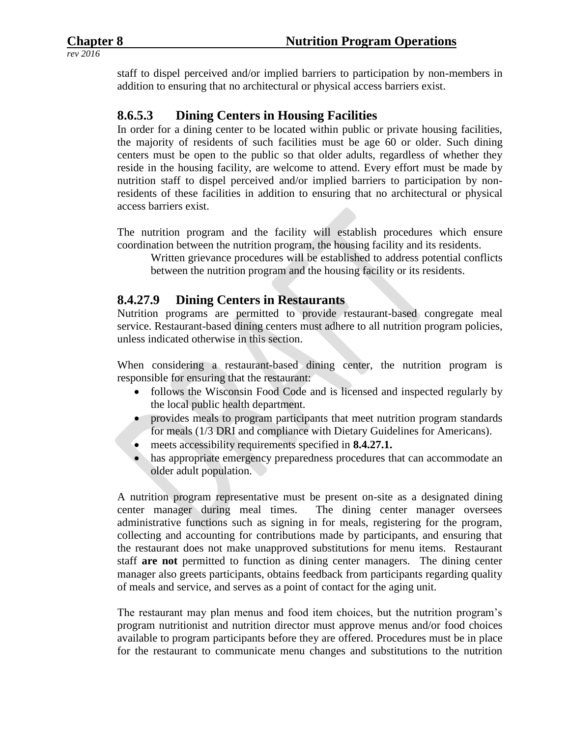staff to dispel perceived and/or implied barriers to participation by non-members in addition to ensuring that no architectural or physical access barriers exist.

#### **8.6.5.3 Dining Centers in Housing Facilities**

In order for a dining center to be located within public or private housing facilities, the majority of residents of such facilities must be age 60 or older. Such dining centers must be open to the public so that older adults, regardless of whether they reside in the housing facility, are welcome to attend. Every effort must be made by nutrition staff to dispel perceived and/or implied barriers to participation by nonresidents of these facilities in addition to ensuring that no architectural or physical access barriers exist.

The nutrition program and the facility will establish procedures which ensure coordination between the nutrition program, the housing facility and its residents.

Written grievance procedures will be established to address potential conflicts between the nutrition program and the housing facility or its residents.

# **8.4.27.9 Dining Centers in Restaurants**

Nutrition programs are permitted to provide restaurant-based congregate meal service. Restaurant-based dining centers must adhere to all nutrition program policies, unless indicated otherwise in this section.

When considering a restaurant-based dining center, the nutrition program is responsible for ensuring that the restaurant:

- follows the Wisconsin Food Code and is licensed and inspected regularly by the local public health department.
- provides meals to program participants that meet nutrition program standards for meals (1/3 DRI and compliance with Dietary Guidelines for Americans).
- meets accessibility requirements specified in **8.4.27.1.**
- has appropriate emergency preparedness procedures that can accommodate an older adult population.

A nutrition program representative must be present on-site as a designated dining center manager during meal times. The dining center manager oversees administrative functions such as signing in for meals, registering for the program, collecting and accounting for contributions made by participants, and ensuring that the restaurant does not make unapproved substitutions for menu items. Restaurant staff **are not** permitted to function as dining center managers. The dining center manager also greets participants, obtains feedback from participants regarding quality of meals and service, and serves as a point of contact for the aging unit.

The restaurant may plan menus and food item choices, but the nutrition program's program nutritionist and nutrition director must approve menus and/or food choices available to program participants before they are offered. Procedures must be in place for the restaurant to communicate menu changes and substitutions to the nutrition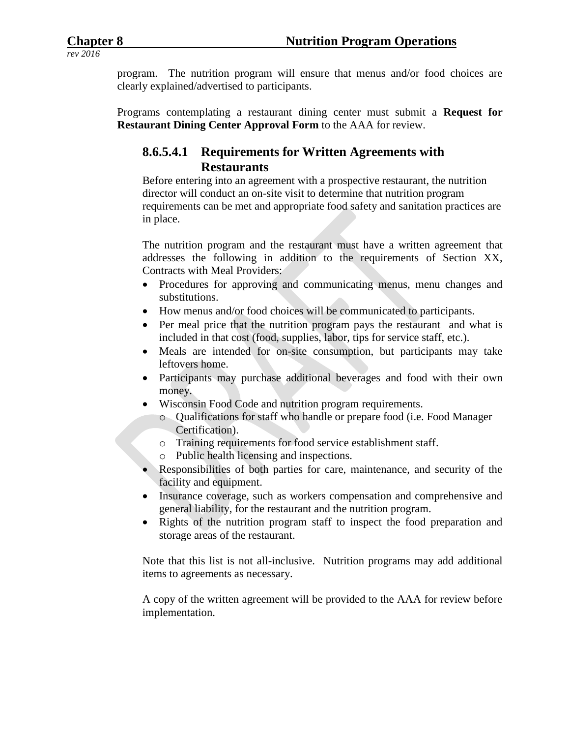program. The nutrition program will ensure that menus and/or food choices are clearly explained/advertised to participants.

Programs contemplating a restaurant dining center must submit a **Request for Restaurant Dining Center Approval Form** to the AAA for review.

#### **8.6.5.4.1 Requirements for Written Agreements with Restaurants**

Before entering into an agreement with a prospective restaurant, the nutrition director will conduct an on-site visit to determine that nutrition program requirements can be met and appropriate food safety and sanitation practices are in place.

The nutrition program and the restaurant must have a written agreement that addresses the following in addition to the requirements of Section XX, Contracts with Meal Providers:

- Procedures for approving and communicating menus, menu changes and substitutions.
- How menus and/or food choices will be communicated to participants.
- Per meal price that the nutrition program pays the restaurant and what is included in that cost (food, supplies, labor, tips for service staff, etc.).
- Meals are intended for on-site consumption, but participants may take leftovers home.
- Participants may purchase additional beverages and food with their own money.
- Wisconsin Food Code and nutrition program requirements.
	- o Qualifications for staff who handle or prepare food (i.e. Food Manager Certification).
	- o Training requirements for food service establishment staff.
	- o Public health licensing and inspections.
- Responsibilities of both parties for care, maintenance, and security of the facility and equipment.
- Insurance coverage, such as workers compensation and comprehensive and general liability, for the restaurant and the nutrition program.
- Rights of the nutrition program staff to inspect the food preparation and storage areas of the restaurant.

Note that this list is not all-inclusive. Nutrition programs may add additional items to agreements as necessary.

A copy of the written agreement will be provided to the AAA for review before implementation.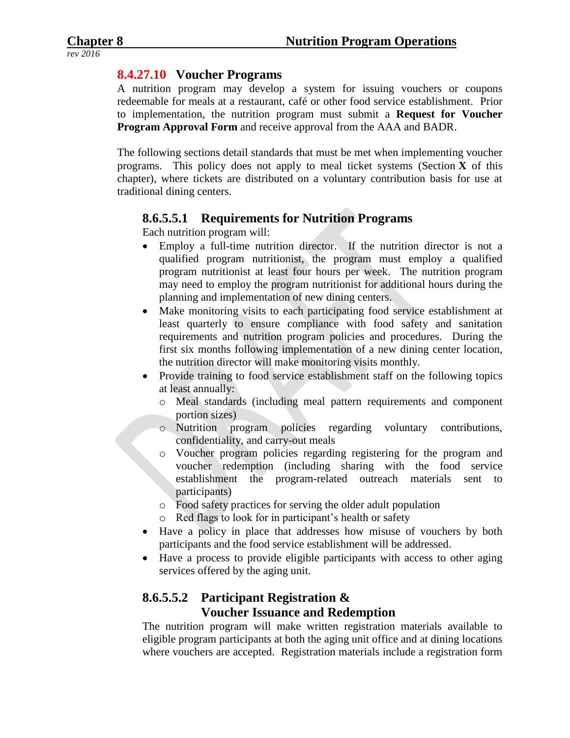#### **8.4.27.10 Voucher Programs**

A nutrition program may develop a system for issuing vouchers or coupons redeemable for meals at a restaurant, café or other food service establishment. Prior to implementation, the nutrition program must submit a **Request for Voucher Program Approval Form** and receive approval from the AAA and BADR.

The following sections detail standards that must be met when implementing voucher programs. This policy does not apply to meal ticket systems (Section **X** of this chapter), where tickets are distributed on a voluntary contribution basis for use at traditional dining centers.

#### **8.6.5.5.1 Requirements for Nutrition Programs**

Each nutrition program will:

- Employ a full-time nutrition director. If the nutrition director is not a qualified program nutritionist, the program must employ a qualified program nutritionist at least four hours per week. The nutrition program may need to employ the program nutritionist for additional hours during the planning and implementation of new dining centers.
- Make monitoring visits to each participating food service establishment at least quarterly to ensure compliance with food safety and sanitation requirements and nutrition program policies and procedures. During the first six months following implementation of a new dining center location, the nutrition director will make monitoring visits monthly.
- Provide training to food service establishment staff on the following topics at least annually:
	- o Meal standards (including meal pattern requirements and component portion sizes)
	- o Nutrition program policies regarding voluntary contributions, confidentiality, and carry-out meals
	- o Voucher program policies regarding registering for the program and voucher redemption (including sharing with the food service establishment the program-related outreach materials sent to participants)
	- o Food safety practices for serving the older adult population
	- o Red flags to look for in participant's health or safety
- Have a policy in place that addresses how misuse of vouchers by both participants and the food service establishment will be addressed.
- Have a process to provide eligible participants with access to other aging services offered by the aging unit.

# **8.6.5.5.2 Participant Registration & Voucher Issuance and Redemption**

The nutrition program will make written registration materials available to eligible program participants at both the aging unit office and at dining locations where vouchers are accepted. Registration materials include a registration form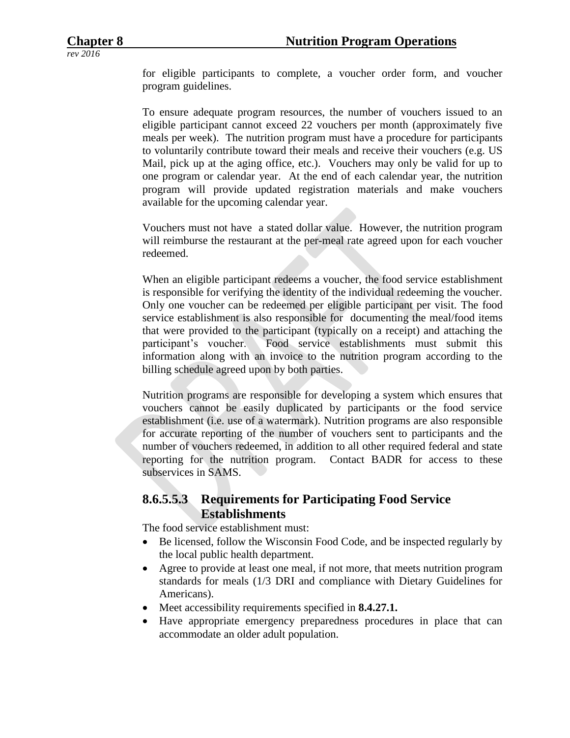for eligible participants to complete, a voucher order form, and voucher program guidelines.

To ensure adequate program resources, the number of vouchers issued to an eligible participant cannot exceed 22 vouchers per month (approximately five meals per week). The nutrition program must have a procedure for participants to voluntarily contribute toward their meals and receive their vouchers (e.g. US Mail, pick up at the aging office, etc.). Vouchers may only be valid for up to one program or calendar year. At the end of each calendar year, the nutrition program will provide updated registration materials and make vouchers available for the upcoming calendar year.

Vouchers must not have a stated dollar value. However, the nutrition program will reimburse the restaurant at the per-meal rate agreed upon for each voucher redeemed.

When an eligible participant redeems a voucher, the food service establishment is responsible for verifying the identity of the individual redeeming the voucher. Only one voucher can be redeemed per eligible participant per visit. The food service establishment is also responsible for documenting the meal/food items that were provided to the participant (typically on a receipt) and attaching the participant's voucher. Food service establishments must submit this information along with an invoice to the nutrition program according to the billing schedule agreed upon by both parties.

Nutrition programs are responsible for developing a system which ensures that vouchers cannot be easily duplicated by participants or the food service establishment (i.e. use of a watermark). Nutrition programs are also responsible for accurate reporting of the number of vouchers sent to participants and the number of vouchers redeemed, in addition to all other required federal and state reporting for the nutrition program. Contact BADR for access to these subservices in SAMS.

#### **8.6.5.5.3 Requirements for Participating Food Service Establishments**

The food service establishment must:

- Be licensed, follow the Wisconsin Food Code, and be inspected regularly by the local public health department.
- Agree to provide at least one meal, if not more, that meets nutrition program standards for meals (1/3 DRI and compliance with Dietary Guidelines for Americans).
- Meet accessibility requirements specified in **8.4.27.1.**
- Have appropriate emergency preparedness procedures in place that can accommodate an older adult population.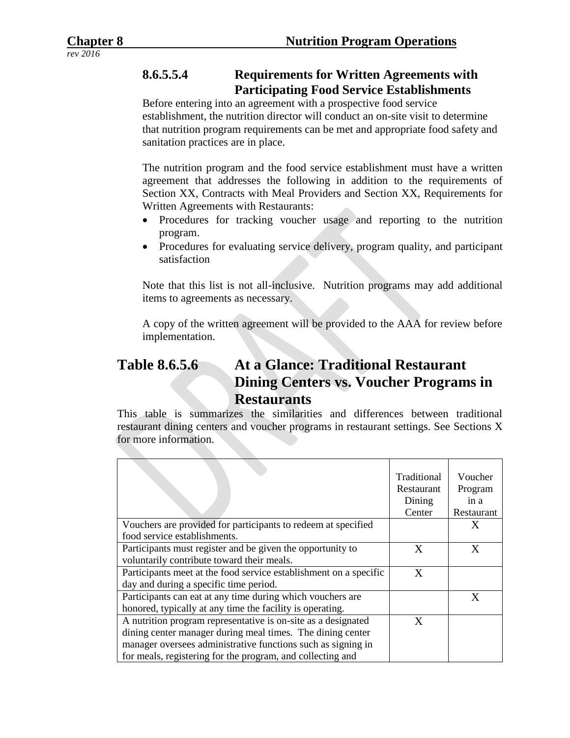# **8.6.5.5.4 Requirements for Written Agreements with Participating Food Service Establishments**

Before entering into an agreement with a prospective food service establishment, the nutrition director will conduct an on-site visit to determine that nutrition program requirements can be met and appropriate food safety and sanitation practices are in place.

The nutrition program and the food service establishment must have a written agreement that addresses the following in addition to the requirements of Section XX, Contracts with Meal Providers and Section XX, Requirements for Written Agreements with Restaurants:

- Procedures for tracking voucher usage and reporting to the nutrition program.
- Procedures for evaluating service delivery, program quality, and participant satisfaction

Note that this list is not all-inclusive. Nutrition programs may add additional items to agreements as necessary.

A copy of the written agreement will be provided to the AAA for review before implementation.

# **Table 8.6.5.6 At a Glance: Traditional Restaurant Dining Centers vs. Voucher Programs in Restaurants**

This table is summarizes the similarities and differences between traditional restaurant dining centers and voucher programs in restaurant settings. See Sections X for more information.

|                                                                                                                                                                                                                                                           | Traditional<br>Restaurant<br>Dining<br>Center | Voucher<br>Program<br>in a<br>Restaurant |
|-----------------------------------------------------------------------------------------------------------------------------------------------------------------------------------------------------------------------------------------------------------|-----------------------------------------------|------------------------------------------|
| Vouchers are provided for participants to redeem at specified                                                                                                                                                                                             |                                               | X                                        |
| food service establishments.                                                                                                                                                                                                                              |                                               |                                          |
| Participants must register and be given the opportunity to<br>voluntarily contribute toward their meals.                                                                                                                                                  | X                                             | X                                        |
| Participants meet at the food service establishment on a specific<br>day and during a specific time period.                                                                                                                                               | X                                             |                                          |
| Participants can eat at any time during which vouchers are<br>honored, typically at any time the facility is operating.                                                                                                                                   |                                               | X                                        |
| A nutrition program representative is on-site as a designated<br>dining center manager during meal times. The dining center<br>manager oversees administrative functions such as signing in<br>for meals, registering for the program, and collecting and | X                                             |                                          |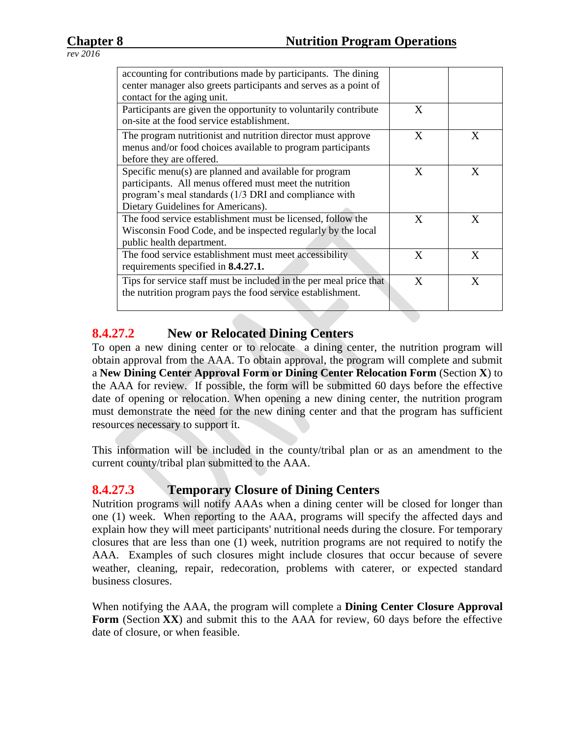| accounting for contributions made by participants. The dining<br>center manager also greets participants and serves as a point of                                                                                |   |   |
|------------------------------------------------------------------------------------------------------------------------------------------------------------------------------------------------------------------|---|---|
| contact for the aging unit.                                                                                                                                                                                      |   |   |
| Participants are given the opportunity to voluntarily contribute<br>on-site at the food service establishment.                                                                                                   | X |   |
| The program nutritionist and nutrition director must approve<br>menus and/or food choices available to program participants<br>before they are offered.                                                          | X | X |
| Specific menu(s) are planned and available for program<br>participants. All menus offered must meet the nutrition<br>program's meal standards (1/3 DRI and compliance with<br>Dietary Guidelines for Americans). | X | X |
| The food service establishment must be licensed, follow the<br>Wisconsin Food Code, and be inspected regularly by the local<br>public health department.                                                         | X | X |
| The food service establishment must meet accessibility<br>requirements specified in <b>8.4.27.1.</b>                                                                                                             | X | X |
| Tips for service staff must be included in the per meal price that<br>the nutrition program pays the food service establishment.                                                                                 | X | X |

#### **8.4.27.2 New or Relocated Dining Centers**

To open a new dining center or to relocate a dining center, the nutrition program will obtain approval from the AAA. To obtain approval, the program will complete and submit a **New Dining Center Approval Form or Dining Center Relocation Form** (Section **X**) to the AAA for review. If possible, the form will be submitted 60 days before the effective date of opening or relocation. When opening a new dining center, the nutrition program must demonstrate the need for the new dining center and that the program has sufficient resources necessary to support it.

This information will be included in the county/tribal plan or as an amendment to the current county/tribal plan submitted to the AAA.

# **8.4.27.3 Temporary Closure of Dining Centers**

Nutrition programs will notify AAAs when a dining center will be closed for longer than one (1) week. When reporting to the AAA, programs will specify the affected days and explain how they will meet participants' nutritional needs during the closure. For temporary closures that are less than one (1) week, nutrition programs are not required to notify the AAA. Examples of such closures might include closures that occur because of severe weather, cleaning, repair, redecoration, problems with caterer, or expected standard business closures.

When notifying the AAA, the program will complete a **Dining Center Closure Approval**  Form (Section **XX**) and submit this to the AAA for review, 60 days before the effective date of closure, or when feasible.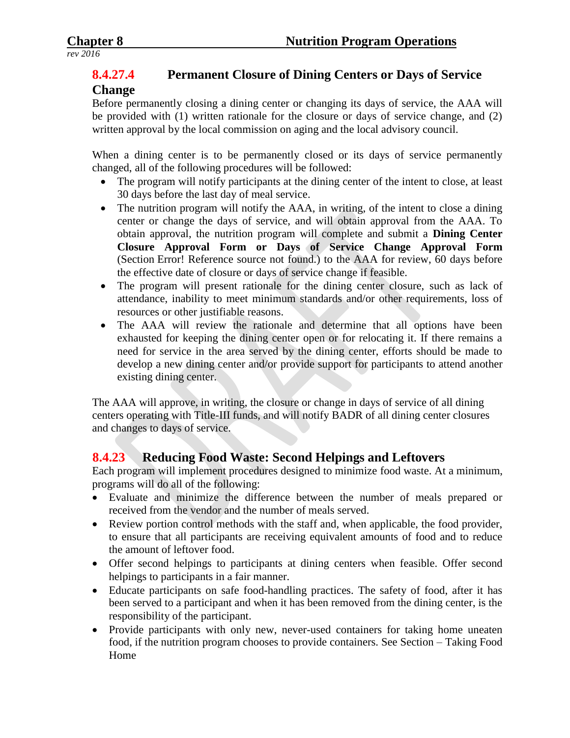# **8.4.27.4 Permanent Closure of Dining Centers or Days of Service**

#### **Change**

Before permanently closing a dining center or changing its days of service, the AAA will be provided with (1) written rationale for the closure or days of service change, and (2) written approval by the local commission on aging and the local advisory council.

When a dining center is to be permanently closed or its days of service permanently changed, all of the following procedures will be followed:

- The program will notify participants at the dining center of the intent to close, at least 30 days before the last day of meal service.
- The nutrition program will notify the AAA, in writing, of the intent to close a dining center or change the days of service, and will obtain approval from the AAA. To obtain approval, the nutrition program will complete and submit a **Dining Center Closure Approval Form or Days of Service Change Approval Form** (Section Error! Reference source not found.) to the AAA for review, 60 days before the effective date of closure or days of service change if feasible.
- The program will present rationale for the dining center closure, such as lack of attendance, inability to meet minimum standards and/or other requirements, loss of resources or other justifiable reasons.
- The AAA will review the rationale and determine that all options have been exhausted for keeping the dining center open or for relocating it. If there remains a need for service in the area served by the dining center, efforts should be made to develop a new dining center and/or provide support for participants to attend another existing dining center.

The AAA will approve, in writing, the closure or change in days of service of all dining centers operating with Title-III funds, and will notify BADR of all dining center closures and changes to days of service.

# **8.4.23 Reducing Food Waste: Second Helpings and Leftovers**

Each program will implement procedures designed to minimize food waste. At a minimum, programs will do all of the following:

- Evaluate and minimize the difference between the number of meals prepared or received from the vendor and the number of meals served.
- Review portion control methods with the staff and, when applicable, the food provider, to ensure that all participants are receiving equivalent amounts of food and to reduce the amount of leftover food.
- Offer second helpings to participants at dining centers when feasible. Offer second helpings to participants in a fair manner.
- Educate participants on safe food-handling practices. The safety of food, after it has been served to a participant and when it has been removed from the dining center, is the responsibility of the participant.
- Provide participants with only new, never-used containers for taking home uneaten food, if the nutrition program chooses to provide containers. See Section – Taking Food Home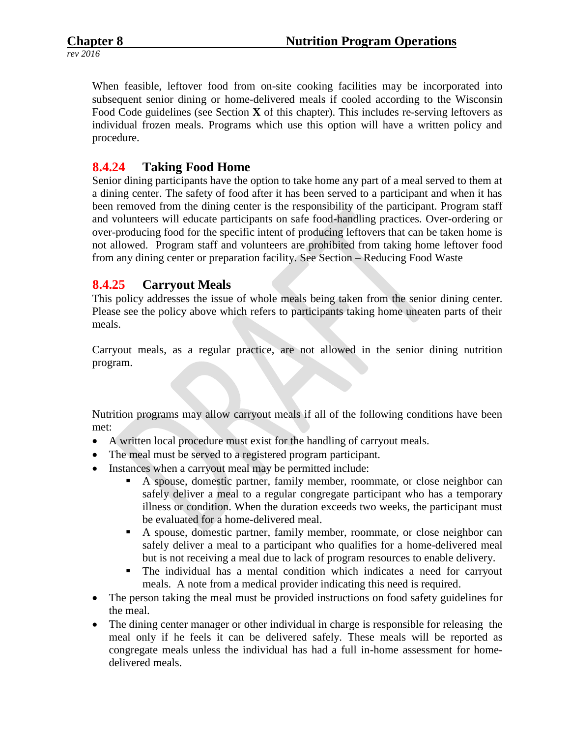When feasible, leftover food from on-site cooking facilities may be incorporated into subsequent senior dining or home-delivered meals if cooled according to the Wisconsin Food Code guidelines (see Section **X** of this chapter). This includes re-serving leftovers as individual frozen meals. Programs which use this option will have a written policy and procedure.

#### **8.4.24 Taking Food Home**

Senior dining participants have the option to take home any part of a meal served to them at a dining center. The safety of food after it has been served to a participant and when it has been removed from the dining center is the responsibility of the participant. Program staff and volunteers will educate participants on safe food-handling practices. Over-ordering or over-producing food for the specific intent of producing leftovers that can be taken home is not allowed. Program staff and volunteers are prohibited from taking home leftover food from any dining center or preparation facility. See Section – Reducing Food Waste

#### **8.4.25 Carryout Meals**

This policy addresses the issue of whole meals being taken from the senior dining center. Please see the policy above which refers to participants taking home uneaten parts of their meals.

Carryout meals, as a regular practice, are not allowed in the senior dining nutrition program.

Nutrition programs may allow carryout meals if all of the following conditions have been met:

- A written local procedure must exist for the handling of carryout meals.
- The meal must be served to a registered program participant.
- Instances when a carryout meal may be permitted include:
	- A spouse, domestic partner, family member, roommate, or close neighbor can safely deliver a meal to a regular congregate participant who has a temporary illness or condition. When the duration exceeds two weeks, the participant must be evaluated for a home-delivered meal.
	- A spouse, domestic partner, family member, roommate, or close neighbor can safely deliver a meal to a participant who qualifies for a home-delivered meal but is not receiving a meal due to lack of program resources to enable delivery.
	- The individual has a mental condition which indicates a need for carryout meals. A note from a medical provider indicating this need is required.
- The person taking the meal must be provided instructions on food safety guidelines for the meal.
- The dining center manager or other individual in charge is responsible for releasing the meal only if he feels it can be delivered safely. These meals will be reported as congregate meals unless the individual has had a full in-home assessment for homedelivered meals.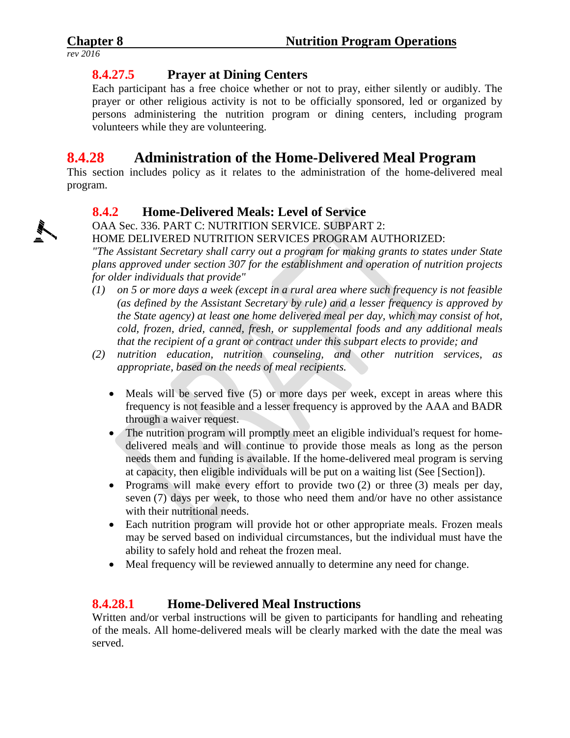# **8.4.27.5 Prayer at Dining Centers**

Each participant has a free choice whether or not to pray, either silently or audibly. The prayer or other religious activity is not to be officially sponsored, led or organized by persons administering the nutrition program or dining centers, including program volunteers while they are volunteering.

# **8.4.28 Administration of the Home-Delivered Meal Program**

This section includes policy as it relates to the administration of the home-delivered meal program.

# **8.4.2 Home-Delivered Meals: Level of Service**

OAA Sec. 336. PART C: NUTRITION SERVICE. SUBPART 2:

#### HOME DELIVERED NUTRITION SERVICES PROGRAM AUTHORIZED:

*"The Assistant Secretary shall carry out a program for making grants to states under State plans approved under section 307 for the establishment and operation of nutrition projects for older individuals that provide"*

- *(1) on 5 or more days a week (except in a rural area where such frequency is not feasible (as defined by the Assistant Secretary by rule) and a lesser frequency is approved by the State agency) at least one home delivered meal per day, which may consist of hot, cold, frozen, dried, canned, fresh, or supplemental foods and any additional meals that the recipient of a grant or contract under this subpart elects to provide; and*
- *(2) nutrition education, nutrition counseling, and other nutrition services, as appropriate, based on the needs of meal recipients.*
	- Meals will be served five (5) or more days per week, except in areas where this frequency is not feasible and a lesser frequency is approved by the AAA and BADR through a waiver request.
	- The nutrition program will promptly meet an eligible individual's request for homedelivered meals and will continue to provide those meals as long as the person needs them and funding is available. If the home-delivered meal program is serving at capacity, then eligible individuals will be put on a waiting list (See [Section]).
	- Programs will make every effort to provide two  $(2)$  or three  $(3)$  meals per day, seven (7) days per week, to those who need them and/or have no other assistance with their nutritional needs.
	- Each nutrition program will provide hot or other appropriate meals. Frozen meals may be served based on individual circumstances, but the individual must have the ability to safely hold and reheat the frozen meal.
	- Meal frequency will be reviewed annually to determine any need for change.

# **8.4.28.1 Home-Delivered Meal Instructions**

Written and/or verbal instructions will be given to participants for handling and reheating of the meals. All home-delivered meals will be clearly marked with the date the meal was served.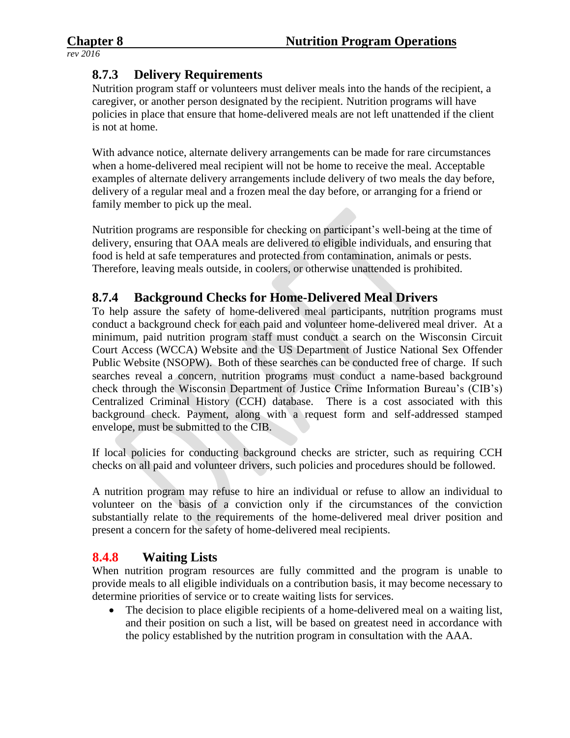# **8.7.3 Delivery Requirements**

Nutrition program staff or volunteers must deliver meals into the hands of the recipient, a caregiver, or another person designated by the recipient. Nutrition programs will have policies in place that ensure that home-delivered meals are not left unattended if the client is not at home.

With advance notice, alternate delivery arrangements can be made for rare circumstances when a home-delivered meal recipient will not be home to receive the meal. Acceptable examples of alternate delivery arrangements include delivery of two meals the day before, delivery of a regular meal and a frozen meal the day before, or arranging for a friend or family member to pick up the meal.

Nutrition programs are responsible for checking on participant's well-being at the time of delivery, ensuring that OAA meals are delivered to eligible individuals, and ensuring that food is held at safe temperatures and protected from contamination, animals or pests. Therefore, leaving meals outside, in coolers, or otherwise unattended is prohibited.

# **8.7.4 Background Checks for Home-Delivered Meal Drivers**

To help assure the safety of home-delivered meal participants, nutrition programs must conduct a background check for each paid and volunteer home-delivered meal driver. At a minimum, paid nutrition program staff must conduct a search on the Wisconsin Circuit Court Access (WCCA) Website and the US Department of Justice National Sex Offender Public Website (NSOPW). Both of these searches can be conducted free of charge. If such searches reveal a concern, nutrition programs must conduct a name-based background check through the Wisconsin Department of Justice Crime Information Bureau's (CIB's) Centralized Criminal History (CCH) database. There is a cost associated with this background check. Payment, along with a request form and self-addressed stamped envelope, must be submitted to the CIB.

If local policies for conducting background checks are stricter, such as requiring CCH checks on all paid and volunteer drivers, such policies and procedures should be followed.

A nutrition program may refuse to hire an individual or refuse to allow an individual to volunteer on the basis of a conviction only if the circumstances of the conviction substantially relate to the requirements of the home-delivered meal driver position and present a concern for the safety of home-delivered meal recipients.

# **8.4.8 Waiting Lists**

When nutrition program resources are fully committed and the program is unable to provide meals to all eligible individuals on a contribution basis, it may become necessary to determine priorities of service or to create waiting lists for services.

• The decision to place eligible recipients of a home-delivered meal on a waiting list, and their position on such a list, will be based on greatest need in accordance with the policy established by the nutrition program in consultation with the AAA.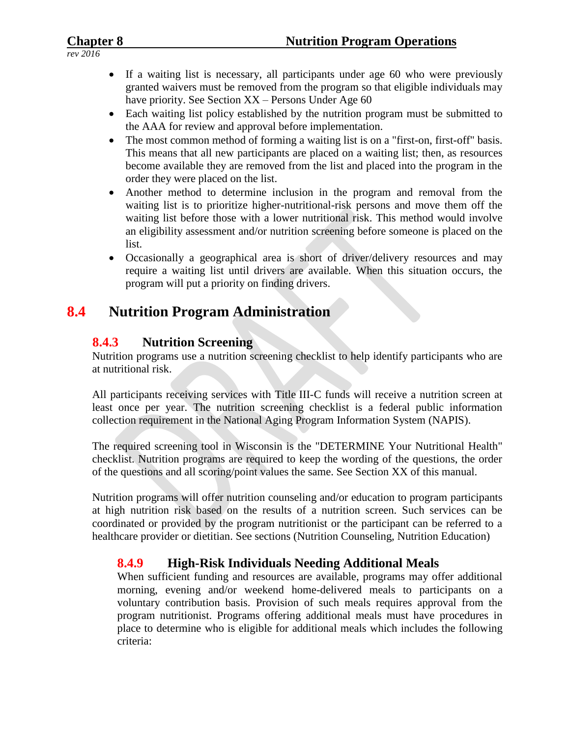- If a waiting list is necessary, all participants under age 60 who were previously granted waivers must be removed from the program so that eligible individuals may have priority. See Section XX – Persons Under Age 60
	- Each waiting list policy established by the nutrition program must be submitted to the AAA for review and approval before implementation.
	- The most common method of forming a waiting list is on a "first-on, first-off" basis. This means that all new participants are placed on a waiting list; then, as resources become available they are removed from the list and placed into the program in the order they were placed on the list.
	- Another method to determine inclusion in the program and removal from the waiting list is to prioritize higher-nutritional-risk persons and move them off the waiting list before those with a lower nutritional risk. This method would involve an eligibility assessment and/or nutrition screening before someone is placed on the list.
	- Occasionally a geographical area is short of driver/delivery resources and may require a waiting list until drivers are available. When this situation occurs, the program will put a priority on finding drivers.

# **8.4 Nutrition Program Administration**

# **8.4.3 Nutrition Screening**

Nutrition programs use a nutrition screening checklist to help identify participants who are at nutritional risk.

All participants receiving services with Title III-C funds will receive a nutrition screen at least once per year. The nutrition screening checklist is a federal public information collection requirement in the National Aging Program Information System (NAPIS).

The required screening tool in Wisconsin is the "DETERMINE Your Nutritional Health" checklist. Nutrition programs are required to keep the wording of the questions, the order of the questions and all scoring/point values the same. See Section XX of this manual.

Nutrition programs will offer nutrition counseling and/or education to program participants at high nutrition risk based on the results of a nutrition screen. Such services can be coordinated or provided by the program nutritionist or the participant can be referred to a healthcare provider or dietitian. See sections (Nutrition Counseling, Nutrition Education)

# **8.4.9 High-Risk Individuals Needing Additional Meals**

When sufficient funding and resources are available, programs may offer additional morning, evening and/or weekend home-delivered meals to participants on a voluntary contribution basis. Provision of such meals requires approval from the program nutritionist. Programs offering additional meals must have procedures in place to determine who is eligible for additional meals which includes the following criteria: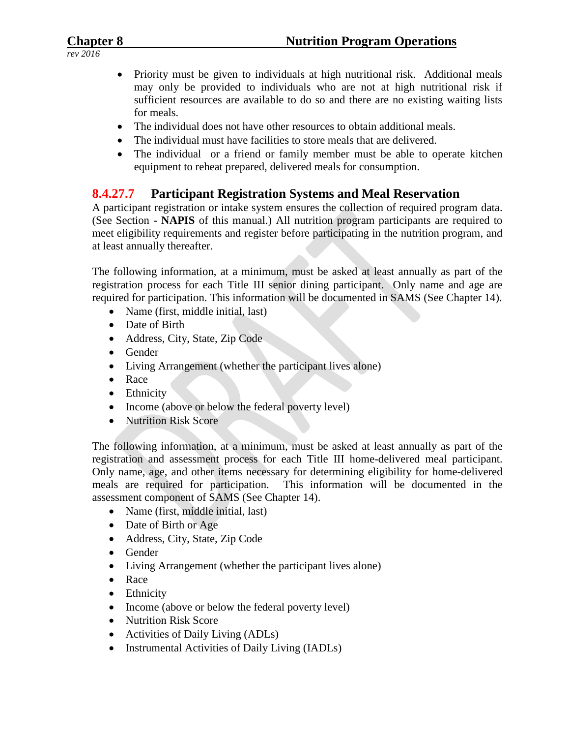- Priority must be given to individuals at high nutritional risk. Additional meals may only be provided to individuals who are not at high nutritional risk if sufficient resources are available to do so and there are no existing waiting lists for meals.
- The individual does not have other resources to obtain additional meals.
- The individual must have facilities to store meals that are delivered.
- The individual or a friend or family member must be able to operate kitchen equipment to reheat prepared, delivered meals for consumption.

# **8.4.27.7 Participant Registration Systems and Meal Reservation**

A participant registration or intake system ensures the collection of required program data. (See Section **- NAPIS** of this manual.) All nutrition program participants are required to meet eligibility requirements and register before participating in the nutrition program, and at least annually thereafter.

The following information, at a minimum, must be asked at least annually as part of the registration process for each Title III senior dining participant. Only name and age are required for participation. This information will be documented in SAMS (See Chapter 14).

- Name (first, middle initial, last)
- Date of Birth
- Address, City, State, Zip Code
- Gender
- Living Arrangement (whether the participant lives alone)
- Race
- Ethnicity
- Income (above or below the federal poverty level)
- Nutrition Risk Score

The following information, at a minimum, must be asked at least annually as part of the registration and assessment process for each Title III home-delivered meal participant. Only name, age, and other items necessary for determining eligibility for home-delivered meals are required for participation. This information will be documented in the assessment component of SAMS (See Chapter 14).

- Name (first, middle initial, last)
- Date of Birth or Age
- Address, City, State, Zip Code
- Gender
- Living Arrangement (whether the participant lives alone)
- Race
- Ethnicity
- Income (above or below the federal poverty level)
- Nutrition Risk Score
- Activities of Daily Living (ADLs)
- Instrumental Activities of Daily Living (IADLs)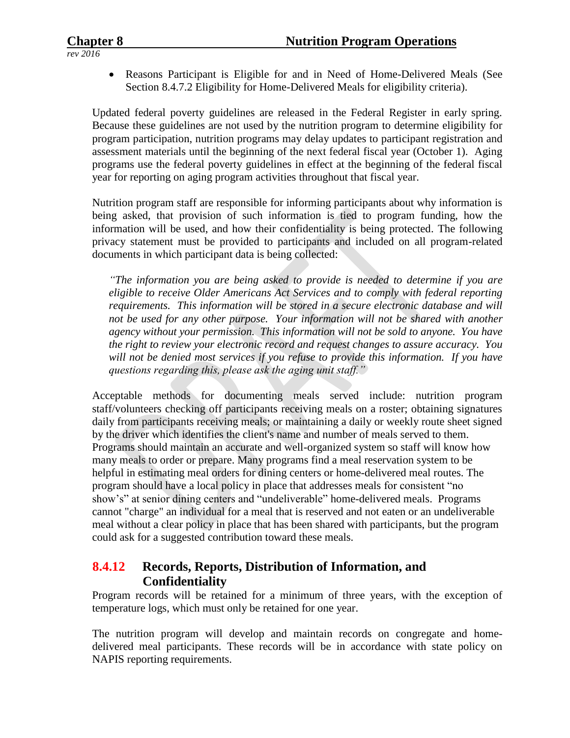Reasons Participant is Eligible for and in Need of Home-Delivered Meals (See Section 8.4.7.2 Eligibility for Home-Delivered Meals for eligibility criteria).

Updated federal poverty guidelines are released in the Federal Register in early spring. Because these guidelines are not used by the nutrition program to determine eligibility for program participation, nutrition programs may delay updates to participant registration and assessment materials until the beginning of the next federal fiscal year (October 1). Aging programs use the federal poverty guidelines in effect at the beginning of the federal fiscal year for reporting on aging program activities throughout that fiscal year.

Nutrition program staff are responsible for informing participants about why information is being asked, that provision of such information is tied to program funding, how the information will be used, and how their confidentiality is being protected. The following privacy statement must be provided to participants and included on all program-related documents in which participant data is being collected:

*"The information you are being asked to provide is needed to determine if you are eligible to receive Older Americans Act Services and to comply with federal reporting requirements. This information will be stored in a secure electronic database and will not be used for any other purpose. Your information will not be shared with another agency without your permission. This information will not be sold to anyone. You have the right to review your electronic record and request changes to assure accuracy. You will not be denied most services if you refuse to provide this information. If you have questions regarding this, please ask the aging unit staff."*

Acceptable methods for documenting meals served include: nutrition program staff/volunteers checking off participants receiving meals on a roster; obtaining signatures daily from participants receiving meals; or maintaining a daily or weekly route sheet signed by the driver which identifies the client's name and number of meals served to them. Programs should maintain an accurate and well-organized system so staff will know how many meals to order or prepare. Many programs find a meal reservation system to be helpful in estimating meal orders for dining centers or home-delivered meal routes. The program should have a local policy in place that addresses meals for consistent "no show's" at senior dining centers and "undeliverable" home-delivered meals. Programs cannot "charge" an individual for a meal that is reserved and not eaten or an undeliverable meal without a clear policy in place that has been shared with participants, but the program could ask for a suggested contribution toward these meals.

# **8.4.12 Records, Reports, Distribution of Information, and Confidentiality**

Program records will be retained for a minimum of three years, with the exception of temperature logs, which must only be retained for one year.

The nutrition program will develop and maintain records on congregate and homedelivered meal participants. These records will be in accordance with state policy on NAPIS reporting requirements.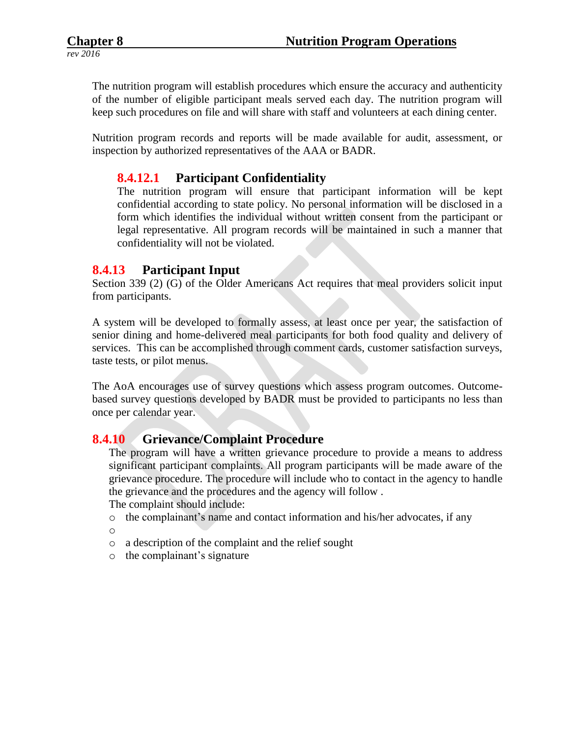The nutrition program will establish procedures which ensure the accuracy and authenticity of the number of eligible participant meals served each day. The nutrition program will keep such procedures on file and will share with staff and volunteers at each dining center.

Nutrition program records and reports will be made available for audit, assessment, or inspection by authorized representatives of the AAA or BADR.

## **8.4.12.1 Participant Confidentiality**

The nutrition program will ensure that participant information will be kept confidential according to state policy. No personal information will be disclosed in a form which identifies the individual without written consent from the participant or legal representative. All program records will be maintained in such a manner that confidentiality will not be violated.

#### **8.4.13 Participant Input**

Section 339 (2) (G) of the Older Americans Act requires that meal providers solicit input from participants.

A system will be developed to formally assess, at least once per year, the satisfaction of senior dining and home-delivered meal participants for both food quality and delivery of services. This can be accomplished through comment cards, customer satisfaction surveys, taste tests, or pilot menus.

The AoA encourages use of survey questions which assess program outcomes. Outcomebased survey questions developed by BADR must be provided to participants no less than once per calendar year.

#### **8.4.10 Grievance/Complaint Procedure**

The program will have a written grievance procedure to provide a means to address significant participant complaints. All program participants will be made aware of the grievance procedure. The procedure will include who to contact in the agency to handle the grievance and the procedures and the agency will follow .

The complaint should include:

- o the complainant's name and contact information and his/her advocates, if any o
- o a description of the complaint and the relief sought
- o the complainant's signature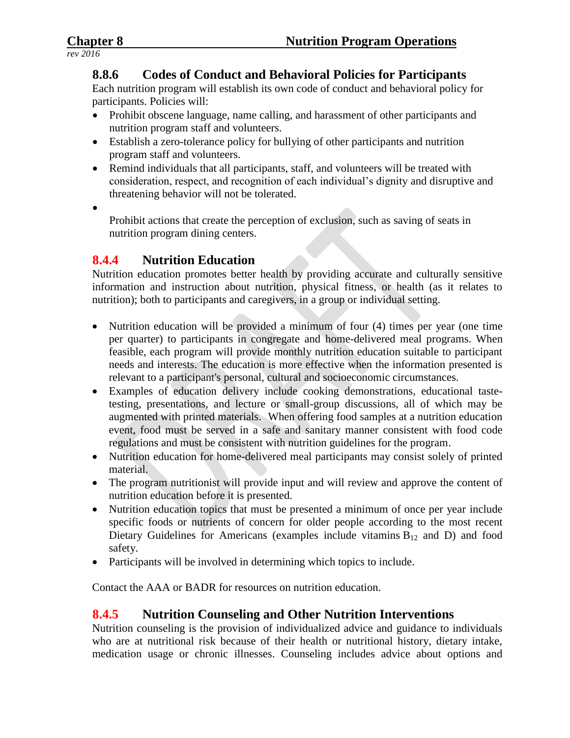## **8.8.6 Codes of Conduct and Behavioral Policies for Participants**

Each nutrition program will establish its own code of conduct and behavioral policy for participants. Policies will:

- Prohibit obscene language, name calling, and harassment of other participants and nutrition program staff and volunteers.
- Establish a zero-tolerance policy for bullying of other participants and nutrition program staff and volunteers.
- Remind individuals that all participants, staff, and volunteers will be treated with consideration, respect, and recognition of each individual's dignity and disruptive and threatening behavior will not be tolerated.
- $\bullet$

Prohibit actions that create the perception of exclusion, such as saving of seats in nutrition program dining centers.

# **8.4.4 Nutrition Education**

Nutrition education promotes better health by providing accurate and culturally sensitive information and instruction about nutrition, physical fitness, or health (as it relates to nutrition); both to participants and caregivers, in a group or individual setting.

- Nutrition education will be provided a minimum of four (4) times per year (one time per quarter) to participants in congregate and home-delivered meal programs. When feasible, each program will provide monthly nutrition education suitable to participant needs and interests. The education is more effective when the information presented is relevant to a participant's personal, cultural and socioeconomic circumstances.
- Examples of education delivery include cooking demonstrations, educational tastetesting, presentations, and lecture or small-group discussions, all of which may be augmented with printed materials. When offering food samples at a nutrition education event, food must be served in a safe and sanitary manner consistent with food code regulations and must be consistent with nutrition guidelines for the program.
- Nutrition education for home-delivered meal participants may consist solely of printed material.
- The program nutritionist will provide input and will review and approve the content of nutrition education before it is presented.
- Nutrition education topics that must be presented a minimum of once per year include specific foods or nutrients of concern for older people according to the most recent Dietary Guidelines for Americans (examples include vitamins  $B_{12}$  and D) and food safety.
- Participants will be involved in determining which topics to include.

Contact the AAA or BADR for resources on nutrition education.

# **8.4.5 Nutrition Counseling and Other Nutrition Interventions**

Nutrition counseling is the provision of individualized advice and guidance to individuals who are at nutritional risk because of their health or nutritional history, dietary intake, medication usage or chronic illnesses. Counseling includes advice about options and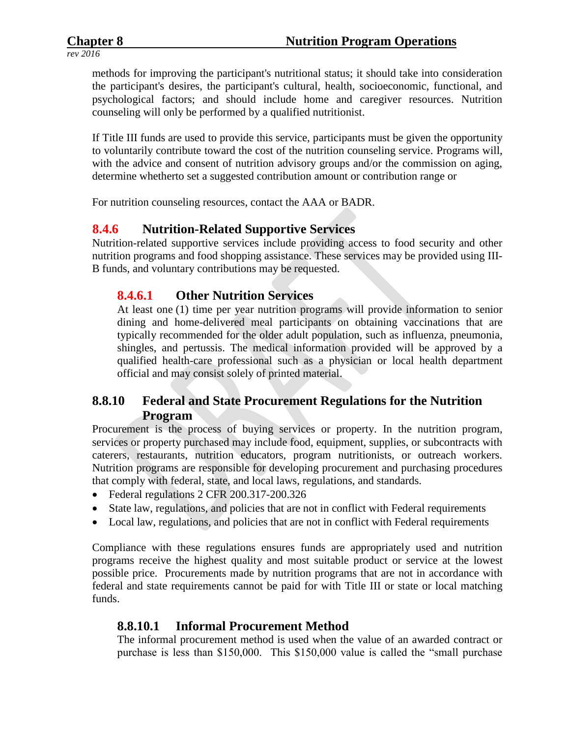methods for improving the participant's nutritional status; it should take into consideration the participant's desires, the participant's cultural, health, socioeconomic, functional, and psychological factors; and should include home and caregiver resources. Nutrition counseling will only be performed by a qualified nutritionist.

If Title III funds are used to provide this service, participants must be given the opportunity to voluntarily contribute toward the cost of the nutrition counseling service. Programs will, with the advice and consent of nutrition advisory groups and/or the commission on aging, determine whetherto set a suggested contribution amount or contribution range or

For nutrition counseling resources, contact the AAA or BADR.

# **8.4.6 Nutrition-Related Supportive Services**

Nutrition-related supportive services include providing access to food security and other nutrition programs and food shopping assistance. These services may be provided using III-B funds, and voluntary contributions may be requested.

## **8.4.6.1 Other Nutrition Services**

At least one (1) time per year nutrition programs will provide information to senior dining and home-delivered meal participants on obtaining vaccinations that are typically recommended for the older adult population, such as influenza, pneumonia, shingles, and pertussis. The medical information provided will be approved by a qualified health-care professional such as a physician or local health department official and may consist solely of printed material.

# **8.8.10 Federal and State Procurement Regulations for the Nutrition Program**

Procurement is the process of buying services or property. In the nutrition program, services or property purchased may include food, equipment, supplies, or subcontracts with caterers, restaurants, nutrition educators, program nutritionists, or outreach workers. Nutrition programs are responsible for developing procurement and purchasing procedures that comply with federal, state, and local laws, regulations, and standards.

- Federal regulations 2 CFR 200.317-200.326
- State law, regulations, and policies that are not in conflict with Federal requirements
- Local law, regulations, and policies that are not in conflict with Federal requirements

Compliance with these regulations ensures funds are appropriately used and nutrition programs receive the highest quality and most suitable product or service at the lowest possible price. Procurements made by nutrition programs that are not in accordance with federal and state requirements cannot be paid for with Title III or state or local matching funds.

# **8.8.10.1 Informal Procurement Method**

The informal procurement method is used when the value of an awarded contract or purchase is less than \$150,000. This \$150,000 value is called the "small purchase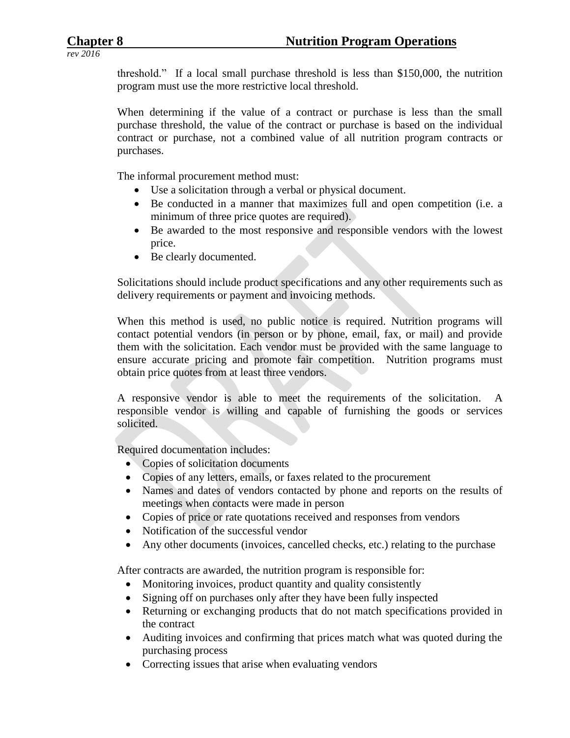threshold." If a local small purchase threshold is less than \$150,000, the nutrition program must use the more restrictive local threshold.

When determining if the value of a contract or purchase is less than the small purchase threshold, the value of the contract or purchase is based on the individual contract or purchase, not a combined value of all nutrition program contracts or purchases.

The informal procurement method must:

- Use a solicitation through a verbal or physical document.
- Be conducted in a manner that maximizes full and open competition (i.e. a minimum of three price quotes are required).
- Be awarded to the most responsive and responsible vendors with the lowest price.
- Be clearly documented.

Solicitations should include product specifications and any other requirements such as delivery requirements or payment and invoicing methods.

When this method is used, no public notice is required. Nutrition programs will contact potential vendors (in person or by phone, email, fax, or mail) and provide them with the solicitation. Each vendor must be provided with the same language to ensure accurate pricing and promote fair competition. Nutrition programs must obtain price quotes from at least three vendors.

A responsive vendor is able to meet the requirements of the solicitation. A responsible vendor is willing and capable of furnishing the goods or services solicited.

Required documentation includes:

- Copies of solicitation documents
- Copies of any letters, emails, or faxes related to the procurement
- Names and dates of vendors contacted by phone and reports on the results of meetings when contacts were made in person
- Copies of price or rate quotations received and responses from vendors
- Notification of the successful vendor
- Any other documents (invoices, cancelled checks, etc.) relating to the purchase

After contracts are awarded, the nutrition program is responsible for:

- Monitoring invoices, product quantity and quality consistently
- Signing off on purchases only after they have been fully inspected
- Returning or exchanging products that do not match specifications provided in the contract
- Auditing invoices and confirming that prices match what was quoted during the purchasing process
- Correcting issues that arise when evaluating vendors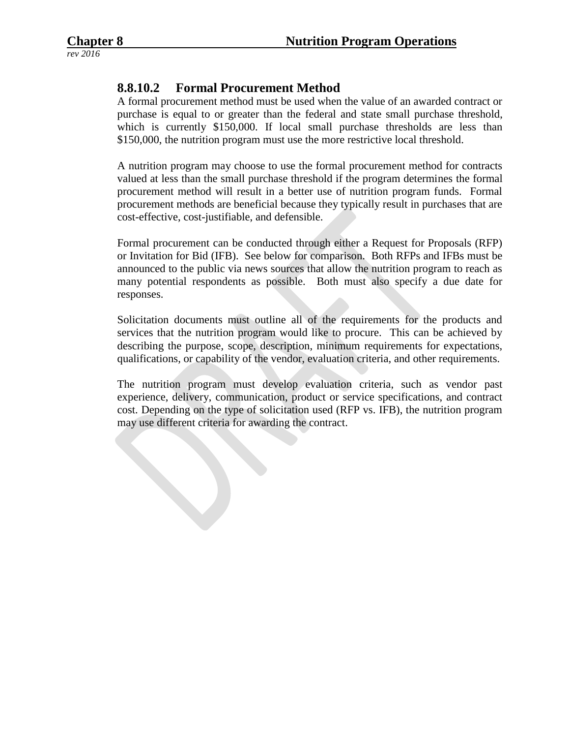# **8.8.10.2 Formal Procurement Method**

A formal procurement method must be used when the value of an awarded contract or purchase is equal to or greater than the federal and state small purchase threshold, which is currently \$150,000. If local small purchase thresholds are less than \$150,000, the nutrition program must use the more restrictive local threshold.

A nutrition program may choose to use the formal procurement method for contracts valued at less than the small purchase threshold if the program determines the formal procurement method will result in a better use of nutrition program funds. Formal procurement methods are beneficial because they typically result in purchases that are cost-effective, cost-justifiable, and defensible.

Formal procurement can be conducted through either a Request for Proposals (RFP) or Invitation for Bid (IFB). See below for comparison. Both RFPs and IFBs must be announced to the public via news sources that allow the nutrition program to reach as many potential respondents as possible. Both must also specify a due date for responses.

Solicitation documents must outline all of the requirements for the products and services that the nutrition program would like to procure. This can be achieved by describing the purpose, scope, description, minimum requirements for expectations, qualifications, or capability of the vendor, evaluation criteria, and other requirements.

The nutrition program must develop evaluation criteria, such as vendor past experience, delivery, communication, product or service specifications, and contract cost. Depending on the type of solicitation used (RFP vs. IFB), the nutrition program may use different criteria for awarding the contract.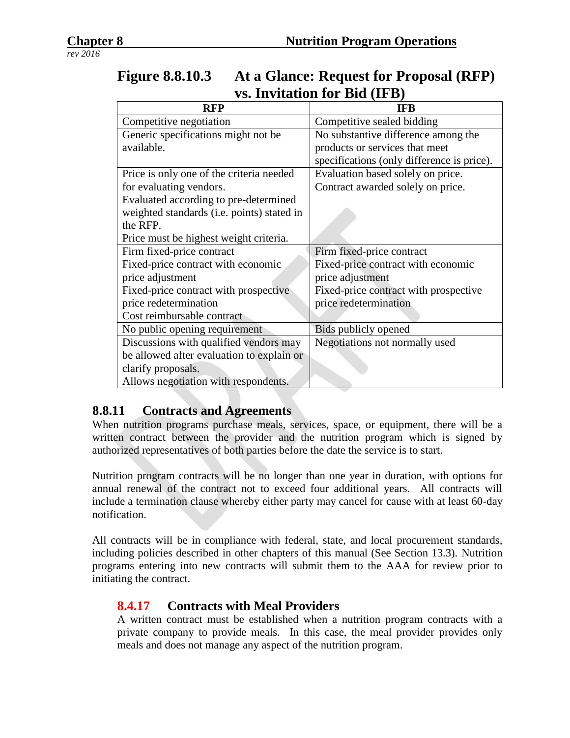|                                            | $\mathbf{v}$ . In the control for $\mathbf{p}$ $\mathbf{u}$ (if $\mathbf{v}$ ) |
|--------------------------------------------|--------------------------------------------------------------------------------|
| <b>RFP</b>                                 | <b>IFB</b>                                                                     |
| Competitive negotiation                    | Competitive sealed bidding                                                     |
| Generic specifications might not be        | No substantive difference among the                                            |
| available.                                 | products or services that meet                                                 |
|                                            | specifications (only difference is price).                                     |
| Price is only one of the criteria needed   | Evaluation based solely on price.                                              |
| for evaluating vendors.                    | Contract awarded solely on price.                                              |
| Evaluated according to pre-determined      |                                                                                |
| weighted standards (i.e. points) stated in |                                                                                |
| the RFP.                                   |                                                                                |
| Price must be highest weight criteria.     |                                                                                |
| Firm fixed-price contract                  | Firm fixed-price contract                                                      |
| Fixed-price contract with economic         | Fixed-price contract with economic                                             |
| price adjustment                           | price adjustment                                                               |
| Fixed-price contract with prospective      | Fixed-price contract with prospective                                          |
| price redetermination                      | price redetermination                                                          |
| Cost reimbursable contract                 |                                                                                |
| No public opening requirement              | Bids publicly opened                                                           |
| Discussions with qualified vendors may     | Negotiations not normally used                                                 |
| be allowed after evaluation to explain or  |                                                                                |
| clarify proposals.                         |                                                                                |
| Allows negotiation with respondents.       |                                                                                |

# **Figure 8.8.10.3 At a Glance: Request for Proposal (RFP) vs. Invitation for Bid (IFB)**

# **8.8.11 Contracts and Agreements**

When nutrition programs purchase meals, services, space, or equipment, there will be a written contract between the provider and the nutrition program which is signed by authorized representatives of both parties before the date the service is to start.

Nutrition program contracts will be no longer than one year in duration, with options for annual renewal of the contract not to exceed four additional years. All contracts will include a termination clause whereby either party may cancel for cause with at least 60-day notification.

All contracts will be in compliance with federal, state, and local procurement standards, including policies described in other chapters of this manual (See Section 13.3). Nutrition programs entering into new contracts will submit them to the AAA for review prior to initiating the contract.

# **8.4.17 Contracts with Meal Providers**

A written contract must be established when a nutrition program contracts with a private company to provide meals. In this case, the meal provider provides only meals and does not manage any aspect of the nutrition program.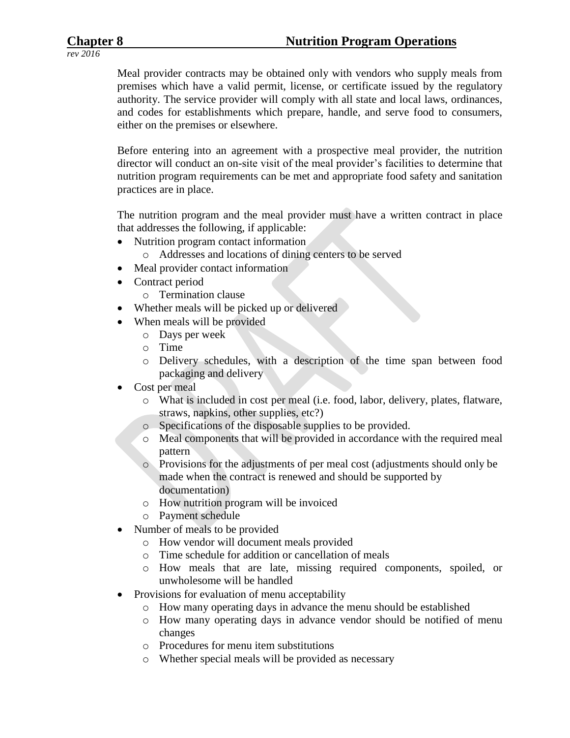Meal provider contracts may be obtained only with vendors who supply meals from premises which have a valid permit, license, or certificate issued by the regulatory authority. The service provider will comply with all state and local laws, ordinances, and codes for establishments which prepare, handle, and serve food to consumers, either on the premises or elsewhere.

Before entering into an agreement with a prospective meal provider, the nutrition director will conduct an on-site visit of the meal provider's facilities to determine that nutrition program requirements can be met and appropriate food safety and sanitation practices are in place.

The nutrition program and the meal provider must have a written contract in place that addresses the following, if applicable:

- Nutrition program contact information
	- o Addresses and locations of dining centers to be served
- Meal provider contact information
- Contract period
	- o Termination clause
- Whether meals will be picked up or delivered
- When meals will be provided
	- o Days per week
	- o Time
	- o Delivery schedules, with a description of the time span between food packaging and delivery
- Cost per meal
	- o What is included in cost per meal (i.e. food, labor, delivery, plates, flatware, straws, napkins, other supplies, etc?)
	- o Specifications of the disposable supplies to be provided.
	- o Meal components that will be provided in accordance with the required meal pattern
	- o Provisions for the adjustments of per meal cost (adjustments should only be made when the contract is renewed and should be supported by documentation)
	- o How nutrition program will be invoiced
	- o Payment schedule
- Number of meals to be provided
	- o How vendor will document meals provided
	- o Time schedule for addition or cancellation of meals
	- o How meals that are late, missing required components, spoiled, or unwholesome will be handled
- Provisions for evaluation of menu acceptability
	- o How many operating days in advance the menu should be established
	- o How many operating days in advance vendor should be notified of menu changes
	- o Procedures for menu item substitutions
	- o Whether special meals will be provided as necessary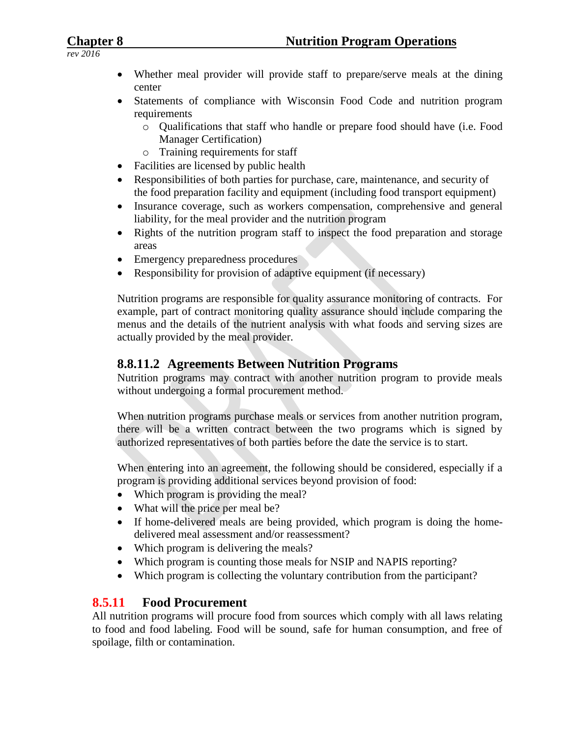- Whether meal provider will provide staff to prepare/serve meals at the dining center
- Statements of compliance with Wisconsin Food Code and nutrition program requirements
	- o Qualifications that staff who handle or prepare food should have (i.e. Food Manager Certification)
	- o Training requirements for staff
- Facilities are licensed by public health
- Responsibilities of both parties for purchase, care, maintenance, and security of the food preparation facility and equipment (including food transport equipment)
- Insurance coverage, such as workers compensation, comprehensive and general liability, for the meal provider and the nutrition program
- Rights of the nutrition program staff to inspect the food preparation and storage areas
- Emergency preparedness procedures
- Responsibility for provision of adaptive equipment (if necessary)

Nutrition programs are responsible for quality assurance monitoring of contracts. For example, part of contract monitoring quality assurance should include comparing the menus and the details of the nutrient analysis with what foods and serving sizes are actually provided by the meal provider.

# **8.8.11.2 Agreements Between Nutrition Programs**

Nutrition programs may contract with another nutrition program to provide meals without undergoing a formal procurement method.

When nutrition programs purchase meals or services from another nutrition program, there will be a written contract between the two programs which is signed by authorized representatives of both parties before the date the service is to start.

When entering into an agreement, the following should be considered, especially if a program is providing additional services beyond provision of food:

- Which program is providing the meal?
- What will the price per meal be?
- If home-delivered meals are being provided, which program is doing the homedelivered meal assessment and/or reassessment?
- Which program is delivering the meals?
- Which program is counting those meals for NSIP and NAPIS reporting?
- Which program is collecting the voluntary contribution from the participant?

# **8.5.11 Food Procurement**

All nutrition programs will procure food from sources which comply with all laws relating to food and food labeling. Food will be sound, safe for human consumption, and free of spoilage, filth or contamination.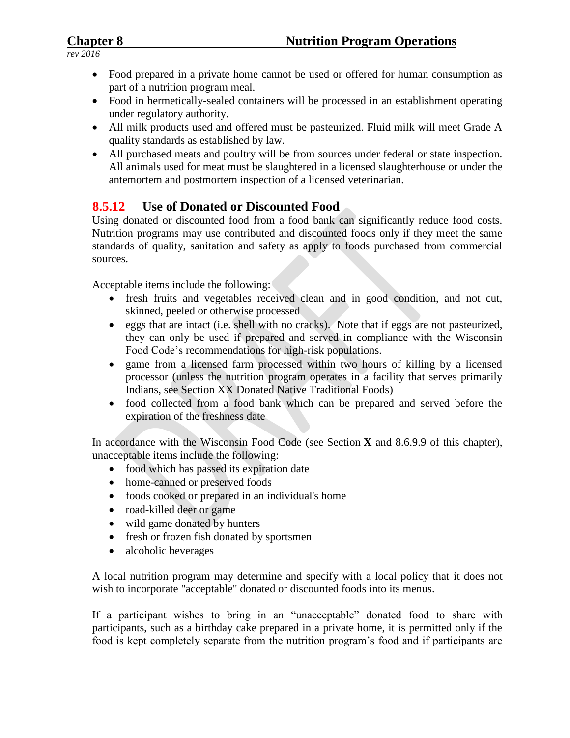- Food prepared in a private home cannot be used or offered for human consumption as part of a nutrition program meal.
- Food in hermetically-sealed containers will be processed in an establishment operating under regulatory authority.
- All milk products used and offered must be pasteurized. Fluid milk will meet Grade A quality standards as established by law.
- All purchased meats and poultry will be from sources under federal or state inspection. All animals used for meat must be slaughtered in a licensed slaughterhouse or under the antemortem and postmortem inspection of a licensed veterinarian.

# **8.5.12 Use of Donated or Discounted Food**

Using donated or discounted food from a food bank can significantly reduce food costs. Nutrition programs may use contributed and discounted foods only if they meet the same standards of quality, sanitation and safety as apply to foods purchased from commercial sources.

Acceptable items include the following:

- fresh fruits and vegetables received clean and in good condition, and not cut, skinned, peeled or otherwise processed
- eggs that are intact (i.e. shell with no cracks). Note that if eggs are not pasteurized, they can only be used if prepared and served in compliance with the Wisconsin Food Code's recommendations for high-risk populations.
- game from a licensed farm processed within two hours of killing by a licensed processor (unless the nutrition program operates in a facility that serves primarily Indians, see Section XX Donated Native Traditional Foods)
- food collected from a food bank which can be prepared and served before the expiration of the freshness date

In accordance with the Wisconsin Food Code (see Section **X** and 8.6.9.9 of this chapter), unacceptable items include the following:

- food which has passed its expiration date
- home-canned or preserved foods
- foods cooked or prepared in an individual's home
- road-killed deer or game
- wild game donated by hunters
- fresh or frozen fish donated by sportsmen
- alcoholic beverages

A local nutrition program may determine and specify with a local policy that it does not wish to incorporate "acceptable" donated or discounted foods into its menus.

If a participant wishes to bring in an "unacceptable" donated food to share with participants, such as a birthday cake prepared in a private home, it is permitted only if the food is kept completely separate from the nutrition program's food and if participants are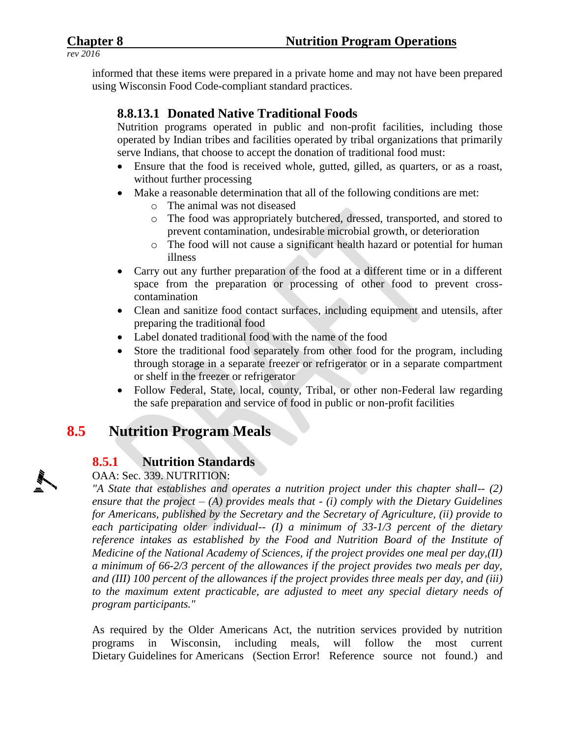informed that these items were prepared in a private home and may not have been prepared using Wisconsin Food Code-compliant standard practices.

# **8.8.13.1 Donated Native Traditional Foods**

Nutrition programs operated in public and non-profit facilities, including those operated by Indian tribes and facilities operated by tribal organizations that primarily serve Indians, that choose to accept the donation of traditional food must:

- Ensure that the food is received whole, gutted, gilled, as quarters, or as a roast, without further processing
- Make a reasonable determination that all of the following conditions are met:
	- o The animal was not diseased
	- o The food was appropriately butchered, dressed, transported, and stored to prevent contamination, undesirable microbial growth, or deterioration
	- o The food will not cause a significant health hazard or potential for human illness
- Carry out any further preparation of the food at a different time or in a different space from the preparation or processing of other food to prevent crosscontamination
- Clean and sanitize food contact surfaces, including equipment and utensils, after preparing the traditional food
- Label donated traditional food with the name of the food
- Store the traditional food separately from other food for the program, including through storage in a separate freezer or refrigerator or in a separate compartment or shelf in the freezer or refrigerator
- Follow Federal, State, local, county, Tribal, or other non-Federal law regarding the safe preparation and service of food in public or non-profit facilities

# **8.5 Nutrition Program Meals**

# **8.5.1 Nutrition Standards**

### OAA: Sec. 339. NUTRITION:

*"A State that establishes and operates a nutrition project under this chapter shall-- (2) ensure that the project – (A) provides meals that - (i) comply with the Dietary Guidelines for Americans, published by the Secretary and the Secretary of Agriculture, (ii) provide to each participating older individual-- (I) a minimum of 33-1/3 percent of the dietary reference intakes as established by the Food and Nutrition Board of the Institute of Medicine of the National Academy of Sciences, if the project provides one meal per day,(II) a minimum of 66-2/3 percent of the allowances if the project provides two meals per day, and (III) 100 percent of the allowances if the project provides three meals per day, and (iii) to the maximum extent practicable, are adjusted to meet any special dietary needs of program participants."*

As required by the Older Americans Act, the nutrition services provided by nutrition programs in Wisconsin, including meals, will follow the most current Dietary Guidelines for Americans (Section Error! Reference source not found.) and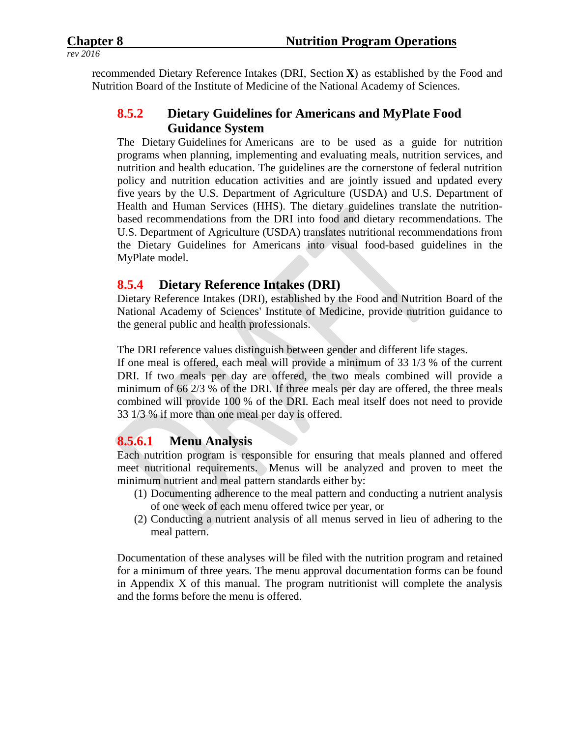recommended Dietary Reference Intakes (DRI, Section **X**) as established by the Food and Nutrition Board of the Institute of Medicine of the National Academy of Sciences.

# **8.5.2 Dietary Guidelines for Americans and MyPlate Food Guidance System**

The Dietary Guidelines for Americans are to be used as a guide for nutrition programs when planning, implementing and evaluating meals, nutrition services, and nutrition and health education. The guidelines are the cornerstone of federal nutrition policy and nutrition education activities and are jointly issued and updated every five years by the U.S. Department of Agriculture (USDA) and U.S. Department of Health and Human Services (HHS). The dietary guidelines translate the nutritionbased recommendations from the DRI into food and dietary recommendations. The U.S. Department of Agriculture (USDA) translates nutritional recommendations from the Dietary Guidelines for Americans into visual food-based guidelines in the MyPlate model.

### **8.5.4 Dietary Reference Intakes (DRI)**

Dietary Reference Intakes (DRI), established by the Food and Nutrition Board of the National Academy of Sciences' Institute of Medicine, provide nutrition guidance to the general public and health professionals.

The DRI reference values distinguish between gender and different life stages.

If one meal is offered, each meal will provide a minimum of 33 1/3 % of the current DRI. If two meals per day are offered, the two meals combined will provide a minimum of 66 2/3 % of the DRI. If three meals per day are offered, the three meals combined will provide 100 % of the DRI. Each meal itself does not need to provide 33 1/3 % if more than one meal per day is offered.

### **8.5.6.1 Menu Analysis**

Each nutrition program is responsible for ensuring that meals planned and offered meet nutritional requirements. Menus will be analyzed and proven to meet the minimum nutrient and meal pattern standards either by:

- (1) Documenting adherence to the meal pattern and conducting a nutrient analysis of one week of each menu offered twice per year, or
- (2) Conducting a nutrient analysis of all menus served in lieu of adhering to the meal pattern.

Documentation of these analyses will be filed with the nutrition program and retained for a minimum of three years. The menu approval documentation forms can be found in Appendix X of this manual. The program nutritionist will complete the analysis and the forms before the menu is offered.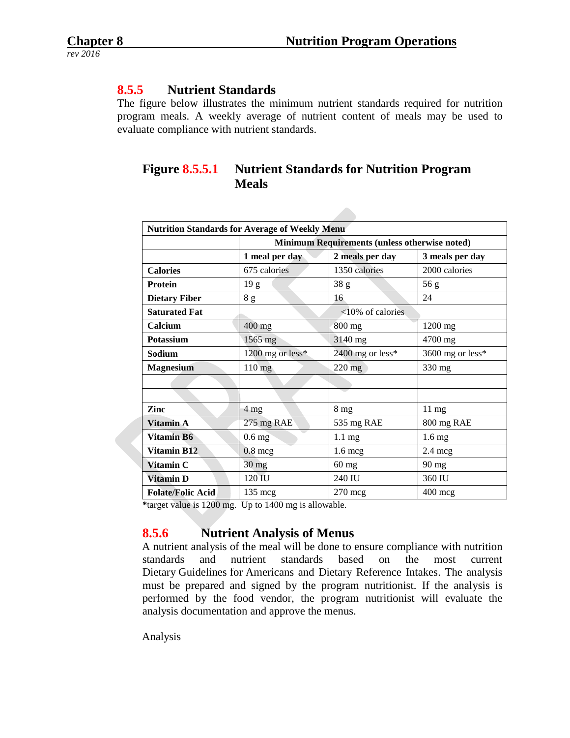### **8.5.5 Nutrient Standards**

The figure below illustrates the minimum nutrient standards required for nutrition program meals. A weekly average of nutrient content of meals may be used to evaluate compliance with nutrient standards.

# **Figure 8.5.5.1 Nutrient Standards for Nutrition Program Meals**

| <b>Nutrition Standards for Average of Weekly Menu</b> |                  |                                               |                   |  |
|-------------------------------------------------------|------------------|-----------------------------------------------|-------------------|--|
|                                                       |                  | Minimum Requirements (unless otherwise noted) |                   |  |
|                                                       | 1 meal per day   | 2 meals per day                               | 3 meals per day   |  |
| <b>Calories</b>                                       | 675 calories     | 1350 calories                                 | 2000 calories     |  |
| <b>Protein</b>                                        | 19 g             | 38 g                                          | 56 g              |  |
| <b>Dietary Fiber</b>                                  | $8\ \mathrm{g}$  | 16                                            | 24                |  |
| <b>Saturated Fat</b>                                  |                  | <10% of calories                              |                   |  |
| Calcium                                               | 400 mg           | 800 mg                                        | 1200 mg           |  |
| Potassium                                             | 1565 mg          | 3140 mg                                       | 4700 mg           |  |
| Sodium                                                | 1200 mg or less* | 2400 mg or less*                              | 3600 mg or less*  |  |
| <b>Magnesium</b>                                      | 110 mg           | $220$ mg                                      | 330 mg            |  |
|                                                       |                  |                                               |                   |  |
|                                                       |                  |                                               |                   |  |
| Zinc                                                  | 4 mg             | 8 <sub>mg</sub>                               | $11 \text{ mg}$   |  |
| Vitamin A                                             | 275 mg RAE       | 535 mg RAE                                    | 800 mg RAE        |  |
| Vitamin B6                                            | $0.6$ mg         | $1.1 \text{ mg}$                              | 1.6 <sub>mg</sub> |  |
| <b>Vitamin B12</b>                                    | $0.8$ mcg        | $1.6 \text{ mcg}$                             | $2.4 \text{ mcg}$ |  |
| Vitamin C                                             | 30 mg            | 60 mg                                         | 90 mg             |  |
| Vitamin D                                             | 120 IU           | 240 IU                                        | 360 IU            |  |
| <b>Folate/Folic Acid</b>                              | 135 mcg          | $270$ mcg                                     | $400$ mcg         |  |

**\***target value is 1200 mg. Up to 1400 mg is allowable.

# **8.5.6 Nutrient Analysis of Menus**

A nutrient analysis of the meal will be done to ensure compliance with nutrition standards and nutrient standards based on the most current Dietary Guidelines for Americans and Dietary Reference Intakes. The analysis must be prepared and signed by the program nutritionist. If the analysis is performed by the food vendor, the program nutritionist will evaluate the analysis documentation and approve the menus.

Analysis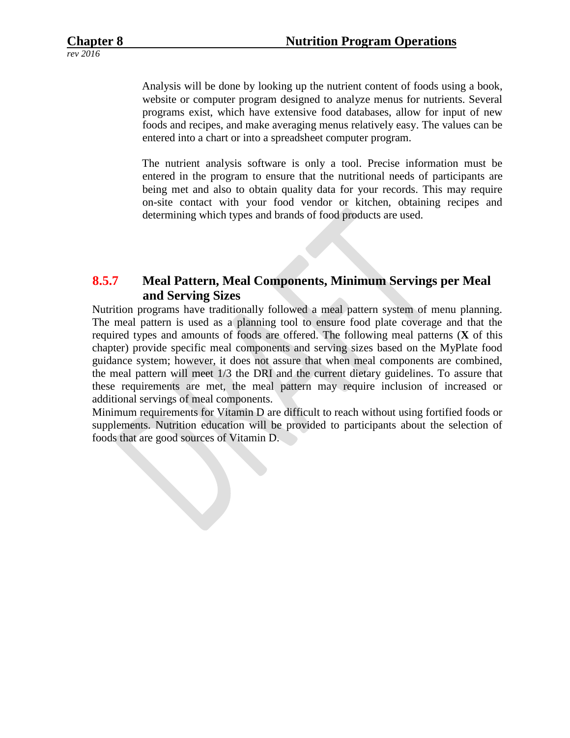Analysis will be done by looking up the nutrient content of foods using a book, website or computer program designed to analyze menus for nutrients. Several programs exist, which have extensive food databases, allow for input of new foods and recipes, and make averaging menus relatively easy. The values can be entered into a chart or into a spreadsheet computer program.

The nutrient analysis software is only a tool. Precise information must be entered in the program to ensure that the nutritional needs of participants are being met and also to obtain quality data for your records. This may require on-site contact with your food vendor or kitchen, obtaining recipes and determining which types and brands of food products are used.

# **8.5.7 Meal Pattern, Meal Components, Minimum Servings per Meal and Serving Sizes**

Nutrition programs have traditionally followed a meal pattern system of menu planning. The meal pattern is used as a planning tool to ensure food plate coverage and that the required types and amounts of foods are offered. The following meal patterns (**X** of this chapter) provide specific meal components and serving sizes based on the MyPlate food guidance system; however, it does not assure that when meal components are combined, the meal pattern will meet 1/3 the DRI and the current dietary guidelines. To assure that these requirements are met, the meal pattern may require inclusion of increased or additional servings of meal components.

Minimum requirements for Vitamin D are difficult to reach without using fortified foods or supplements. Nutrition education will be provided to participants about the selection of foods that are good sources of Vitamin D.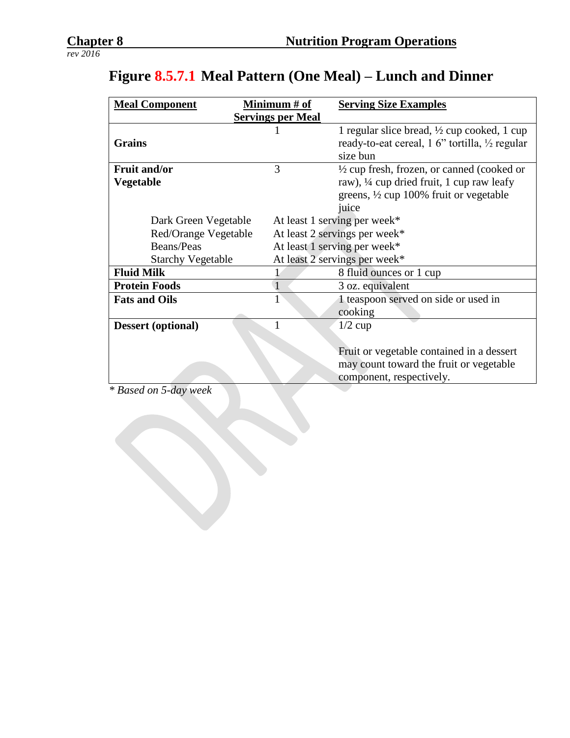| <b>Meal Component</b>                            | Minimum # of                 | <b>Serving Size Examples</b>                           |
|--------------------------------------------------|------------------------------|--------------------------------------------------------|
| <b>Servings per Meal</b>                         |                              |                                                        |
|                                                  |                              | 1 regular slice bread, $\frac{1}{2}$ cup cooked, 1 cup |
| <b>Grains</b>                                    |                              | ready-to-eat cereal, 1 6" tortilla, 1/2 regular        |
|                                                  |                              | size bun                                               |
| <b>Fruit and/or</b>                              | 3                            | $\frac{1}{2}$ cup fresh, frozen, or canned (cooked or  |
| <b>Vegetable</b>                                 |                              | raw), $\frac{1}{4}$ cup dried fruit, 1 cup raw leafy   |
|                                                  |                              | greens, $\frac{1}{2}$ cup 100% fruit or vegetable      |
|                                                  |                              | juice                                                  |
| Dark Green Vegetable                             | At least 1 serving per week* |                                                        |
| Red/Orange Vegetable                             |                              | At least 2 servings per week*                          |
| Beans/Peas                                       |                              | At least 1 serving per week*                           |
| <b>Starchy Vegetable</b>                         |                              | At least 2 servings per week*                          |
| <b>Fluid Milk</b>                                |                              | 8 fluid ounces or 1 cup                                |
| <b>Protein Foods</b>                             |                              | 3 oz. equivalent                                       |
| <b>Fats and Oils</b>                             |                              | 1 teaspoon served on side or used in                   |
|                                                  |                              | cooking                                                |
| <b>Dessert</b> (optional)                        |                              | $1/2$ cup                                              |
|                                                  |                              |                                                        |
|                                                  |                              | Fruit or vegetable contained in a dessert              |
|                                                  |                              | may count toward the fruit or vegetable                |
|                                                  |                              | component, respectively.                               |
| $*$ D $$ J $$ $\blacksquare$ J $$ $\blacksquare$ |                              |                                                        |

# **Figure 8.5.7.1 Meal Pattern (One Meal) – Lunch and Dinner**

*\* Based on 5-day week*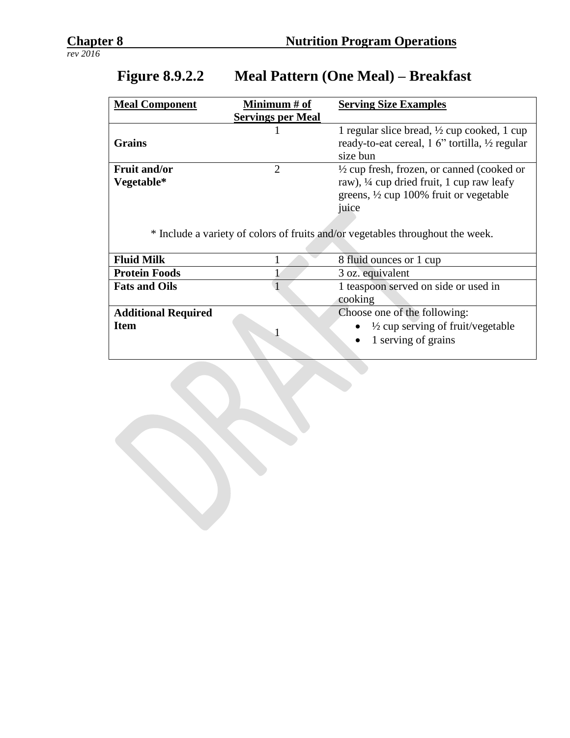| <b>Meal Component</b>      | Minimum # of             | <b>Serving Size Examples</b>                                                   |
|----------------------------|--------------------------|--------------------------------------------------------------------------------|
|                            | <b>Servings per Meal</b> |                                                                                |
|                            |                          | 1 regular slice bread, $\frac{1}{2}$ cup cooked, 1 cup                         |
| <b>Grains</b>              |                          | ready-to-eat cereal, 1 6" tortilla, 1/2 regular                                |
|                            |                          | size bun                                                                       |
| <b>Fruit and/or</b>        | $\overline{2}$           | $\frac{1}{2}$ cup fresh, frozen, or canned (cooked or                          |
| Vegetable*                 |                          | raw), ¼ cup dried fruit, 1 cup raw leafy                                       |
|                            |                          | greens, $\frac{1}{2}$ cup 100% fruit or vegetable                              |
|                            |                          | juice                                                                          |
|                            |                          |                                                                                |
|                            |                          | * Include a variety of colors of fruits and/or vegetables throughout the week. |
|                            |                          |                                                                                |
| <b>Fluid Milk</b>          |                          | 8 fluid ounces or 1 cup                                                        |
| <b>Protein Foods</b>       |                          | 3 oz. equivalent                                                               |
| <b>Fats and Oils</b>       |                          | 1 teaspoon served on side or used in                                           |
|                            |                          | cooking                                                                        |
| <b>Additional Required</b> |                          | Choose one of the following:                                                   |
| <b>Item</b>                |                          | $\frac{1}{2}$ cup serving of fruit/vegetable                                   |
|                            |                          | 1 serving of grains                                                            |
|                            |                          |                                                                                |

# **Figure 8.9.2.2 Meal Pattern (One Meal) – Breakfast**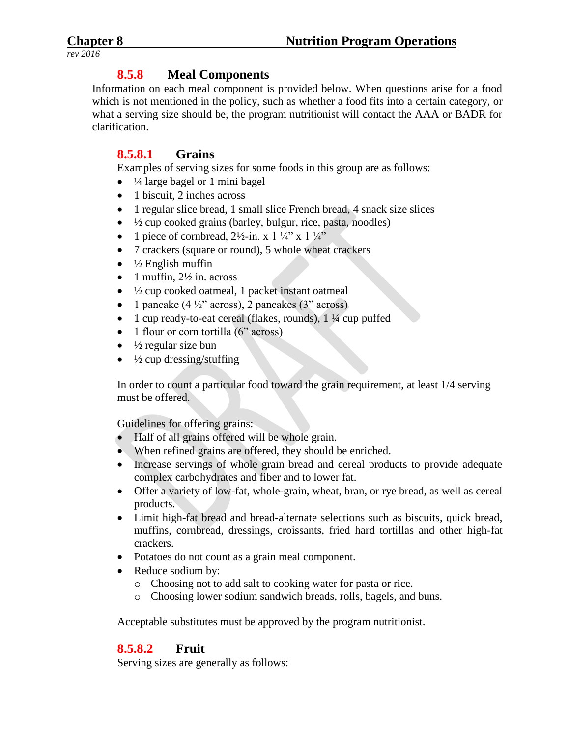## **8.5.8 Meal Components**

Information on each meal component is provided below. When questions arise for a food which is not mentioned in the policy, such as whether a food fits into a certain category, or what a serving size should be, the program nutritionist will contact the AAA or BADR for clarification.

## **8.5.8.1 Grains**

Examples of serving sizes for some foods in this group are as follows:

- $\bullet$   $\frac{1}{4}$  large bagel or 1 mini bagel
- 1 biscuit, 2 inches across
- 1 regular slice bread, 1 small slice French bread, 4 snack size slices
- $\bullet$   $\frac{1}{2}$  cup cooked grains (barley, bulgur, rice, pasta, noodles)
- 1 piece of cornbread,  $2\frac{1}{2}$ -in. x 1  $\frac{1}{4}$ " x 1  $\frac{1}{4}$ "
- 7 crackers (square or round), 5 whole wheat crackers
- $\bullet$   $\frac{1}{2}$  English muffin
- 1 muffin,  $2\frac{1}{2}$  in. across
- $\frac{1}{2}$  cup cooked oatmeal, 1 packet instant oatmeal
- 1 pancake  $(4\frac{1}{2})$  across), 2 pancakes  $(3)$  across)
- 1 cup ready-to-eat cereal (flakes, rounds), 1 ¼ cup puffed
- $\bullet$  1 flour or corn tortilla (6" across)
- $\bullet$   $\frac{1}{2}$  regular size bun
- $\cdot$   $\frac{1}{2}$  cup dressing/stuffing

In order to count a particular food toward the grain requirement, at least 1/4 serving must be offered.

Guidelines for offering grains:

- Half of all grains offered will be whole grain.
- When refined grains are offered, they should be enriched.
- Increase servings of whole grain bread and cereal products to provide adequate complex carbohydrates and fiber and to lower fat.
- Offer a variety of low-fat, whole-grain, wheat, bran, or rye bread, as well as cereal products.
- Limit high-fat bread and bread-alternate selections such as biscuits, quick bread, muffins, cornbread, dressings, croissants, fried hard tortillas and other high-fat crackers.
- Potatoes do not count as a grain meal component.
- Reduce sodium by:
	- o Choosing not to add salt to cooking water for pasta or rice.
	- o Choosing lower sodium sandwich breads, rolls, bagels, and buns.

Acceptable substitutes must be approved by the program nutritionist.

# **8.5.8.2 Fruit**

Serving sizes are generally as follows: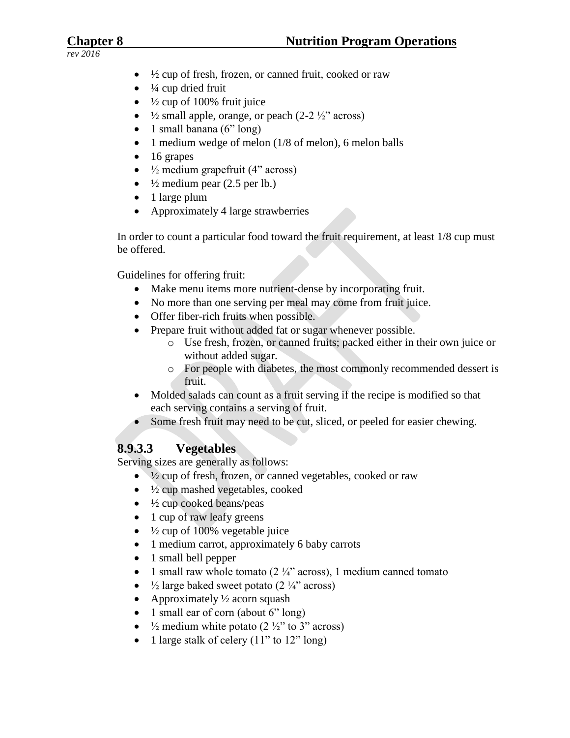- $\bullet$   $\frac{1}{2}$  cup of fresh, frozen, or canned fruit, cooked or raw
- $\bullet$   $\frac{1}{4}$  cup dried fruit
- $\bullet$  1/2 cup of 100% fruit juice
- $\frac{1}{2}$  small apple, orange, or peach (2-2  $\frac{1}{2}$ " across)
- $\bullet$  1 small banana (6" long)
- $\bullet$  1 medium wedge of melon (1/8 of melon), 6 melon balls
- $\bullet$  16 grapes
- $\bullet$   $\frac{1}{2}$  medium grapefruit (4" across)
- $\bullet$   $\frac{1}{2}$  medium pear (2.5 per lb.)
- 1 large plum
- Approximately 4 large strawberries

In order to count a particular food toward the fruit requirement, at least 1/8 cup must be offered.

Guidelines for offering fruit:

- Make menu items more nutrient-dense by incorporating fruit.
- No more than one serving per meal may come from fruit juice.
- Offer fiber-rich fruits when possible.
- Prepare fruit without added fat or sugar whenever possible.
	- o Use fresh, frozen, or canned fruits; packed either in their own juice or without added sugar.
	- o For people with diabetes, the most commonly recommended dessert is fruit.
- Molded salads can count as a fruit serving if the recipe is modified so that each serving contains a serving of fruit.
- Some fresh fruit may need to be cut, sliced, or peeled for easier chewing.

# **8.9.3.3 Vegetables**

Serving sizes are generally as follows:

- $\bullet$   $\frac{1}{2}$  cup of fresh, frozen, or canned vegetables, cooked or raw
- $\bullet$   $\frac{1}{2}$  cup mashed vegetables, cooked
- $\bullet$   $\frac{1}{2}$  cup cooked beans/peas
- 1 cup of raw leafy greens
- $\cdot$   $\frac{1}{2}$  cup of 100% vegetable juice
- 1 medium carrot, approximately 6 baby carrots
- 1 small bell pepper
- 1 small raw whole tomato ( $2\frac{1}{4}$ " across), 1 medium canned tomato
- $\frac{1}{2}$  large baked sweet potato (2 $\frac{1}{4}$ " across)
- Approximately  $\frac{1}{2}$  acorn squash
- $\bullet$  1 small ear of corn (about 6" long)
- $\frac{1}{2}$  medium white potato (2 $\frac{1}{2}$ " to 3" across)
- 1 large stalk of celery  $(11"$  to  $12"$  long)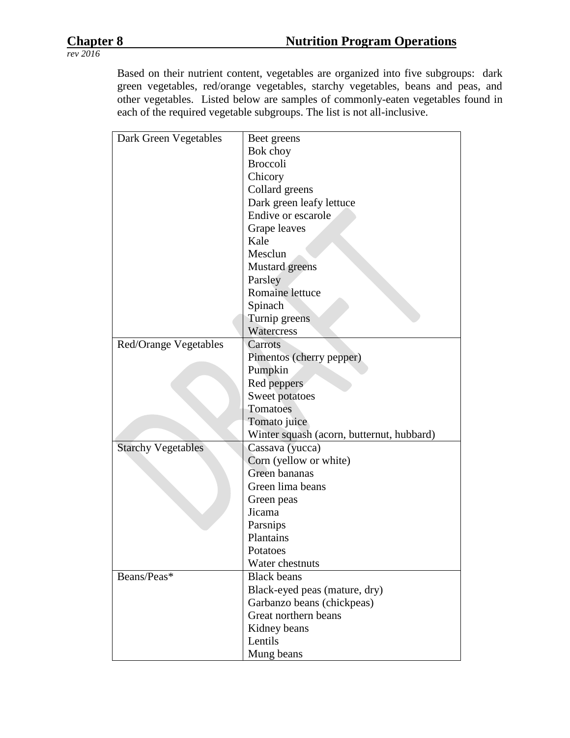Based on their nutrient content, vegetables are organized into five subgroups: dark green vegetables, red/orange vegetables, starchy vegetables, beans and peas, and other vegetables. Listed below are samples of commonly-eaten vegetables found in each of the required vegetable subgroups. The list is not all-inclusive.

| Dark Green Vegetables     | Beet greens                               |
|---------------------------|-------------------------------------------|
|                           | Bok choy                                  |
|                           | <b>Broccoli</b>                           |
|                           | Chicory                                   |
|                           | Collard greens                            |
|                           | Dark green leafy lettuce                  |
|                           | Endive or escarole                        |
|                           | Grape leaves                              |
|                           | Kale                                      |
|                           | Mesclun                                   |
|                           | Mustard greens                            |
|                           | Parsley                                   |
|                           | Romaine lettuce                           |
|                           | Spinach                                   |
|                           | Turnip greens                             |
|                           | Watercress                                |
| Red/Orange Vegetables     | Carrots                                   |
|                           | Pimentos (cherry pepper)                  |
|                           | Pumpkin                                   |
|                           | Red peppers                               |
|                           | Sweet potatoes                            |
|                           | Tomatoes                                  |
|                           | Tomato juice                              |
|                           | Winter squash (acorn, butternut, hubbard) |
| <b>Starchy Vegetables</b> | Cassava (yucca)                           |
|                           | Corn (yellow or white)                    |
|                           | Green bananas                             |
|                           | Green lima beans                          |
|                           | Green peas                                |
|                           | Jicama                                    |
|                           | Parsnips                                  |
|                           | Plantains                                 |
|                           | Potatoes                                  |
|                           | Water chestnuts                           |
| Beans/Peas*               | <b>Black beans</b>                        |
|                           | Black-eyed peas (mature, dry)             |
|                           | Garbanzo beans (chickpeas)                |
|                           | Great northern beans                      |
|                           | Kidney beans                              |
|                           | Lentils                                   |
|                           | Mung beans                                |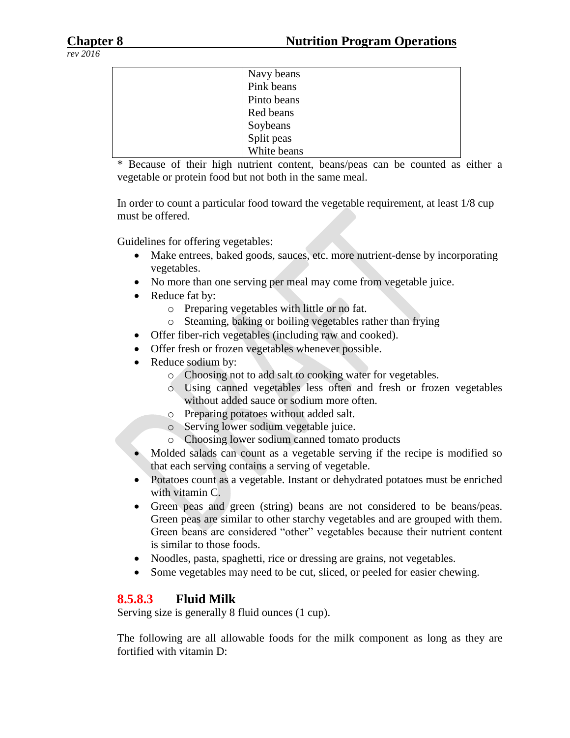| Navy beans  |
|-------------|
| Pink beans  |
| Pinto beans |
| Red beans   |
| Soybeans    |
| Split peas  |
| White beans |

\* Because of their high nutrient content, beans/peas can be counted as either a vegetable or protein food but not both in the same meal.

In order to count a particular food toward the vegetable requirement, at least 1/8 cup must be offered.

Guidelines for offering vegetables:

- Make entrees, baked goods, sauces, etc. more nutrient-dense by incorporating vegetables.
- No more than one serving per meal may come from vegetable juice.
- Reduce fat by:
	- o Preparing vegetables with little or no fat.
	- o Steaming, baking or boiling vegetables rather than frying
- Offer fiber-rich vegetables (including raw and cooked).
- Offer fresh or frozen vegetables whenever possible.
- Reduce sodium by:
	- o Choosing not to add salt to cooking water for vegetables.
	- o Using canned vegetables less often and fresh or frozen vegetables without added sauce or sodium more often.
	- o Preparing potatoes without added salt.
	- o Serving lower sodium vegetable juice.
	- o Choosing lower sodium canned tomato products
- Molded salads can count as a vegetable serving if the recipe is modified so that each serving contains a serving of vegetable.
- Potatoes count as a vegetable. Instant or dehydrated potatoes must be enriched with vitamin C.
- Green peas and green (string) beans are not considered to be beans/peas. Green peas are similar to other starchy vegetables and are grouped with them. Green beans are considered "other" vegetables because their nutrient content is similar to those foods.
- Noodles, pasta, spaghetti, rice or dressing are grains, not vegetables.
- Some vegetables may need to be cut, sliced, or peeled for easier chewing.

# **8.5.8.3 Fluid Milk**

Serving size is generally 8 fluid ounces (1 cup).

The following are all allowable foods for the milk component as long as they are fortified with vitamin D: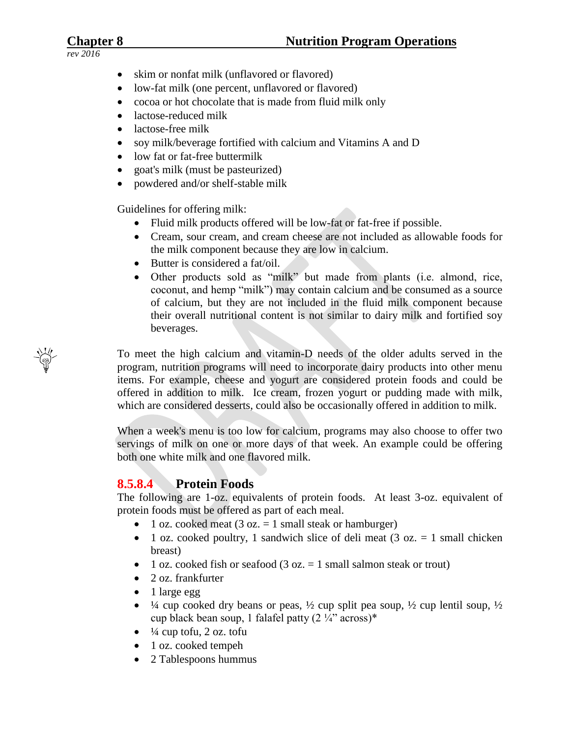- *rev 2016*
- skim or nonfat milk (unflavored or flavored)
- low-fat milk (one percent, unflavored or flavored)
- cocoa or hot chocolate that is made from fluid milk only
- lactose-reduced milk
- lactose-free milk
- soy milk/beverage fortified with calcium and Vitamins A and D
- low fat or fat-free buttermilk
- goat's milk (must be pasteurized)
- powdered and/or shelf-stable milk

Guidelines for offering milk:

- Fluid milk products offered will be low-fat or fat-free if possible.
- Cream, sour cream, and cream cheese are not included as allowable foods for the milk component because they are low in calcium.
- Butter is considered a fat/oil.
- Other products sold as "milk" but made from plants (i.e. almond, rice, coconut, and hemp "milk") may contain calcium and be consumed as a source of calcium, but they are not included in the fluid milk component because their overall nutritional content is not similar to dairy milk and fortified soy beverages.

To meet the high calcium and vitamin-D needs of the older adults served in the program, nutrition programs will need to incorporate dairy products into other menu items. For example, cheese and yogurt are considered protein foods and could be offered in addition to milk. Ice cream, frozen yogurt or pudding made with milk, which are considered desserts, could also be occasionally offered in addition to milk.

When a week's menu is too low for calcium, programs may also choose to offer two servings of milk on one or more days of that week. An example could be offering both one white milk and one flavored milk.

# **8.5.8.4 Protein Foods**

The following are 1-oz. equivalents of protein foods. At least 3-oz. equivalent of protein foods must be offered as part of each meal.

- 1 oz. cooked meat (3 oz.  $= 1$  small steak or hamburger)
- 1 oz. cooked poultry, 1 sandwich slice of deli meat (3 oz.  $= 1$  small chicken breast)
- 1 oz. cooked fish or seafood (3 oz.  $= 1$  small salmon steak or trout)
- 2 oz. frankfurter
- $\bullet$  1 large egg
- $\frac{1}{4}$  cup cooked dry beans or peas,  $\frac{1}{2}$  cup split pea soup,  $\frac{1}{2}$  cup lentil soup,  $\frac{1}{2}$ cup black bean soup, 1 falafel patty (2 ¼" across)\*
- $\bullet$   $\frac{1}{4}$  cup tofu, 2 oz. tofu
- 1 oz. cooked tempeh
- 2 Tablespoons hummus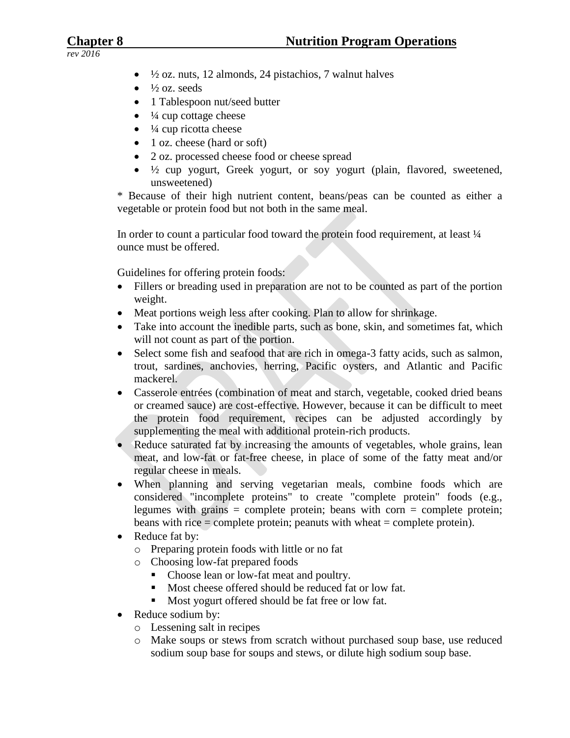- $\bullet$   $\frac{1}{2}$  oz. nuts, 12 almonds, 24 pistachios, 7 walnut halves
- $\bullet$   $\frac{1}{2}$  oz. seeds
- 1 Tablespoon nut/seed butter
- $\bullet$   $\frac{1}{4}$  cup cottage cheese
- $\bullet$   $\frac{1}{4}$  cup ricotta cheese
- 1 oz. cheese (hard or soft)
- 2 oz. processed cheese food or cheese spread
- $\bullet$   $\frac{1}{2}$  cup yogurt, Greek yogurt, or soy yogurt (plain, flavored, sweetened, unsweetened)

\* Because of their high nutrient content, beans/peas can be counted as either a vegetable or protein food but not both in the same meal.

In order to count a particular food toward the protein food requirement, at least  $\frac{1}{4}$ ounce must be offered.

Guidelines for offering protein foods:

- Fillers or breading used in preparation are not to be counted as part of the portion weight.
- Meat portions weigh less after cooking. Plan to allow for shrinkage.
- Take into account the inedible parts, such as bone, skin, and sometimes fat, which will not count as part of the portion.
- Select some fish and seafood that are rich in omega-3 fatty acids, such as salmon, trout, sardines, anchovies, herring, Pacific oysters, and Atlantic and Pacific mackerel.
- Casserole entrées (combination of meat and starch, vegetable, cooked dried beans or creamed sauce) are cost-effective. However, because it can be difficult to meet the protein food requirement, recipes can be adjusted accordingly by supplementing the meal with additional protein-rich products.
- Reduce saturated fat by increasing the amounts of vegetables, whole grains, lean meat, and low-fat or fat-free cheese, in place of some of the fatty meat and/or regular cheese in meals.
- When planning and serving vegetarian meals, combine foods which are considered "incomplete proteins" to create "complete protein" foods (e.g., legumes with grains  $=$  complete protein; beans with corn  $=$  complete protein; beans with rice = complete protein; peanuts with wheat = complete protein).
- Reduce fat by:
	- o Preparing protein foods with little or no fat
	- o Choosing low-fat prepared foods
		- Choose lean or low-fat meat and poultry.
		- Most cheese offered should be reduced fat or low fat.
		- Most yogurt offered should be fat free or low fat.
- Reduce sodium by:
	- o Lessening salt in recipes
	- o Make soups or stews from scratch without purchased soup base, use reduced sodium soup base for soups and stews, or dilute high sodium soup base.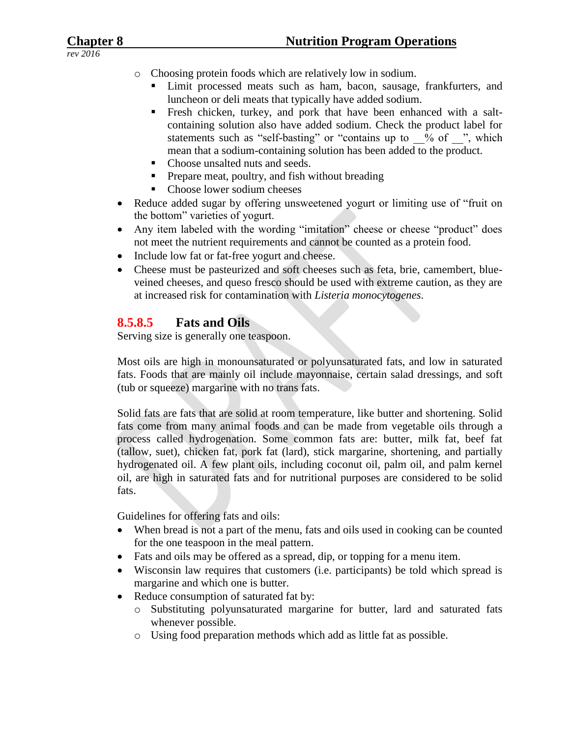- *rev 2016*
- o Choosing protein foods which are relatively low in sodium.
	- Limit processed meats such as ham, bacon, sausage, frankfurters, and luncheon or deli meats that typically have added sodium.
	- Fresh chicken, turkey, and pork that have been enhanced with a saltcontaining solution also have added sodium. Check the product label for statements such as "self-basting" or "contains up to  $\%$  of  $\%$ , which mean that a sodium-containing solution has been added to the product.
	- Choose unsalted nuts and seeds.
	- **Prepare meat, poultry, and fish without breading**
	- Choose lower sodium cheeses
- Reduce added sugar by offering unsweetened yogurt or limiting use of "fruit on the bottom" varieties of yogurt.
- Any item labeled with the wording "imitation" cheese or cheese "product" does not meet the nutrient requirements and cannot be counted as a protein food.
- Include low fat or fat-free yogurt and cheese.
- Cheese must be pasteurized and soft cheeses such as feta, brie, camembert, blueveined cheeses, and queso fresco should be used with extreme caution, as they are at increased risk for contamination with *Listeria monocytogenes*.

# **8.5.8.5 Fats and Oils**

Serving size is generally one teaspoon.

Most oils are high in monounsaturated or polyunsaturated fats, and low in saturated fats. Foods that are mainly oil include mayonnaise, certain salad dressings, and soft (tub or squeeze) margarine with no trans fats.

Solid fats are fats that are solid at room temperature, like butter and shortening. Solid fats come from many animal foods and can be made from vegetable oils through a process called hydrogenation. Some common fats are: butter, milk fat, beef fat (tallow, suet), chicken fat, pork fat (lard), stick margarine, shortening, and partially hydrogenated oil. A few plant oils, including coconut oil, palm oil, and palm kernel oil, are high in saturated fats and for nutritional purposes are considered to be solid fats.

Guidelines for offering fats and oils:

- When bread is not a part of the menu, fats and oils used in cooking can be counted for the one teaspoon in the meal pattern.
- Fats and oils may be offered as a spread, dip, or topping for a menu item.
- Wisconsin law requires that customers (i.e. participants) be told which spread is margarine and which one is butter.
- Reduce consumption of saturated fat by:
	- o Substituting polyunsaturated margarine for butter, lard and saturated fats whenever possible.
	- o Using food preparation methods which add as little fat as possible.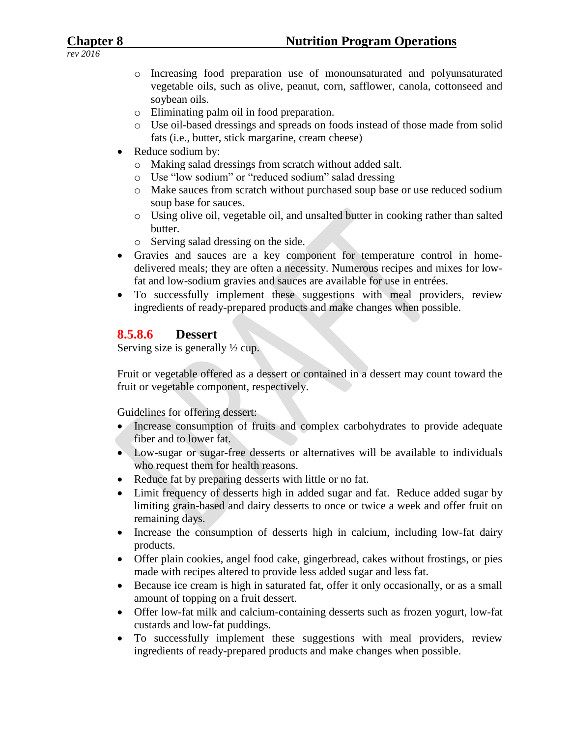- o Increasing food preparation use of monounsaturated and polyunsaturated vegetable oils, such as olive, peanut, corn, safflower, canola, cottonseed and soybean oils.
- o Eliminating palm oil in food preparation.
- o Use oil-based dressings and spreads on foods instead of those made from solid fats (i.e., butter, stick margarine, cream cheese)
- Reduce sodium by:
	- o Making salad dressings from scratch without added salt.
	- o Use "low sodium" or "reduced sodium" salad dressing
	- o Make sauces from scratch without purchased soup base or use reduced sodium soup base for sauces.
	- o Using olive oil, vegetable oil, and unsalted butter in cooking rather than salted butter.
	- o Serving salad dressing on the side.
- Gravies and sauces are a key component for temperature control in homedelivered meals; they are often a necessity. Numerous recipes and mixes for lowfat and low-sodium gravies and sauces are available for use in entrées.
- To successfully implement these suggestions with meal providers, review ingredients of ready-prepared products and make changes when possible.

# **8.5.8.6 Dessert**

Serving size is generally ½ cup.

Fruit or vegetable offered as a dessert or contained in a dessert may count toward the fruit or vegetable component, respectively.

Guidelines for offering dessert:

- Increase consumption of fruits and complex carbohydrates to provide adequate fiber and to lower fat.
- Low-sugar or sugar-free desserts or alternatives will be available to individuals who request them for health reasons.
- Reduce fat by preparing desserts with little or no fat.
- Limit frequency of desserts high in added sugar and fat. Reduce added sugar by limiting grain-based and dairy desserts to once or twice a week and offer fruit on remaining days.
- Increase the consumption of desserts high in calcium, including low-fat dairy products.
- Offer plain cookies, angel food cake, gingerbread, cakes without frostings, or pies made with recipes altered to provide less added sugar and less fat.
- Because ice cream is high in saturated fat, offer it only occasionally, or as a small amount of topping on a fruit dessert.
- Offer low-fat milk and calcium-containing desserts such as frozen yogurt, low-fat custards and low-fat puddings.
- To successfully implement these suggestions with meal providers, review ingredients of ready-prepared products and make changes when possible.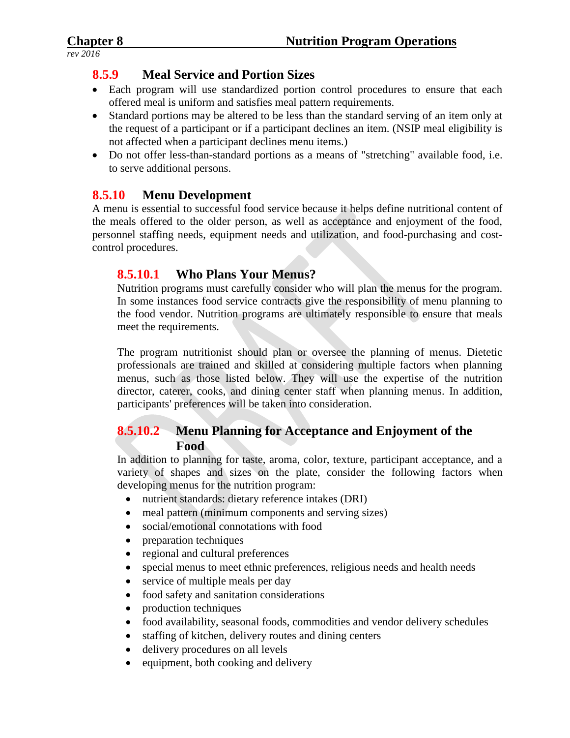# **8.5.9 Meal Service and Portion Sizes**

- Each program will use standardized portion control procedures to ensure that each offered meal is uniform and satisfies meal pattern requirements.
- Standard portions may be altered to be less than the standard serving of an item only at the request of a participant or if a participant declines an item. (NSIP meal eligibility is not affected when a participant declines menu items.)
- Do not offer less-than-standard portions as a means of "stretching" available food, i.e. to serve additional persons.

## **8.5.10 Menu Development**

A menu is essential to successful food service because it helps define nutritional content of the meals offered to the older person, as well as acceptance and enjoyment of the food, personnel staffing needs, equipment needs and utilization, and food-purchasing and costcontrol procedures.

# **8.5.10.1 Who Plans Your Menus?**

Nutrition programs must carefully consider who will plan the menus for the program. In some instances food service contracts give the responsibility of menu planning to the food vendor. Nutrition programs are ultimately responsible to ensure that meals meet the requirements.

The program nutritionist should plan or oversee the planning of menus. Dietetic professionals are trained and skilled at considering multiple factors when planning menus, such as those listed below. They will use the expertise of the nutrition director, caterer, cooks, and dining center staff when planning menus. In addition, participants' preferences will be taken into consideration.

# **8.5.10.2 Menu Planning for Acceptance and Enjoyment of the Food**

In addition to planning for taste, aroma, color, texture, participant acceptance, and a variety of shapes and sizes on the plate, consider the following factors when developing menus for the nutrition program:

- nutrient standards: dietary reference intakes (DRI)
- meal pattern (minimum components and serving sizes)
- social/emotional connotations with food
- preparation techniques
- regional and cultural preferences
- special menus to meet ethnic preferences, religious needs and health needs
- service of multiple meals per day
- food safety and sanitation considerations
- production techniques
- food availability, seasonal foods, commodities and vendor delivery schedules
- staffing of kitchen, delivery routes and dining centers
- delivery procedures on all levels
- $\bullet$  equipment, both cooking and delivery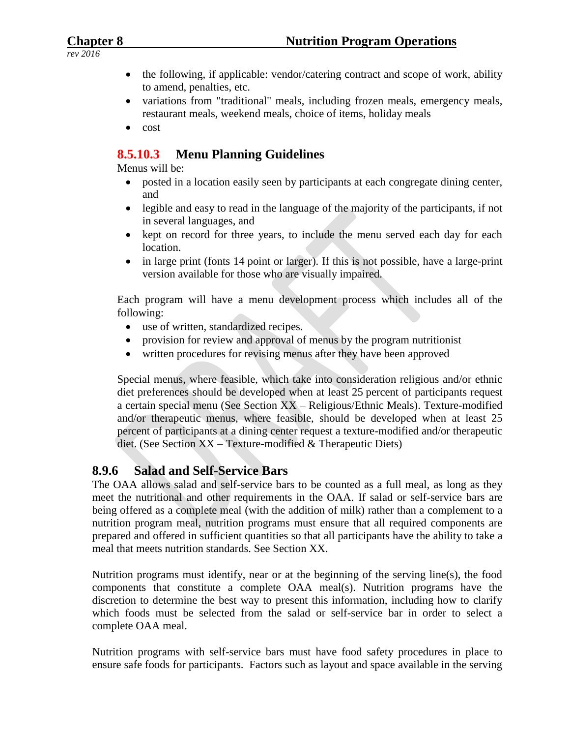- *rev 2016*
- the following, if applicable: vendor/catering contract and scope of work, ability to amend, penalties, etc.
- variations from "traditional" meals, including frozen meals, emergency meals, restaurant meals, weekend meals, choice of items, holiday meals
- $\bullet$  cost

# **8.5.10.3 Menu Planning Guidelines**

Menus will be:

- posted in a location easily seen by participants at each congregate dining center, and
- legible and easy to read in the language of the majority of the participants, if not in several languages, and
- kept on record for three years, to include the menu served each day for each location.
- in large print (fonts 14 point or larger). If this is not possible, have a large-print version available for those who are visually impaired.

Each program will have a menu development process which includes all of the following:

- use of written, standardized recipes.
- provision for review and approval of menus by the program nutritionist
- written procedures for revising menus after they have been approved

Special menus, where feasible, which take into consideration religious and/or ethnic diet preferences should be developed when at least 25 percent of participants request a certain special menu (See Section XX – Religious/Ethnic Meals). Texture-modified and/or therapeutic menus, where feasible, should be developed when at least 25 percent of participants at a dining center request a texture-modified and/or therapeutic diet. (See Section XX – Texture-modified & Therapeutic Diets)

# **8.9.6 Salad and Self-Service Bars**

The OAA allows salad and self-service bars to be counted as a full meal, as long as they meet the nutritional and other requirements in the OAA. If salad or self-service bars are being offered as a complete meal (with the addition of milk) rather than a complement to a nutrition program meal, nutrition programs must ensure that all required components are prepared and offered in sufficient quantities so that all participants have the ability to take a meal that meets nutrition standards. See Section XX.

Nutrition programs must identify, near or at the beginning of the serving line(s), the food components that constitute a complete OAA meal(s). Nutrition programs have the discretion to determine the best way to present this information, including how to clarify which foods must be selected from the salad or self-service bar in order to select a complete OAA meal.

Nutrition programs with self-service bars must have food safety procedures in place to ensure safe foods for participants. Factors such as layout and space available in the serving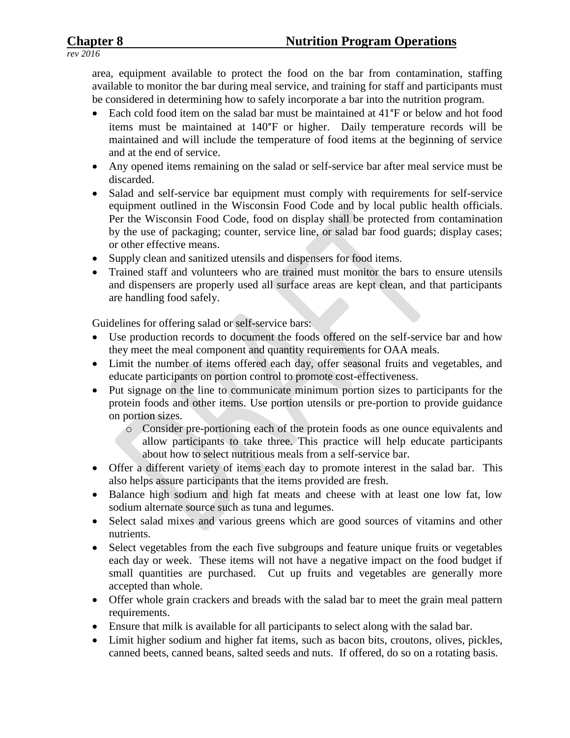area, equipment available to protect the food on the bar from contamination, staffing available to monitor the bar during meal service, and training for staff and participants must be considered in determining how to safely incorporate a bar into the nutrition program.

- Each cold food item on the salad bar must be maintained at 41°F or below and hot food items must be maintained at 140°F or higher. Daily temperature records will be maintained and will include the temperature of food items at the beginning of service and at the end of service.
- Any opened items remaining on the salad or self-service bar after meal service must be discarded.
- Salad and self-service bar equipment must comply with requirements for self-service equipment outlined in the Wisconsin Food Code and by local public health officials. Per the Wisconsin Food Code, food on display shall be protected from contamination by the use of packaging; counter, service line, or salad bar food guards; display cases; or other effective means.
- Supply clean and sanitized utensils and dispensers for food items.
- Trained staff and volunteers who are trained must monitor the bars to ensure utensils and dispensers are properly used all surface areas are kept clean, and that participants are handling food safely.

Guidelines for offering salad or self-service bars:

- Use production records to document the foods offered on the self-service bar and how they meet the meal component and quantity requirements for OAA meals.
- Limit the number of items offered each day, offer seasonal fruits and vegetables, and educate participants on portion control to promote cost-effectiveness.
- Put signage on the line to communicate minimum portion sizes to participants for the protein foods and other items. Use portion utensils or pre-portion to provide guidance on portion sizes.
	- o Consider pre-portioning each of the protein foods as one ounce equivalents and allow participants to take three. This practice will help educate participants about how to select nutritious meals from a self-service bar.
- Offer a different variety of items each day to promote interest in the salad bar. This also helps assure participants that the items provided are fresh.
- Balance high sodium and high fat meats and cheese with at least one low fat, low sodium alternate source such as tuna and legumes.
- Select salad mixes and various greens which are good sources of vitamins and other nutrients.
- Select vegetables from the each five subgroups and feature unique fruits or vegetables each day or week. These items will not have a negative impact on the food budget if small quantities are purchased. Cut up fruits and vegetables are generally more accepted than whole.
- Offer whole grain crackers and breads with the salad bar to meet the grain meal pattern requirements.
- Ensure that milk is available for all participants to select along with the salad bar.
- Limit higher sodium and higher fat items, such as bacon bits, croutons, olives, pickles, canned beets, canned beans, salted seeds and nuts. If offered, do so on a rotating basis.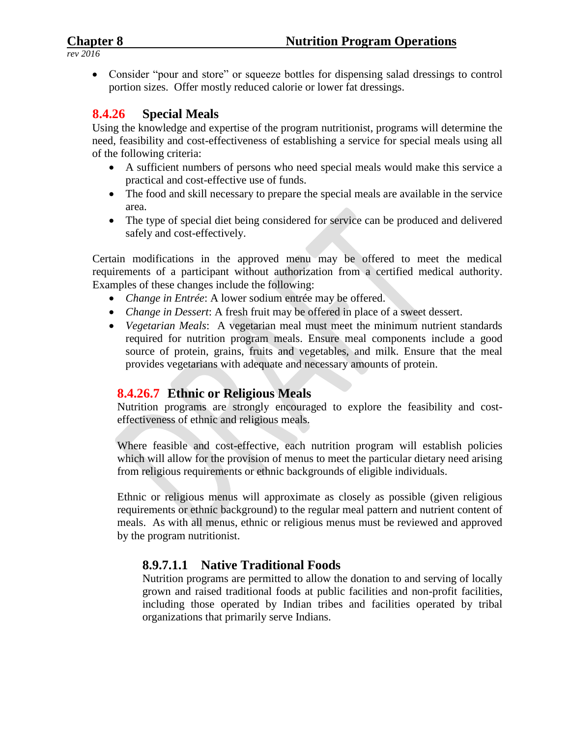• Consider "pour and store" or squeeze bottles for dispensing salad dressings to control portion sizes. Offer mostly reduced calorie or lower fat dressings.

# **8.4.26 Special Meals**

Using the knowledge and expertise of the program nutritionist, programs will determine the need, feasibility and cost-effectiveness of establishing a service for special meals using all of the following criteria:

- A sufficient numbers of persons who need special meals would make this service a practical and cost-effective use of funds.
- The food and skill necessary to prepare the special meals are available in the service area.
- The type of special diet being considered for service can be produced and delivered safely and cost-effectively.

Certain modifications in the approved menu may be offered to meet the medical requirements of a participant without authorization from a certified medical authority. Examples of these changes include the following:

- *Change in Entrée*: A lower sodium entrée may be offered.
- *Change in Dessert*: A fresh fruit may be offered in place of a sweet dessert.
- *Vegetarian Meals*: A vegetarian meal must meet the minimum nutrient standards required for nutrition program meals. Ensure meal components include a good source of protein, grains, fruits and vegetables, and milk. Ensure that the meal provides vegetarians with adequate and necessary amounts of protein.

# **8.4.26.7 Ethnic or Religious Meals**

Nutrition programs are strongly encouraged to explore the feasibility and costeffectiveness of ethnic and religious meals.

Where feasible and cost-effective, each nutrition program will establish policies which will allow for the provision of menus to meet the particular dietary need arising from religious requirements or ethnic backgrounds of eligible individuals.

Ethnic or religious menus will approximate as closely as possible (given religious requirements or ethnic background) to the regular meal pattern and nutrient content of meals. As with all menus, ethnic or religious menus must be reviewed and approved by the program nutritionist.

# **8.9.7.1.1 Native Traditional Foods**

Nutrition programs are permitted to allow the donation to and serving of locally grown and raised traditional foods at public facilities and non-profit facilities, including those operated by Indian tribes and facilities operated by tribal organizations that primarily serve Indians.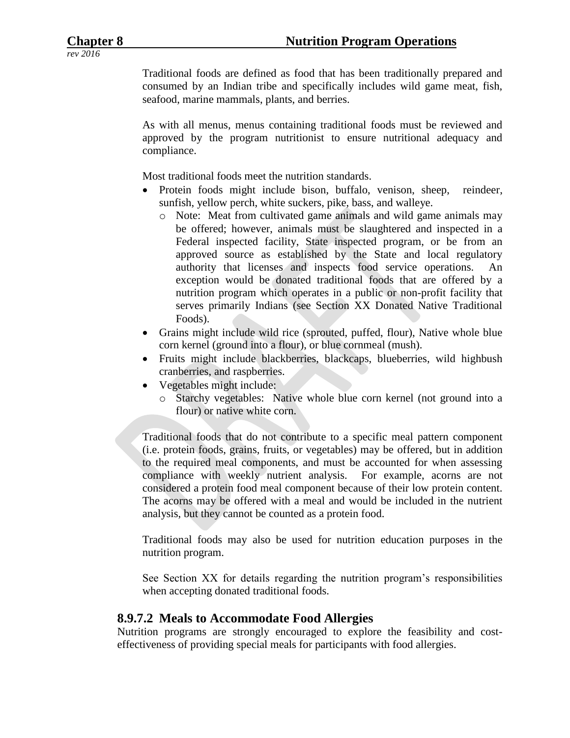Traditional foods are defined as food that has been traditionally prepared and consumed by an Indian tribe and specifically includes wild game meat, fish, seafood, marine mammals, plants, and berries.

As with all menus, menus containing traditional foods must be reviewed and approved by the program nutritionist to ensure nutritional adequacy and compliance.

Most traditional foods meet the nutrition standards.

- Protein foods might include bison, buffalo, venison, sheep, reindeer, sunfish, yellow perch, white suckers, pike, bass, and walleye.
	- o Note: Meat from cultivated game animals and wild game animals may be offered; however, animals must be slaughtered and inspected in a Federal inspected facility, State inspected program, or be from an approved source as established by the State and local regulatory authority that licenses and inspects food service operations. An exception would be donated traditional foods that are offered by a nutrition program which operates in a public or non-profit facility that serves primarily Indians (see Section XX Donated Native Traditional Foods).
- Grains might include wild rice (sprouted, puffed, flour), Native whole blue corn kernel (ground into a flour), or blue cornmeal (mush).
- Fruits might include blackberries, blackcaps, blueberries, wild highbush cranberries, and raspberries.
- Vegetables might include:
	- o Starchy vegetables: Native whole blue corn kernel (not ground into a flour) or native white corn.

Traditional foods that do not contribute to a specific meal pattern component (i.e. protein foods, grains, fruits, or vegetables) may be offered, but in addition to the required meal components, and must be accounted for when assessing compliance with weekly nutrient analysis. For example, acorns are not considered a protein food meal component because of their low protein content. The acorns may be offered with a meal and would be included in the nutrient analysis, but they cannot be counted as a protein food.

Traditional foods may also be used for nutrition education purposes in the nutrition program.

See Section XX for details regarding the nutrition program's responsibilities when accepting donated traditional foods.

### **8.9.7.2 Meals to Accommodate Food Allergies**

Nutrition programs are strongly encouraged to explore the feasibility and costeffectiveness of providing special meals for participants with food allergies.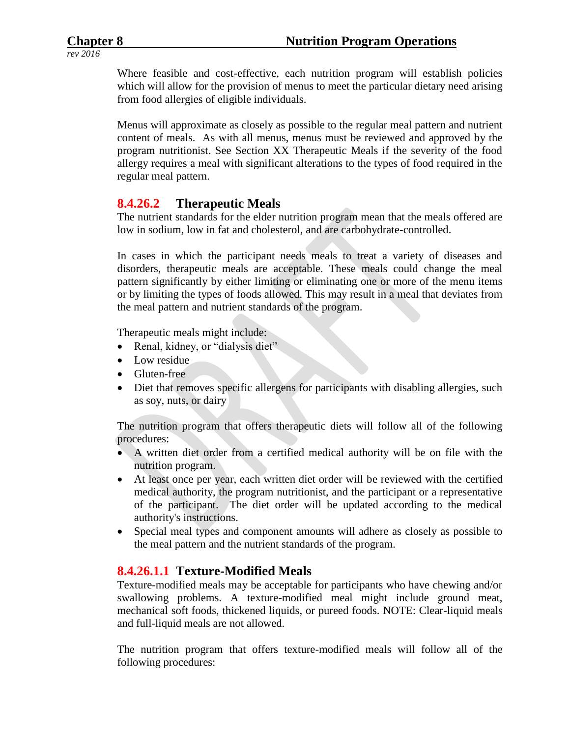Where feasible and cost-effective, each nutrition program will establish policies which will allow for the provision of menus to meet the particular dietary need arising from food allergies of eligible individuals.

Menus will approximate as closely as possible to the regular meal pattern and nutrient content of meals. As with all menus, menus must be reviewed and approved by the program nutritionist. See Section XX Therapeutic Meals if the severity of the food allergy requires a meal with significant alterations to the types of food required in the regular meal pattern.

### **8.4.26.2 Therapeutic Meals**

The nutrient standards for the elder nutrition program mean that the meals offered are low in sodium, low in fat and cholesterol, and are carbohydrate-controlled.

In cases in which the participant needs meals to treat a variety of diseases and disorders, therapeutic meals are acceptable. These meals could change the meal pattern significantly by either limiting or eliminating one or more of the menu items or by limiting the types of foods allowed. This may result in a meal that deviates from the meal pattern and nutrient standards of the program.

Therapeutic meals might include:

- Renal, kidney, or "dialysis diet"
- Low residue
- Gluten-free
- Diet that removes specific allergens for participants with disabling allergies, such as soy, nuts, or dairy

The nutrition program that offers therapeutic diets will follow all of the following procedures:

- A written diet order from a certified medical authority will be on file with the nutrition program.
- At least once per year, each written diet order will be reviewed with the certified medical authority, the program nutritionist, and the participant or a representative of the participant. The diet order will be updated according to the medical authority's instructions.
- Special meal types and component amounts will adhere as closely as possible to the meal pattern and the nutrient standards of the program.

### **8.4.26.1.1 Texture-Modified Meals**

Texture-modified meals may be acceptable for participants who have chewing and/or swallowing problems. A texture-modified meal might include ground meat, mechanical soft foods, thickened liquids, or pureed foods. NOTE: Clear-liquid meals and full-liquid meals are not allowed.

The nutrition program that offers texture-modified meals will follow all of the following procedures: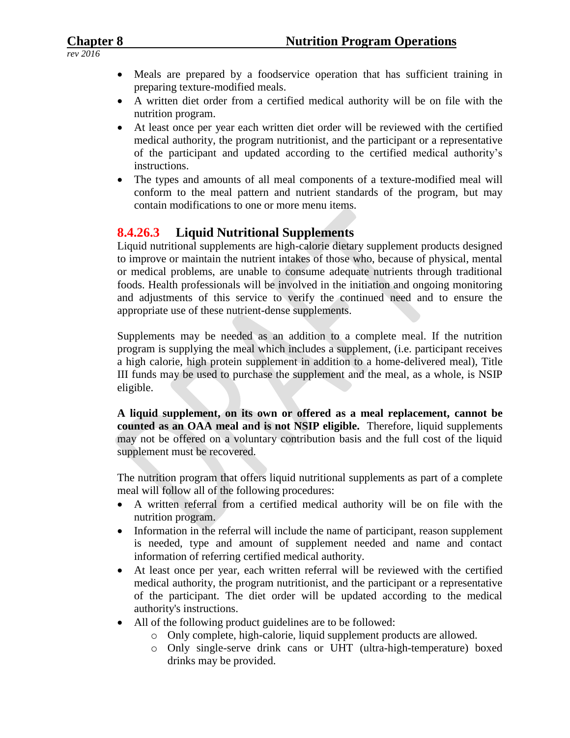- Meals are prepared by a foodservice operation that has sufficient training in preparing texture-modified meals.
- A written diet order from a certified medical authority will be on file with the nutrition program.
- At least once per year each written diet order will be reviewed with the certified medical authority, the program nutritionist, and the participant or a representative of the participant and updated according to the certified medical authority's instructions.
- The types and amounts of all meal components of a texture-modified meal will conform to the meal pattern and nutrient standards of the program, but may contain modifications to one or more menu items.

# **8.4.26.3 Liquid Nutritional Supplements**

Liquid nutritional supplements are high-calorie dietary supplement products designed to improve or maintain the nutrient intakes of those who, because of physical, mental or medical problems, are unable to consume adequate nutrients through traditional foods. Health professionals will be involved in the initiation and ongoing monitoring and adjustments of this service to verify the continued need and to ensure the appropriate use of these nutrient-dense supplements.

Supplements may be needed as an addition to a complete meal. If the nutrition program is supplying the meal which includes a supplement, (i.e. participant receives a high calorie, high protein supplement in addition to a home-delivered meal), Title III funds may be used to purchase the supplement and the meal, as a whole, is NSIP eligible.

**A liquid supplement, on its own or offered as a meal replacement, cannot be counted as an OAA meal and is not NSIP eligible.** Therefore, liquid supplements may not be offered on a voluntary contribution basis and the full cost of the liquid supplement must be recovered.

The nutrition program that offers liquid nutritional supplements as part of a complete meal will follow all of the following procedures:

- A written referral from a certified medical authority will be on file with the nutrition program.
- Information in the referral will include the name of participant, reason supplement is needed, type and amount of supplement needed and name and contact information of referring certified medical authority.
- At least once per year, each written referral will be reviewed with the certified medical authority, the program nutritionist, and the participant or a representative of the participant. The diet order will be updated according to the medical authority's instructions.
- All of the following product guidelines are to be followed:
	- o Only complete, high-calorie, liquid supplement products are allowed.
	- o Only single-serve drink cans or UHT (ultra-high-temperature) boxed drinks may be provided.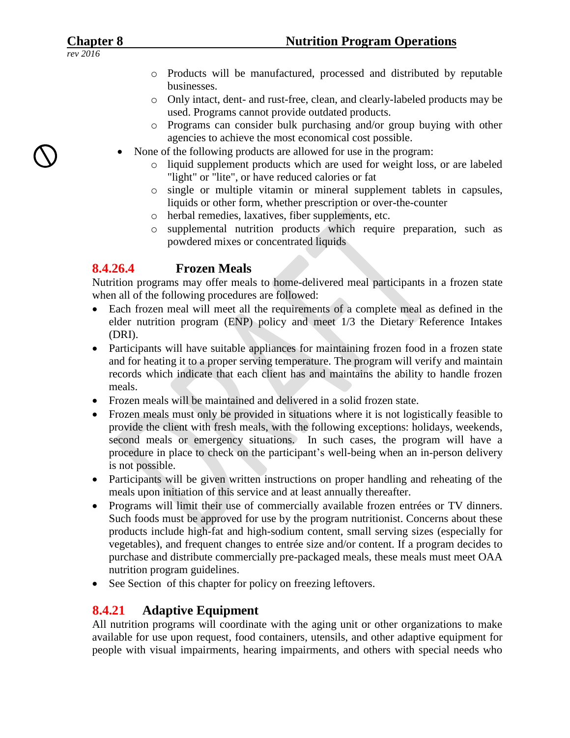- o Products will be manufactured, processed and distributed by reputable businesses.
- o Only intact, dent- and rust-free, clean, and clearly-labeled products may be used. Programs cannot provide outdated products.
- Programs can consider bulk purchasing and/or group buying with other agencies to achieve the most economical cost possible.
- None of the following products are allowed for use in the program:
	- o liquid supplement products which are used for weight loss, or are labeled "light" or "lite", or have reduced calories or fat
	- o single or multiple vitamin or mineral supplement tablets in capsules, liquids or other form, whether prescription or over-the-counter
	- o herbal remedies, laxatives, fiber supplements, etc.
	- o supplemental nutrition products which require preparation, such as powdered mixes or concentrated liquids

# **8.4.26.4 Frozen Meals**

Nutrition programs may offer meals to home-delivered meal participants in a frozen state when all of the following procedures are followed:

- Each frozen meal will meet all the requirements of a complete meal as defined in the elder nutrition program (ENP) policy and meet 1/3 the Dietary Reference Intakes (DRI).
- Participants will have suitable appliances for maintaining frozen food in a frozen state and for heating it to a proper serving temperature. The program will verify and maintain records which indicate that each client has and maintains the ability to handle frozen meals.
- Frozen meals will be maintained and delivered in a solid frozen state.
- Frozen meals must only be provided in situations where it is not logistically feasible to provide the client with fresh meals, with the following exceptions: holidays, weekends, second meals or emergency situations. In such cases, the program will have a procedure in place to check on the participant's well-being when an in-person delivery is not possible.
- Participants will be given written instructions on proper handling and reheating of the meals upon initiation of this service and at least annually thereafter.
- Programs will limit their use of commercially available frozen entrées or TV dinners. Such foods must be approved for use by the program nutritionist. Concerns about these products include high-fat and high-sodium content, small serving sizes (especially for vegetables), and frequent changes to entrée size and/or content. If a program decides to purchase and distribute commercially pre-packaged meals, these meals must meet OAA nutrition program guidelines.
- See Section of this chapter for policy on freezing leftovers.

# **8.4.21 Adaptive Equipment**

All nutrition programs will coordinate with the aging unit or other organizations to make available for use upon request, food containers, utensils, and other adaptive equipment for people with visual impairments, hearing impairments, and others with special needs who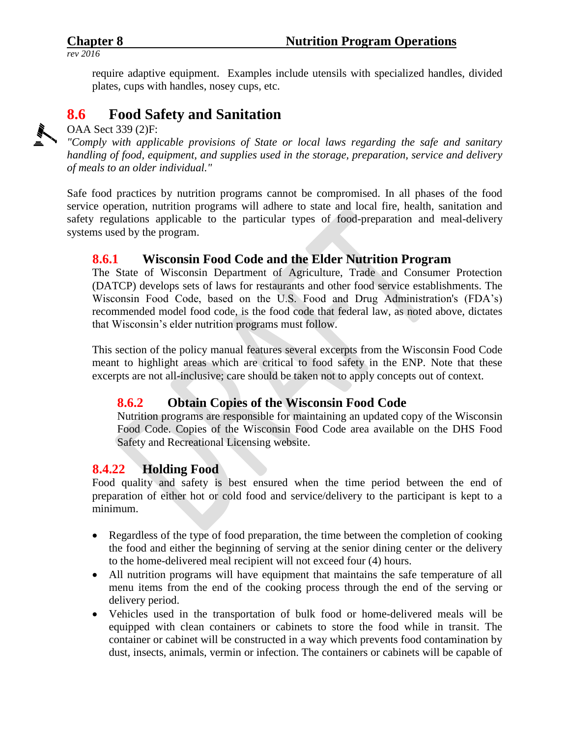require adaptive equipment. Examples include utensils with specialized handles, divided plates, cups with handles, nosey cups, etc.

# **8.6 Food Safety and Sanitation**

OAA Sect 339 (2)F:

*"Comply with applicable provisions of State or local laws regarding the safe and sanitary handling of food, equipment, and supplies used in the storage, preparation, service and delivery of meals to an older individual."*

Safe food practices by nutrition programs cannot be compromised. In all phases of the food service operation, nutrition programs will adhere to state and local fire, health, sanitation and safety regulations applicable to the particular types of food-preparation and meal-delivery systems used by the program.

# **8.6.1 Wisconsin Food Code and the Elder Nutrition Program**

The State of Wisconsin Department of Agriculture, Trade and Consumer Protection (DATCP) develops sets of laws for restaurants and other food service establishments. The Wisconsin Food Code, based on the U.S. Food and Drug Administration's (FDA's) recommended model food code, is the food code that federal law, as noted above, dictates that Wisconsin's elder nutrition programs must follow.

This section of the policy manual features several excerpts from the Wisconsin Food Code meant to highlight areas which are critical to food safety in the ENP. Note that these excerpts are not all-inclusive; care should be taken not to apply concepts out of context.

# **8.6.2 Obtain Copies of the Wisconsin Food Code**

Nutrition programs are responsible for maintaining an updated copy of the Wisconsin Food Code. Copies of the Wisconsin Food Code area available on the DHS Food Safety and Recreational Licensing website.

# **8.4.22 Holding Food**

Food quality and safety is best ensured when the time period between the end of preparation of either hot or cold food and service/delivery to the participant is kept to a minimum.

- Regardless of the type of food preparation, the time between the completion of cooking the food and either the beginning of serving at the senior dining center or the delivery to the home-delivered meal recipient will not exceed four (4) hours.
- All nutrition programs will have equipment that maintains the safe temperature of all menu items from the end of the cooking process through the end of the serving or delivery period.
- Vehicles used in the transportation of bulk food or home-delivered meals will be equipped with clean containers or cabinets to store the food while in transit. The container or cabinet will be constructed in a way which prevents food contamination by dust, insects, animals, vermin or infection. The containers or cabinets will be capable of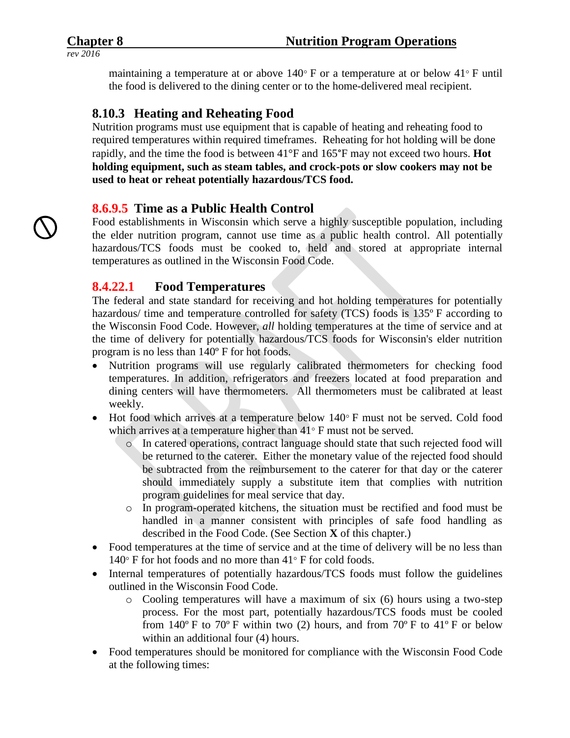maintaining a temperature at or above  $140^{\circ}$  F or a temperature at or below  $41^{\circ}$  F until the food is delivered to the dining center or to the home-delivered meal recipient.

# **8.10.3 Heating and Reheating Food**

Nutrition programs must use equipment that is capable of heating and reheating food to required temperatures within required timeframes. Reheating for hot holding will be done rapidly, and the time the food is between 41°F and 165°F may not exceed two hours. **Hot holding equipment, such as steam tables, and crock-pots or slow cookers may not be used to heat or reheat potentially hazardous/TCS food.**

# **8.6.9.5 Time as a Public Health Control**

Food establishments in Wisconsin which serve a highly susceptible population, including the elder nutrition program, cannot use time as a public health control. All potentially hazardous/TCS foods must be cooked to, held and stored at appropriate internal temperatures as outlined in the Wisconsin Food Code.

#### **8.4.22.1 Food Temperatures**

The federal and state standard for receiving and hot holding temperatures for potentially hazardous/ time and temperature controlled for safety (TCS) foods is 135<sup>°</sup> F according to the Wisconsin Food Code. However, *all* holding temperatures at the time of service and at the time of delivery for potentially hazardous/TCS foods for Wisconsin's elder nutrition program is no less than 140º F for hot foods.

- Nutrition programs will use regularly calibrated thermometers for checking food temperatures. In addition, refrigerators and freezers located at food preparation and dining centers will have thermometers. All thermometers must be calibrated at least weekly.
- $\bullet$  Hot food which arrives at a temperature below 140 $\degree$  F must not be served. Cold food which arrives at a temperature higher than  $41^{\circ}$  F must not be served.
	- o In catered operations, contract language should state that such rejected food will be returned to the caterer. Either the monetary value of the rejected food should be subtracted from the reimbursement to the caterer for that day or the caterer should immediately supply a substitute item that complies with nutrition program guidelines for meal service that day.
	- o In program-operated kitchens, the situation must be rectified and food must be handled in a manner consistent with principles of safe food handling as described in the Food Code. (See Section **X** of this chapter.)
- Food temperatures at the time of service and at the time of delivery will be no less than  $140^\circ$  F for hot foods and no more than  $41^\circ$  F for cold foods.
- Internal temperatures of potentially hazardous/TCS foods must follow the guidelines outlined in the Wisconsin Food Code.
	- o Cooling temperatures will have a maximum of six (6) hours using a two-step process. For the most part, potentially hazardous/TCS foods must be cooled from  $140^{\circ}$  F to  $70^{\circ}$  F within two (2) hours, and from  $70^{\circ}$  F to  $41^{\circ}$  F or below within an additional four  $(4)$  hours.
- Food temperatures should be monitored for compliance with the Wisconsin Food Code at the following times: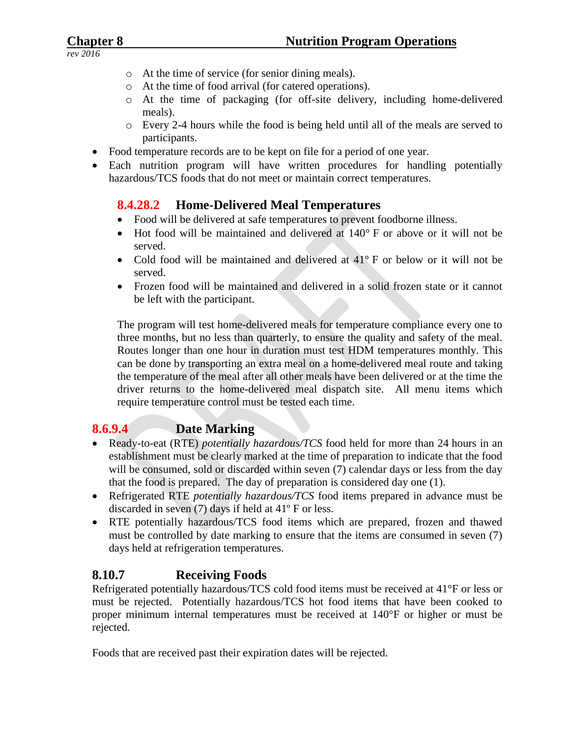- o At the time of service (for senior dining meals).
- o At the time of food arrival (for catered operations).
- o At the time of packaging (for off-site delivery, including home-delivered meals).
- o Every 2-4 hours while the food is being held until all of the meals are served to participants.
- Food temperature records are to be kept on file for a period of one year.
- Each nutrition program will have written procedures for handling potentially hazardous/TCS foods that do not meet or maintain correct temperatures.

# **8.4.28.2 Home-Delivered Meal Temperatures**

- Food will be delivered at safe temperatures to prevent foodborne illness.
- $\bullet$  Hot food will be maintained and delivered at  $140^{\circ}$  F or above or it will not be served.
- Cold food will be maintained and delivered at 41° F or below or it will not be served.
- Frozen food will be maintained and delivered in a solid frozen state or it cannot be left with the participant.

The program will test home-delivered meals for temperature compliance every one to three months, but no less than quarterly, to ensure the quality and safety of the meal. Routes longer than one hour in duration must test HDM temperatures monthly. This can be done by transporting an extra meal on a home-delivered meal route and taking the temperature of the meal after all other meals have been delivered or at the time the driver returns to the home-delivered meal dispatch site. All menu items which require temperature control must be tested each time.

# **8.6.9.4 Date Marking**

- Ready-to-eat (RTE) *potentially hazardous/TCS* food held for more than 24 hours in an establishment must be clearly marked at the time of preparation to indicate that the food will be consumed, sold or discarded within seven (7) calendar days or less from the day that the food is prepared. The day of preparation is considered day one (1).
- Refrigerated RTE *potentially hazardous/TCS* food items prepared in advance must be discarded in seven (7) days if held at 41º F or less.
- RTE potentially hazardous/TCS food items which are prepared, frozen and thawed must be controlled by date marking to ensure that the items are consumed in seven (7) days held at refrigeration temperatures.

# **8.10.7 Receiving Foods**

Refrigerated potentially hazardous/TCS cold food items must be received at 41°F or less or must be rejected. Potentially hazardous/TCS hot food items that have been cooked to proper minimum internal temperatures must be received at 140°F or higher or must be rejected.

Foods that are received past their expiration dates will be rejected.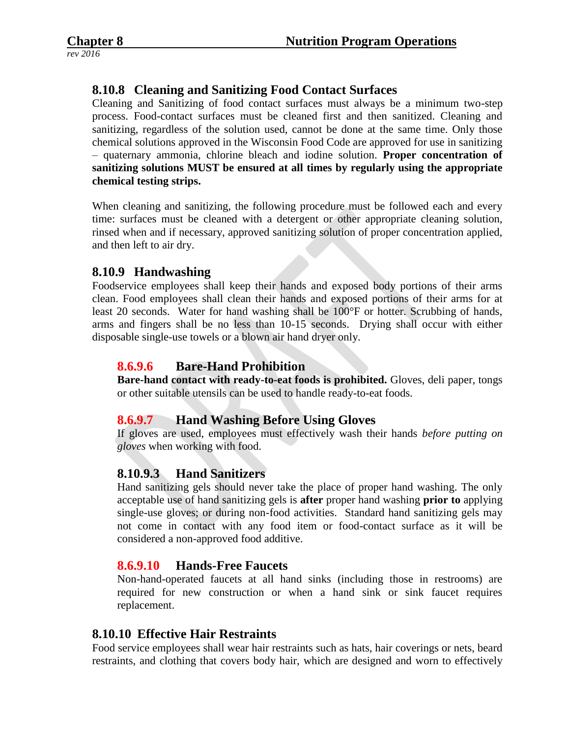# **8.10.8 Cleaning and Sanitizing Food Contact Surfaces**

Cleaning and Sanitizing of food contact surfaces must always be a minimum two-step process. Food-contact surfaces must be cleaned first and then sanitized. Cleaning and sanitizing, regardless of the solution used, cannot be done at the same time. Only those chemical solutions approved in the Wisconsin Food Code are approved for use in sanitizing – quaternary ammonia, chlorine bleach and iodine solution. **Proper concentration of sanitizing solutions MUST be ensured at all times by regularly using the appropriate chemical testing strips.**

When cleaning and sanitizing, the following procedure must be followed each and every time: surfaces must be cleaned with a detergent or other appropriate cleaning solution, rinsed when and if necessary, approved sanitizing solution of proper concentration applied, and then left to air dry.

#### **8.10.9 Handwashing**

Foodservice employees shall keep their hands and exposed body portions of their arms clean. Food employees shall clean their hands and exposed portions of their arms for at least 20 seconds. Water for hand washing shall be 100°F or hotter. Scrubbing of hands, arms and fingers shall be no less than 10-15 seconds. Drying shall occur with either disposable single-use towels or a blown air hand dryer only.

### **8.6.9.6 Bare-Hand Prohibition**

**Bare-hand contact with ready-to-eat foods is prohibited.** Gloves, deli paper, tongs or other suitable utensils can be used to handle ready-to-eat foods.

# **8.6.9.7 Hand Washing Before Using Gloves**

If gloves are used, employees must effectively wash their hands *before putting on gloves* when working with food.

# **8.10.9.3 Hand Sanitizers**

Hand sanitizing gels should never take the place of proper hand washing. The only acceptable use of hand sanitizing gels is **after** proper hand washing **prior to** applying single-use gloves; or during non-food activities. Standard hand sanitizing gels may not come in contact with any food item or food-contact surface as it will be considered a non-approved food additive.

#### **8.6.9.10 Hands-Free Faucets**

Non-hand-operated faucets at all hand sinks (including those in restrooms) are required for new construction or when a hand sink or sink faucet requires replacement.

#### **8.10.10 Effective Hair Restraints**

Food service employees shall wear hair restraints such as hats, hair coverings or nets, beard restraints, and clothing that covers body hair, which are designed and worn to effectively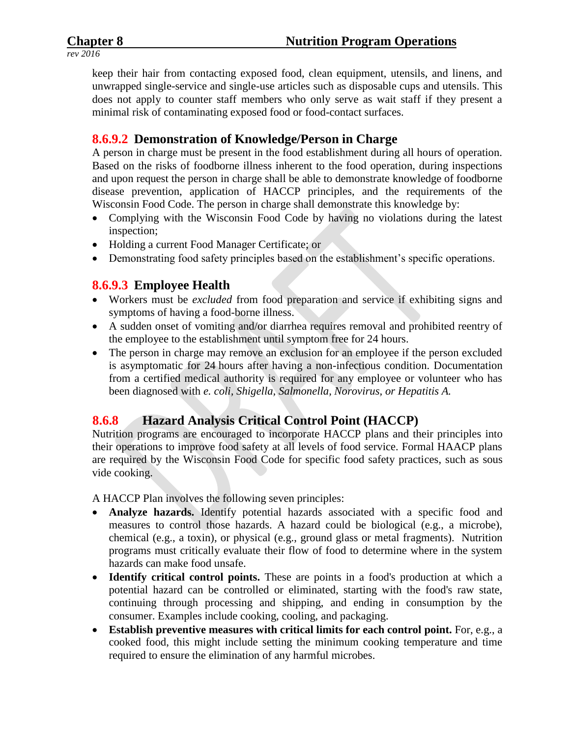keep their hair from contacting exposed food, clean equipment, utensils, and linens, and unwrapped single-service and single-use articles such as disposable cups and utensils. This does not apply to counter staff members who only serve as wait staff if they present a minimal risk of contaminating exposed food or food-contact surfaces.

# **8.6.9.2 Demonstration of Knowledge/Person in Charge**

A person in charge must be present in the food establishment during all hours of operation. Based on the risks of foodborne illness inherent to the food operation, during inspections and upon request the person in charge shall be able to demonstrate knowledge of foodborne disease prevention, application of HACCP principles, and the requirements of the Wisconsin Food Code. The person in charge shall demonstrate this knowledge by:

- Complying with the Wisconsin Food Code by having no violations during the latest inspection;
- Holding a current Food Manager Certificate; or
- Demonstrating food safety principles based on the establishment's specific operations.

# **8.6.9.3 Employee Health**

- Workers must be *excluded* from food preparation and service if exhibiting signs and symptoms of having a food-borne illness.
- A sudden onset of vomiting and/or diarrhea requires removal and prohibited reentry of the employee to the establishment until symptom free for 24 hours.
- The person in charge may remove an exclusion for an employee if the person excluded is asymptomatic for 24 hours after having a non-infectious condition. Documentation from a certified medical authority is required for any employee or volunteer who has been diagnosed with *e. coli, Shigella, Salmonella, Norovirus, or Hepatitis A.*

# **8.6.8 Hazard Analysis Critical Control Point (HACCP)**

Nutrition programs are encouraged to incorporate HACCP plans and their principles into their operations to improve food safety at all levels of food service. Formal HAACP plans are required by the Wisconsin Food Code for specific food safety practices, such as sous vide cooking.

A HACCP Plan involves the following seven principles:

- **Analyze hazards.** Identify potential hazards associated with a specific food and measures to control those hazards. A hazard could be biological (e.g., a microbe), chemical (e.g., a toxin), or physical (e.g., ground glass or metal fragments). Nutrition programs must critically evaluate their flow of food to determine where in the system hazards can make food unsafe.
- **Identify critical control points.** These are points in a food's production at which a potential hazard can be controlled or eliminated, starting with the food's raw state, continuing through processing and shipping, and ending in consumption by the consumer. Examples include cooking, cooling, and packaging.
- **Establish preventive measures with critical limits for each control point.** For, e.g., a cooked food, this might include setting the minimum cooking temperature and time required to ensure the elimination of any harmful microbes.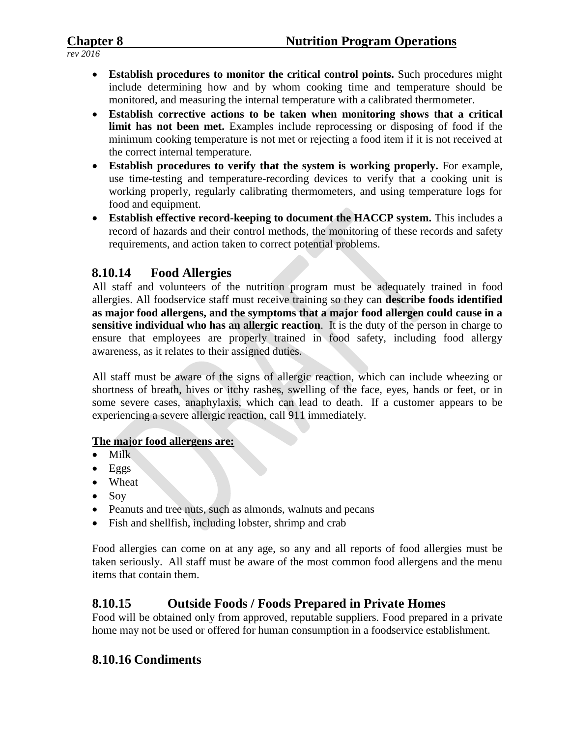- **Establish procedures to monitor the critical control points.** Such procedures might include determining how and by whom cooking time and temperature should be monitored, and measuring the internal temperature with a calibrated thermometer.
- **Establish corrective actions to be taken when monitoring shows that a critical limit has not been met.** Examples include reprocessing or disposing of food if the minimum cooking temperature is not met or rejecting a food item if it is not received at the correct internal temperature.
- **Establish procedures to verify that the system is working properly.** For example, use time-testing and temperature-recording devices to verify that a cooking unit is working properly, regularly calibrating thermometers, and using temperature logs for food and equipment.
- **Establish effective record-keeping to document the HACCP system.** This includes a record of hazards and their control methods, the monitoring of these records and safety requirements, and action taken to correct potential problems.

# **8.10.14 Food Allergies**

All staff and volunteers of the nutrition program must be adequately trained in food allergies. All foodservice staff must receive training so they can **describe foods identified as major food allergens, and the symptoms that a major food allergen could cause in a sensitive individual who has an allergic reaction**. It is the duty of the person in charge to ensure that employees are properly trained in food safety, including food allergy awareness, as it relates to their assigned duties.

All staff must be aware of the signs of allergic reaction, which can include wheezing or shortness of breath, hives or itchy rashes, swelling of the face, eyes, hands or feet, or in some severe cases, anaphylaxis, which can lead to death. If a customer appears to be experiencing a severe allergic reaction, call 911 immediately.

#### **The major food allergens are:**

- $\bullet$  Milk
- $\bullet$  Eggs
- Wheat
- $\bullet$  Soy
- Peanuts and tree nuts, such as almonds, walnuts and pecans
- Fish and shellfish, including lobster, shrimp and crab

Food allergies can come on at any age, so any and all reports of food allergies must be taken seriously. All staff must be aware of the most common food allergens and the menu items that contain them.

# **8.10.15 Outside Foods / Foods Prepared in Private Homes**

Food will be obtained only from approved, reputable suppliers. Food prepared in a private home may not be used or offered for human consumption in a foodservice establishment.

# **8.10.16 Condiments**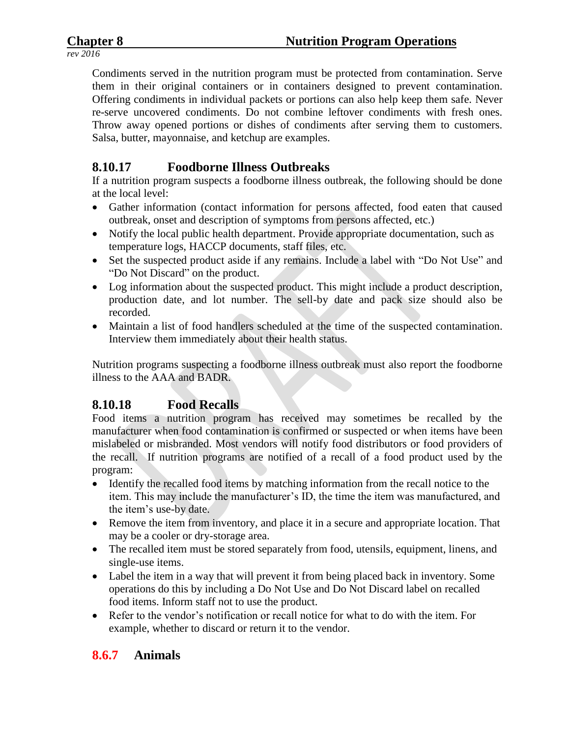Condiments served in the nutrition program must be protected from contamination. Serve them in their original containers or in containers designed to prevent contamination. Offering condiments in individual packets or portions can also help keep them safe. Never re-serve uncovered condiments. Do not combine leftover condiments with fresh ones. Throw away opened portions or dishes of condiments after serving them to customers. Salsa, butter, mayonnaise, and ketchup are examples.

# **8.10.17 Foodborne Illness Outbreaks**

If a nutrition program suspects a foodborne illness outbreak, the following should be done at the local level:

- Gather information (contact information for persons affected, food eaten that caused outbreak, onset and description of symptoms from persons affected, etc.)
- Notify the local public health department. Provide appropriate documentation, such as temperature logs, HACCP documents, staff files, etc.
- Set the suspected product aside if any remains. Include a label with "Do Not Use" and "Do Not Discard" on the product.
- Log information about the suspected product. This might include a product description, production date, and lot number. The sell-by date and pack size should also be recorded.
- Maintain a list of food handlers scheduled at the time of the suspected contamination. Interview them immediately about their health status.

Nutrition programs suspecting a foodborne illness outbreak must also report the foodborne illness to the AAA and BADR.

# **8.10.18 Food Recalls**

Food items a nutrition program has received may sometimes be recalled by the manufacturer when food contamination is confirmed or suspected or when items have been mislabeled or misbranded. Most vendors will notify food distributors or food providers of the recall. If nutrition programs are notified of a recall of a food product used by the program:

- Identify the recalled food items by matching information from the recall notice to the item. This may include the manufacturer's ID, the time the item was manufactured, and the item's use-by date.
- Remove the item from inventory, and place it in a secure and appropriate location. That may be a cooler or dry-storage area.
- The recalled item must be stored separately from food, utensils, equipment, linens, and single-use items.
- Label the item in a way that will prevent it from being placed back in inventory. Some operations do this by including a Do Not Use and Do Not Discard label on recalled food items. Inform staff not to use the product.
- Refer to the vendor's notification or recall notice for what to do with the item. For example, whether to discard or return it to the vendor.

# **8.6.7 Animals**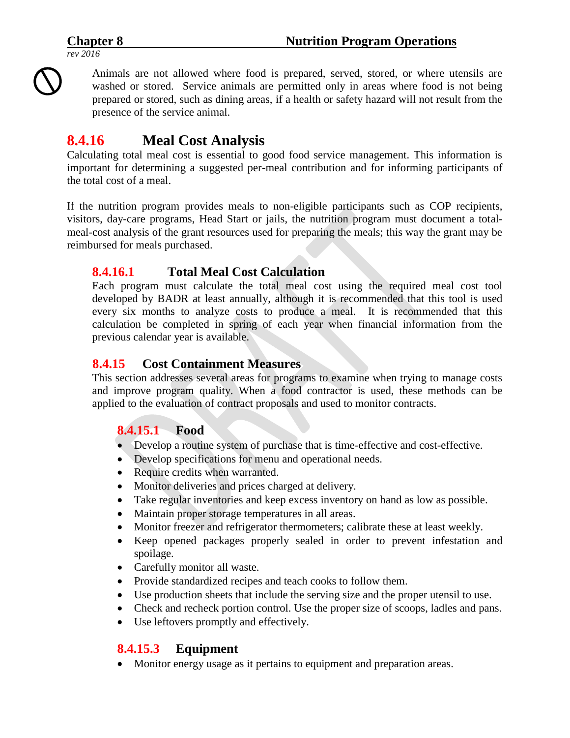Animals are not allowed where food is prepared, served, stored, or where utensils are washed or stored. Service animals are permitted only in areas where food is not being prepared or stored, such as dining areas, if a health or safety hazard will not result from the presence of the service animal.

# **8.4.16 Meal Cost Analysis**

Calculating total meal cost is essential to good food service management. This information is important for determining a suggested per-meal contribution and for informing participants of the total cost of a meal.

If the nutrition program provides meals to non-eligible participants such as COP recipients, visitors, day-care programs, Head Start or jails, the nutrition program must document a totalmeal-cost analysis of the grant resources used for preparing the meals; this way the grant may be reimbursed for meals purchased.

### **8.4.16.1 Total Meal Cost Calculation**

Each program must calculate the total meal cost using the required meal cost tool developed by BADR at least annually, although it is recommended that this tool is used every six months to analyze costs to produce a meal. It is recommended that this calculation be completed in spring of each year when financial information from the previous calendar year is available.

### **8.4.15 Cost Containment Measures**

This section addresses several areas for programs to examine when trying to manage costs and improve program quality. When a food contractor is used, these methods can be applied to the evaluation of contract proposals and used to monitor contracts.

# **8.4.15.1 Food**

- Develop a routine system of purchase that is time-effective and cost-effective.
- Develop specifications for menu and operational needs.
- Require credits when warranted.
- Monitor deliveries and prices charged at delivery.
- Take regular inventories and keep excess inventory on hand as low as possible.
- Maintain proper storage temperatures in all areas.
- Monitor freezer and refrigerator thermometers; calibrate these at least weekly.
- Keep opened packages properly sealed in order to prevent infestation and spoilage.
- Carefully monitor all waste.
- Provide standardized recipes and teach cooks to follow them.
- Use production sheets that include the serving size and the proper utensil to use.
- Check and recheck portion control. Use the proper size of scoops, ladles and pans.
- Use leftovers promptly and effectively.

# **8.4.15.3 Equipment**

• Monitor energy usage as it pertains to equipment and preparation areas.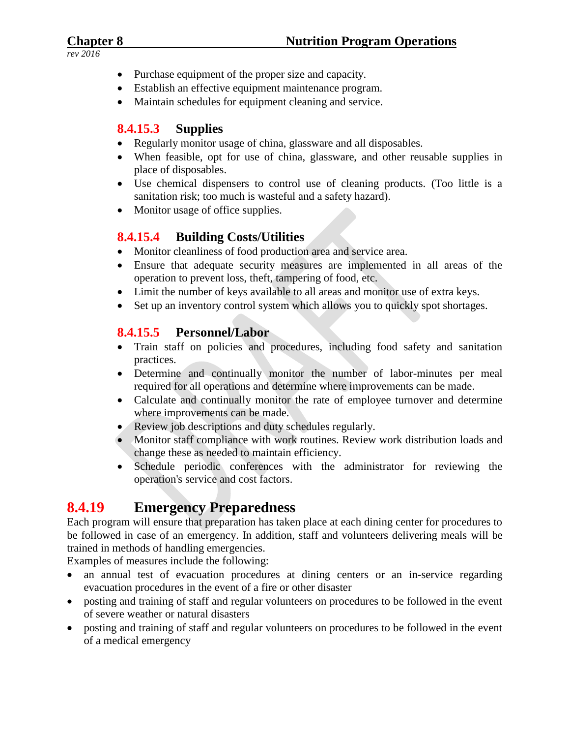- Purchase equipment of the proper size and capacity.
- Establish an effective equipment maintenance program.
- Maintain schedules for equipment cleaning and service.

# **8.4.15.3 Supplies**

- Regularly monitor usage of china, glassware and all disposables.
- When feasible, opt for use of china, glassware, and other reusable supplies in place of disposables.
- Use chemical dispensers to control use of cleaning products. (Too little is a sanitation risk; too much is wasteful and a safety hazard).
- Monitor usage of office supplies.

# **8.4.15.4 Building Costs/Utilities**

- Monitor cleanliness of food production area and service area.
- Ensure that adequate security measures are implemented in all areas of the operation to prevent loss, theft, tampering of food, etc.
- Limit the number of keys available to all areas and monitor use of extra keys.
- Set up an inventory control system which allows you to quickly spot shortages.

# **8.4.15.5 Personnel/Labor**

- Train staff on policies and procedures, including food safety and sanitation practices.
- Determine and continually monitor the number of labor-minutes per meal required for all operations and determine where improvements can be made.
- Calculate and continually monitor the rate of employee turnover and determine where improvements can be made.
- Review job descriptions and duty schedules regularly.
- Monitor staff compliance with work routines. Review work distribution loads and change these as needed to maintain efficiency.
- Schedule periodic conferences with the administrator for reviewing the operation's service and cost factors.

# **8.4.19 Emergency Preparedness**

Each program will ensure that preparation has taken place at each dining center for procedures to be followed in case of an emergency. In addition, staff and volunteers delivering meals will be trained in methods of handling emergencies.

Examples of measures include the following:

- an annual test of evacuation procedures at dining centers or an in-service regarding evacuation procedures in the event of a fire or other disaster
- posting and training of staff and regular volunteers on procedures to be followed in the event of severe weather or natural disasters
- posting and training of staff and regular volunteers on procedures to be followed in the event of a medical emergency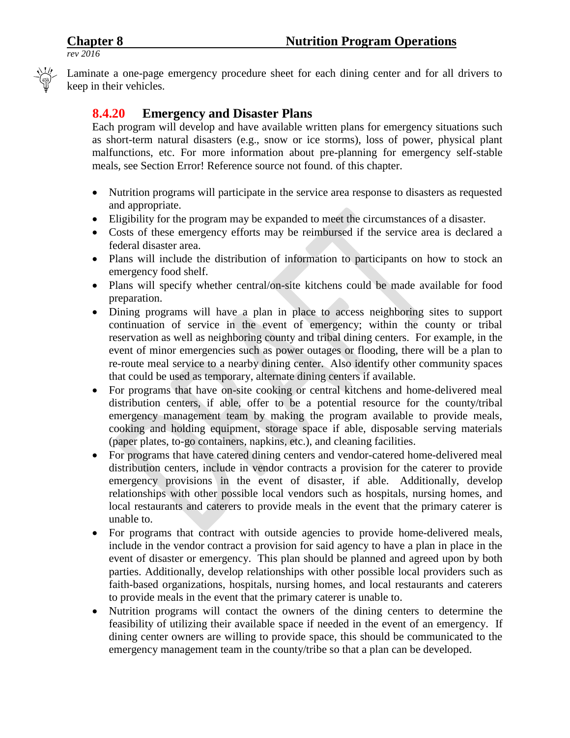

Laminate a one-page emergency procedure sheet for each dining center and for all drivers to keep in their vehicles.

# **8.4.20 Emergency and Disaster Plans**

Each program will develop and have available written plans for emergency situations such as short-term natural disasters (e.g., snow or ice storms), loss of power, physical plant malfunctions, etc. For more information about pre-planning for emergency self-stable meals, see Section Error! Reference source not found. of this chapter.

- Nutrition programs will participate in the service area response to disasters as requested and appropriate.
- Eligibility for the program may be expanded to meet the circumstances of a disaster.
- Costs of these emergency efforts may be reimbursed if the service area is declared a federal disaster area.
- Plans will include the distribution of information to participants on how to stock an emergency food shelf.
- Plans will specify whether central/on-site kitchens could be made available for food preparation.
- Dining programs will have a plan in place to access neighboring sites to support continuation of service in the event of emergency; within the county or tribal reservation as well as neighboring county and tribal dining centers. For example, in the event of minor emergencies such as power outages or flooding, there will be a plan to re-route meal service to a nearby dining center. Also identify other community spaces that could be used as temporary, alternate dining centers if available.
- For programs that have on-site cooking or central kitchens and home-delivered meal distribution centers, if able, offer to be a potential resource for the county/tribal emergency management team by making the program available to provide meals, cooking and holding equipment, storage space if able, disposable serving materials (paper plates, to-go containers, napkins, etc.), and cleaning facilities.
- For programs that have catered dining centers and vendor-catered home-delivered meal distribution centers, include in vendor contracts a provision for the caterer to provide emergency provisions in the event of disaster, if able. Additionally, develop relationships with other possible local vendors such as hospitals, nursing homes, and local restaurants and caterers to provide meals in the event that the primary caterer is unable to.
- For programs that contract with outside agencies to provide home-delivered meals, include in the vendor contract a provision for said agency to have a plan in place in the event of disaster or emergency. This plan should be planned and agreed upon by both parties. Additionally, develop relationships with other possible local providers such as faith-based organizations, hospitals, nursing homes, and local restaurants and caterers to provide meals in the event that the primary caterer is unable to.
- Nutrition programs will contact the owners of the dining centers to determine the feasibility of utilizing their available space if needed in the event of an emergency. If dining center owners are willing to provide space, this should be communicated to the emergency management team in the county/tribe so that a plan can be developed.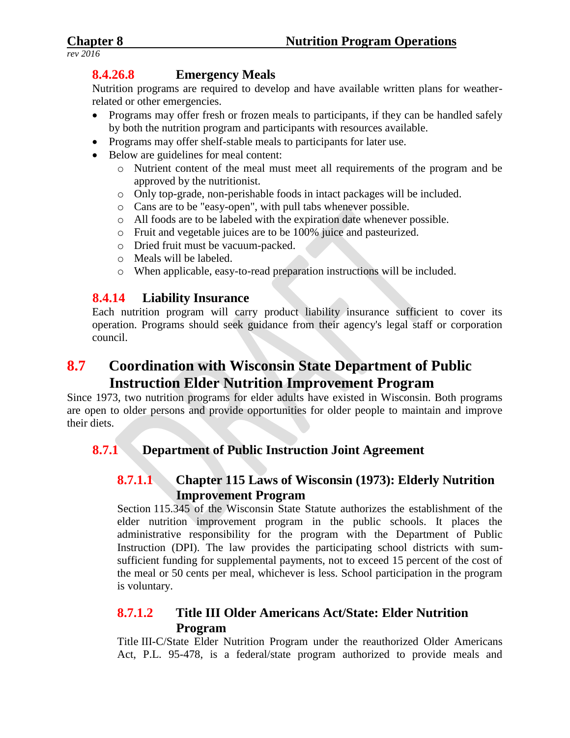# **8.4.26.8 Emergency Meals**

Nutrition programs are required to develop and have available written plans for weatherrelated or other emergencies.

- Programs may offer fresh or frozen meals to participants, if they can be handled safely by both the nutrition program and participants with resources available.
- Programs may offer shelf-stable meals to participants for later use.
- Below are guidelines for meal content:
	- o Nutrient content of the meal must meet all requirements of the program and be approved by the nutritionist.
	- o Only top-grade, non-perishable foods in intact packages will be included.
	- o Cans are to be "easy-open", with pull tabs whenever possible.
	- o All foods are to be labeled with the expiration date whenever possible.
	- o Fruit and vegetable juices are to be 100% juice and pasteurized.
	- o Dried fruit must be vacuum-packed.
	- o Meals will be labeled.
	- o When applicable, easy-to-read preparation instructions will be included.

# **8.4.14 Liability Insurance**

Each nutrition program will carry product liability insurance sufficient to cover its operation. Programs should seek guidance from their agency's legal staff or corporation council.

# **8.7 Coordination with Wisconsin State Department of Public Instruction Elder Nutrition Improvement Program**

Since 1973, two nutrition programs for elder adults have existed in Wisconsin. Both programs are open to older persons and provide opportunities for older people to maintain and improve their diets.

# **8.7.1 Department of Public Instruction Joint Agreement**

# **8.7.1.1 Chapter 115 Laws of Wisconsin (1973): Elderly Nutrition Improvement Program**

Section 115.345 of the Wisconsin State Statute authorizes the establishment of the elder nutrition improvement program in the public schools. It places the administrative responsibility for the program with the Department of Public Instruction (DPI). The law provides the participating school districts with sumsufficient funding for supplemental payments, not to exceed 15 percent of the cost of the meal or 50 cents per meal, whichever is less. School participation in the program is voluntary.

# **8.7.1.2 Title III Older Americans Act/State: Elder Nutrition Program**

Title III-C/State Elder Nutrition Program under the reauthorized Older Americans Act, P.L. 95-478, is a federal/state program authorized to provide meals and